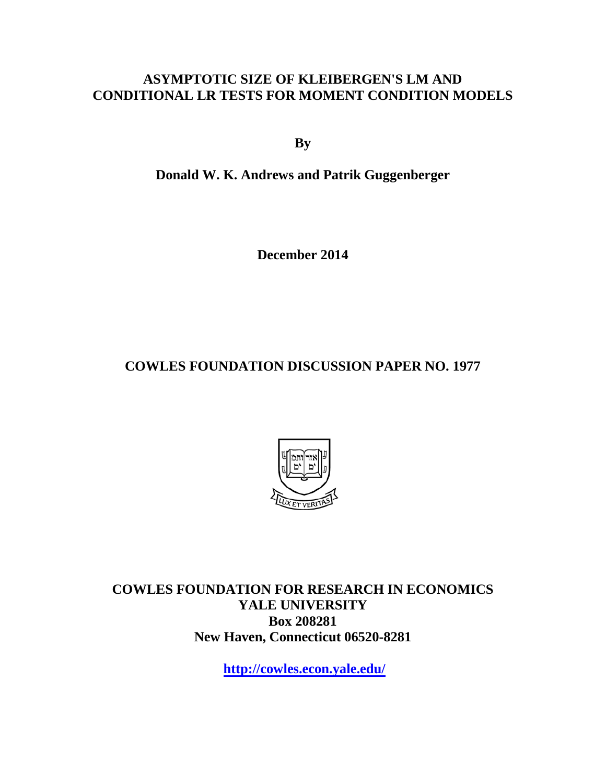## **ASYMPTOTIC SIZE OF KLEIBERGEN'S LM AND CONDITIONAL LR TESTS FOR MOMENT CONDITION MODELS**

**By**

**Donald W. K. Andrews and Patrik Guggenberger**

**December 2014**

**COWLES FOUNDATION DISCUSSION PAPER NO. 1977**



**COWLES FOUNDATION FOR RESEARCH IN ECONOMICS YALE UNIVERSITY Box 208281 New Haven, Connecticut 06520-8281**

**<http://cowles.econ.yale.edu/>**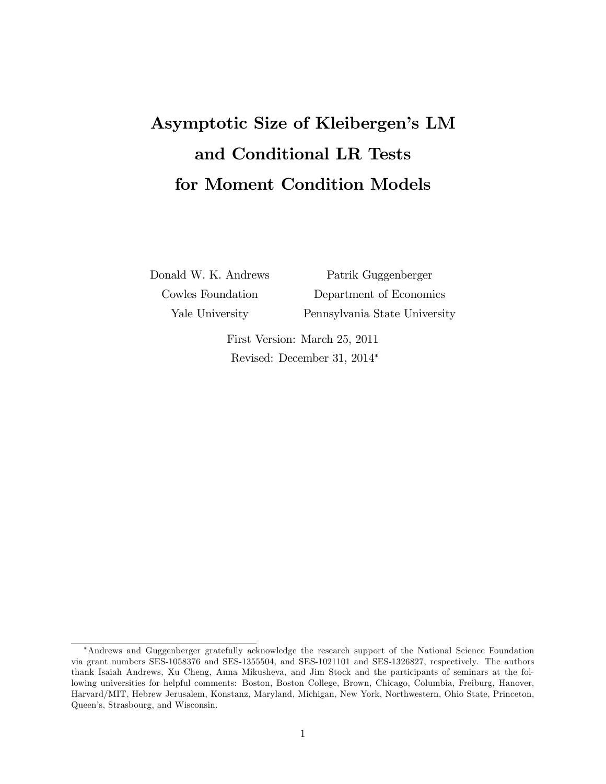# Asymptotic Size of Kleibergen's LM and Conditional LR Tests for Moment Condition Models

Donald W. K. Andrews Patrik Guggenberger Cowles Foundation Department of Economics Yale University Pennsylvania State University

> First Version: March 25, 2011 Revised: December 31, 2014

Andrews and Guggenberger gratefully acknowledge the research support of the National Science Foundation via grant numbers SES-1058376 and SES-1355504, and SES-1021101 and SES-1326827, respectively. The authors thank Isaiah Andrews, Xu Cheng, Anna Mikusheva, and Jim Stock and the participants of seminars at the following universities for helpful comments: Boston, Boston College, Brown, Chicago, Columbia, Freiburg, Hanover, Harvard/MIT, Hebrew Jerusalem, Konstanz, Maryland, Michigan, New York, Northwestern, Ohio State, Princeton, Queen's, Strasbourg, and Wisconsin.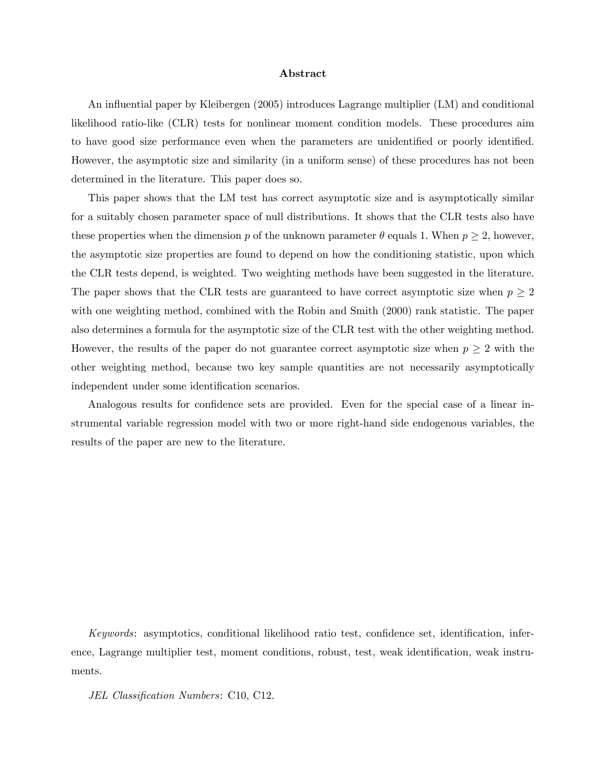#### Abstract

An influential paper by Kleibergen (2005) introduces Lagrange multiplier (LM) and conditional likelihood ratio-like (CLR) tests for nonlinear moment condition models. These procedures aim to have good size performance even when the parameters are unidentified or poorly identified. However, the asymptotic size and similarity (in a uniform sense) of these procedures has not been determined in the literature. This paper does so.

This paper shows that the LM test has correct asymptotic size and is asymptotically similar for a suitably chosen parameter space of null distributions. It shows that the CLR tests also have these properties when the dimension p of the unknown parameter  $\theta$  equals 1. When  $p \geq 2$ , however, the asymptotic size properties are found to depend on how the conditioning statistic, upon which the CLR tests depend, is weighted. Two weighting methods have been suggested in the literature. The paper shows that the CLR tests are guaranteed to have correct asymptotic size when  $p \geq 2$ with one weighting method, combined with the Robin and Smith  $(2000)$  rank statistic. The paper also determines a formula for the asymptotic size of the CLR test with the other weighting method. However, the results of the paper do not guarantee correct asymptotic size when  $p \geq 2$  with the other weighting method, because two key sample quantities are not necessarily asymptotically independent under some identification scenarios.

Analogous results for confidence sets are provided. Even for the special case of a linear instrumental variable regression model with two or more right-hand side endogenous variables, the results of the paper are new to the literature.

Keywords: asymptotics, conditional likelihood ratio test, confidence set, identification, inference, Lagrange multiplier test, moment conditions, robust, test, weak identification, weak instruments.

JEL Classification Numbers: C10, C12.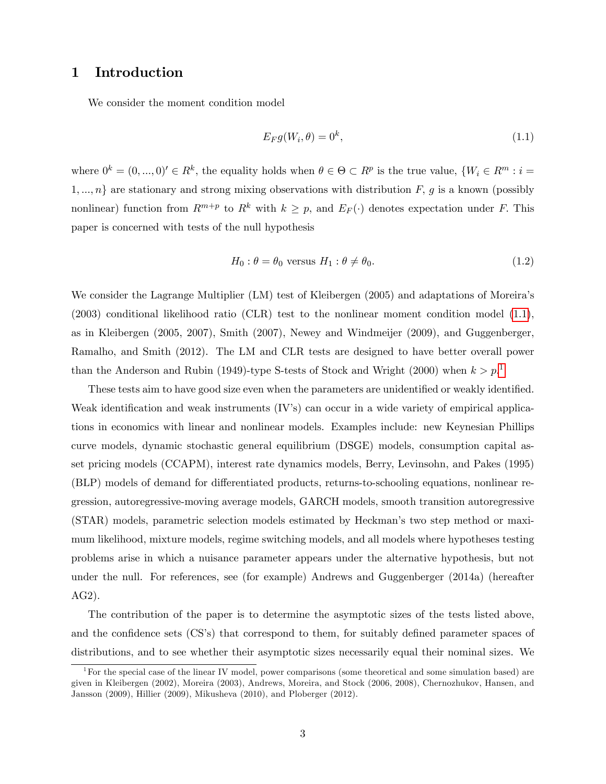## 1 Introduction

We consider the moment condition model

<span id="page-3-0"></span>
$$
E_F g(W_i, \theta) = 0^k, \tag{1.1}
$$

where  $0^k = (0, ..., 0)' \in R^k$ , the equality holds when  $\theta \in \Theta \subset R^p$  is the true value,  $\{W_i \in R^m : i =$  $1, ..., n$  are stationary and strong mixing observations with distribution F, g is a known (possibly nonlinear) function from  $R^{m+p}$  to  $R^k$  with  $k \geq p$ , and  $E_F(\cdot)$  denotes expectation under F. This paper is concerned with tests of the null hypothesis

<span id="page-3-2"></span>
$$
H_0: \theta = \theta_0 \text{ versus } H_1: \theta \neq \theta_0. \tag{1.2}
$$

We consider the Lagrange Multiplier (LM) test of Kleibergen (2005) and adaptations of Moreira's (2003) conditional likelihood ratio (CLR) test to the nonlinear moment condition model [\(1.1\)](#page-3-0), as in Kleibergen (2005, 2007), Smith (2007), Newey and Windmeijer (2009), and Guggenberger, Ramalho, and Smith (2012). The LM and CLR tests are designed to have better overall power than the Anderson and Rubin ([1](#page-3-1)949)-type S-tests of Stock and Wright (2000) when  $k > p$ <sup>1</sup>

These tests aim to have good size even when the parameters are unidentified or weakly identified. Weak identification and weak instruments  $(V's)$  can occur in a wide variety of empirical applications in economics with linear and nonlinear models. Examples include: new Keynesian Phillips curve models, dynamic stochastic general equilibrium (DSGE) models, consumption capital asset pricing models (CCAPM), interest rate dynamics models, Berry, Levinsohn, and Pakes (1995) (BLP) models of demand for differentiated products, returns-to-schooling equations, nonlinear regression, autoregressive-moving average models, GARCH models, smooth transition autoregressive (STAR) models, parametric selection models estimated by Heckmanís two step method or maximum likelihood, mixture models, regime switching models, and all models where hypotheses testing problems arise in which a nuisance parameter appears under the alternative hypothesis, but not under the null. For references, see (for example) Andrews and Guggenberger (2014a) (hereafter AG2).

The contribution of the paper is to determine the asymptotic sizes of the tests listed above, and the confidence sets  $\left( \text{CS's}\right)$  that correspond to them, for suitably defined parameter spaces of distributions, and to see whether their asymptotic sizes necessarily equal their nominal sizes. We

<span id="page-3-1"></span><sup>&</sup>lt;sup>1</sup>For the special case of the linear IV model, power comparisons (some theoretical and some simulation based) are given in Kleibergen (2002), Moreira (2003), Andrews, Moreira, and Stock (2006, 2008), Chernozhukov, Hansen, and Jansson (2009), Hillier (2009), Mikusheva (2010), and Ploberger (2012).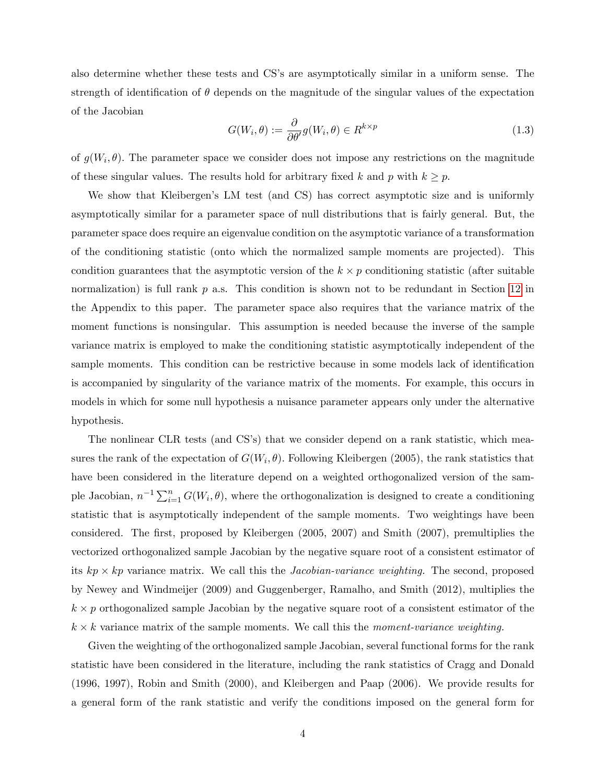also determine whether these tests and CS's are asymptotically similar in a uniform sense. The strength of identification of  $\theta$  depends on the magnitude of the singular values of the expectation of the Jacobian

<span id="page-4-0"></span>
$$
G(W_i, \theta) := \frac{\partial}{\partial \theta'} g(W_i, \theta) \in R^{k \times p}
$$
\n(1.3)

of  $g(W_i, \theta)$ . The parameter space we consider does not impose any restrictions on the magnitude of these singular values. The results hold for arbitrary fixed k and p with  $k \geq p$ .

We show that Kleibergen's LM test (and CS) has correct asymptotic size and is uniformly asymptotically similar for a parameter space of null distributions that is fairly general. But, the parameter space does require an eigenvalue condition on the asymptotic variance of a transformation of the conditioning statistic (onto which the normalized sample moments are projected). This condition guarantees that the asymptotic version of the  $k \times p$  conditioning statistic (after suitable normalization) is full rank  $p$  a.s. This condition is shown not to be redundant in Section [12](#page-53-0) in the Appendix to this paper. The parameter space also requires that the variance matrix of the moment functions is nonsingular. This assumption is needed because the inverse of the sample variance matrix is employed to make the conditioning statistic asymptotically independent of the sample moments. This condition can be restrictive because in some models lack of identification is accompanied by singularity of the variance matrix of the moments. For example, this occurs in models in which for some null hypothesis a nuisance parameter appears only under the alternative hypothesis.

The nonlinear CLR tests (and CS's) that we consider depend on a rank statistic, which measures the rank of the expectation of  $G(W_i, \theta)$ . Following Kleibergen (2005), the rank statistics that have been considered in the literature depend on a weighted orthogonalized version of the sample Jacobian,  $n^{-1} \sum_{i=1}^{n} G(W_i, \theta)$ , where the orthogonalization is designed to create a conditioning statistic that is asymptotically independent of the sample moments. Two weightings have been considered. The first, proposed by Kleibergen (2005, 2007) and Smith (2007), premultiplies the vectorized orthogonalized sample Jacobian by the negative square root of a consistent estimator of its  $kp \times kp$  variance matrix. We call this the *Jacobian-variance weighting*. The second, proposed by Newey and Windmeijer (2009) and Guggenberger, Ramalho, and Smith (2012), multiplies the  $k \times p$  orthogonalized sample Jacobian by the negative square root of a consistent estimator of the  $k \times k$  variance matrix of the sample moments. We call this the *moment-variance weighting*.

Given the weighting of the orthogonalized sample Jacobian, several functional forms for the rank statistic have been considered in the literature, including the rank statistics of Cragg and Donald (1996, 1997), Robin and Smith (2000), and Kleibergen and Paap (2006). We provide results for a general form of the rank statistic and verify the conditions imposed on the general form for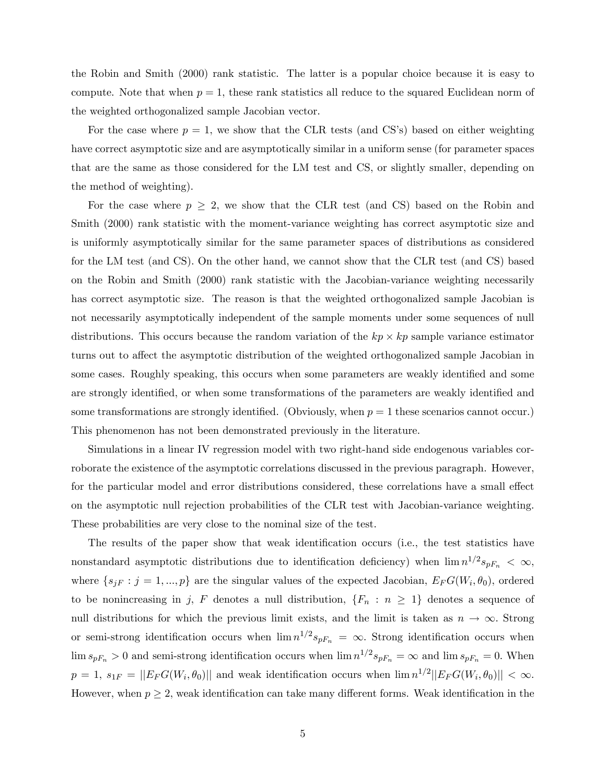the Robin and Smith (2000) rank statistic. The latter is a popular choice because it is easy to compute. Note that when  $p = 1$ , these rank statistics all reduce to the squared Euclidean norm of the weighted orthogonalized sample Jacobian vector.

For the case where  $p = 1$ , we show that the CLR tests (and CS's) based on either weighting have correct asymptotic size and are asymptotically similar in a uniform sense (for parameter spaces that are the same as those considered for the LM test and CS, or slightly smaller, depending on the method of weighting).

For the case where  $p \geq 2$ , we show that the CLR test (and CS) based on the Robin and Smith (2000) rank statistic with the moment-variance weighting has correct asymptotic size and is uniformly asymptotically similar for the same parameter spaces of distributions as considered for the LM test (and CS). On the other hand, we cannot show that the CLR test (and CS) based on the Robin and Smith (2000) rank statistic with the Jacobian-variance weighting necessarily has correct asymptotic size. The reason is that the weighted orthogonalized sample Jacobian is not necessarily asymptotically independent of the sample moments under some sequences of null distributions. This occurs because the random variation of the  $kp \times kp$  sample variance estimator turns out to affect the asymptotic distribution of the weighted orthogonalized sample Jacobian in some cases. Roughly speaking, this occurs when some parameters are weakly identified and some are strongly identified, or when some transformations of the parameters are weakly identified and some transformations are strongly identified. (Obviously, when  $p = 1$  these scenarios cannot occur.) This phenomenon has not been demonstrated previously in the literature.

Simulations in a linear IV regression model with two right-hand side endogenous variables corroborate the existence of the asymptotic correlations discussed in the previous paragraph. However, for the particular model and error distributions considered, these correlations have a small effect on the asymptotic null rejection probabilities of the CLR test with Jacobian-variance weighting. These probabilities are very close to the nominal size of the test.

The results of the paper show that weak identification occurs (i.e., the test statistics have nonstandard asymptotic distributions due to identification deficiency) when  $\lim_{n \to \infty} n^{1/2} s_{pF_n} < \infty$ , where  $\{s_{jF} : j = 1, ..., p\}$  are the singular values of the expected Jacobian,  $E_F G(W_i, \theta_0)$ , ordered to be nonincreasing in j, F denotes a null distribution,  $\{F_n : n \geq 1\}$  denotes a sequence of null distributions for which the previous limit exists, and the limit is taken as  $n \to \infty$ . Strong or semi-strong identification occurs when  $\lim n^{1/2} s_{pF_n} = \infty$ . Strong identification occurs when  $\lim s_{pF_n} > 0$  and semi-strong identification occurs when  $\lim n^{1/2} s_{pF_n} = \infty$  and  $\lim s_{pF_n} = 0$ . When  $p = 1, s_{1F} = ||E_F G(W_i, \theta_0)||$  and weak identification occurs when  $\lim_{n \to \infty} n^{1/2} ||E_F G(W_i, \theta_0)|| < \infty$ . However, when  $p \geq 2$ , weak identification can take many different forms. Weak identification in the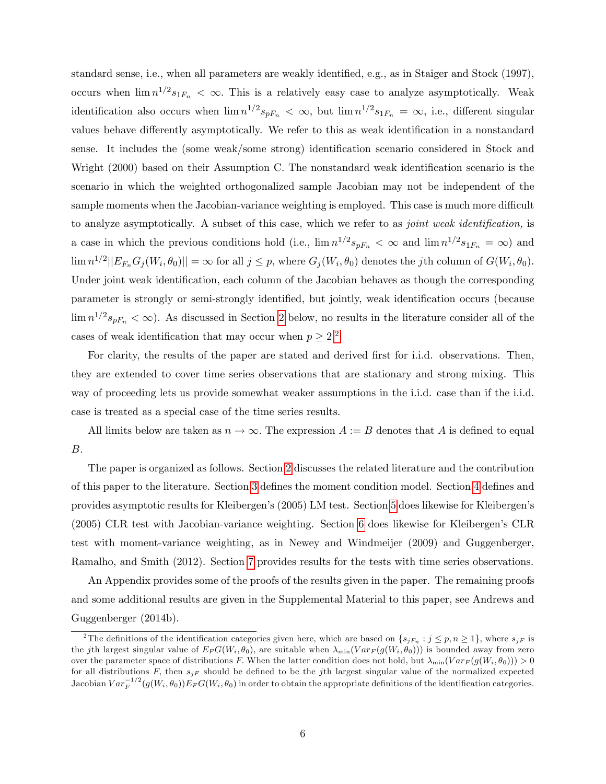standard sense, i.e., when all parameters are weakly identified, e.g., as in Staiger and Stock (1997), occurs when  $\lim_{n \to \infty} n^{1/2} s_{1F_n} < \infty$ . This is a relatively easy case to analyze asymptotically. Weak identification also occurs when  $\lim_{n \to \infty} n^{1/2} s_{pF_n} < \infty$ , but  $\lim_{n \to \infty} n^{1/2} s_{1F_n} = \infty$ , i.e., different singular values behave differently asymptotically. We refer to this as weak identification in a nonstandard sense. It includes the (some weak/some strong) identification scenario considered in Stock and Wright (2000) based on their Assumption C. The nonstandard weak identification scenario is the scenario in which the weighted orthogonalized sample Jacobian may not be independent of the sample moments when the Jacobian-variance weighting is employed. This case is much more difficult to analyze asymptotically. A subset of this case, which we refer to as *joint weak identification*, is a case in which the previous conditions hold (i.e.,  $\lim n^{1/2} s_{pF_n} < \infty$  and  $\lim n^{1/2} s_{1F_n} = \infty$ ) and  $\lim n^{1/2} ||E_{F_n}G_j(W_i, \theta_0)|| = \infty$  for all  $j \leq p$ , where  $G_j(W_i, \theta_0)$  denotes the jth column of  $G(W_i, \theta_0)$ . Under joint weak identification, each column of the Jacobian behaves as though the corresponding parameter is strongly or semi-strongly identified, but jointly, weak identification occurs (because  $\lim_{n \to \infty} n^{1/2} s_{pF_n} < \infty$ ). As discussed in Section [2](#page-7-0) below, no results in the literature consider all of the cases of weak identification that may occur when  $p \geq 2$  $p \geq 2$ <sup>2</sup>.

For clarity, the results of the paper are stated and derived first for i.i.d. observations. Then, they are extended to cover time series observations that are stationary and strong mixing. This way of proceeding lets us provide somewhat weaker assumptions in the i.i.d. case than if the i.i.d. case is treated as a special case of the time series results.

All limits below are taken as  $n \to \infty$ . The expression  $A := B$  denotes that A is defined to equal B:

The paper is organized as follows. Section [2](#page-7-0) discusses the related literature and the contribution of this paper to the literature. Section [3](#page-14-0) defines the moment condition model. Section [4](#page-21-0) defines and provides asymptotic results for Kleibergenís (2005) LM test. Section [5](#page-23-0) does likewise for Kleibergenís (2005) CLR test with Jacobian-variance weighting. Section [6](#page-29-0) does likewise for Kleibergenís CLR test with moment-variance weighting, as in Newey and Windmeijer (2009) and Guggenberger, Ramalho, and Smith (2012). Section [7](#page-30-0) provides results for the tests with time series observations.

An Appendix provides some of the proofs of the results given in the paper. The remaining proofs and some additional results are given in the Supplemental Material to this paper, see Andrews and Guggenberger (2014b).

<span id="page-6-0"></span><sup>&</sup>lt;sup>2</sup>The definitions of the identification categories given here, which are based on  $\{s_{iF_n} : j \leq p, n \geq 1\}$ , where  $s_{iF}$  is the jth largest singular value of  $E_F G(W_i, \theta_0)$ , are suitable when  $\lambda_{\min}(Var_F(g(W_i, \theta_0)))$  is bounded away from zero over the parameter space of distributions F. When the latter condition does not hold, but  $\lambda_{\min}(Var_F(g(W_i, \theta_0))) > 0$ for all distributions F, then  $s_{iF}$  should be defined to be the j<sup>th</sup> largest singular value of the normalized expected Jacobian  $Var_F^{-1/2}(g(W_i, \theta_0))E_F G(W_i, \theta_0)$  in order to obtain the appropriate definitions of the identification categories.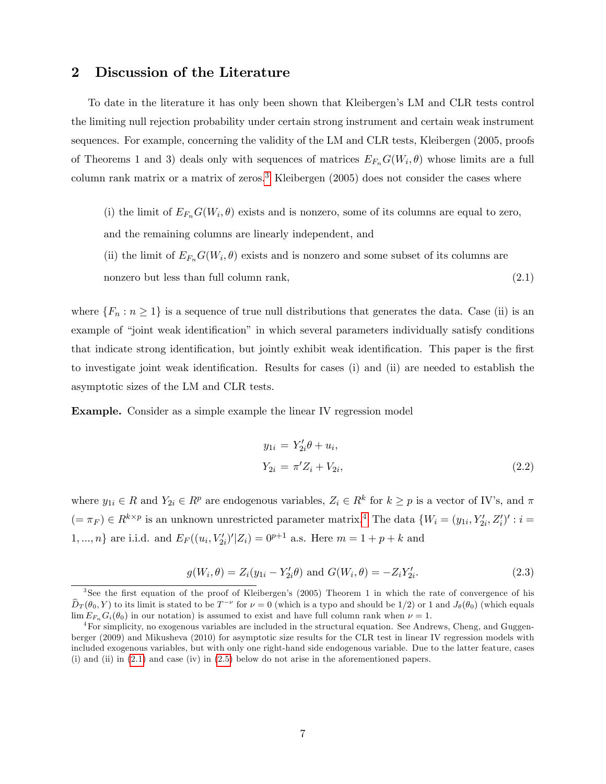## <span id="page-7-0"></span>2 Discussion of the Literature

To date in the literature it has only been shown that Kleibergenís LM and CLR tests control the limiting null rejection probability under certain strong instrument and certain weak instrument sequences. For example, concerning the validity of the LM and CLR tests, Kleibergen (2005, proofs of Theorems 1 and 3) deals only with sequences of matrices  $E_{F_n}G(W_i, \theta)$  whose limits are a full column rank matrix or a matrix of zeros.<sup>[3](#page-7-1)</sup> Kleibergen  $(2005)$  does not consider the cases where

- <span id="page-7-3"></span>(i) the limit of  $E_{F_n}G(W_i, \theta)$  exists and is nonzero, some of its columns are equal to zero,
- and the remaining columns are linearly independent, and
- (ii) the limit of  $E_{F_n}G(W_i, \theta)$  exists and is nonzero and some subset of its columns are nonzero but less than full column rank,  $(2.1)$

where  $\{F_n : n \geq 1\}$  is a sequence of true null distributions that generates the data. Case (ii) is an example of "joint weak identification" in which several parameters individually satisfy conditions that indicate strong identification, but jointly exhibit weak identification. This paper is the first to investigate joint weak identification. Results for cases (i) and (ii) are needed to establish the asymptotic sizes of the LM and CLR tests.

Example. Consider as a simple example the linear IV regression model

<span id="page-7-4"></span>
$$
y_{1i} = Y'_{2i}\theta + u_i,
$$
  
\n
$$
Y_{2i} = \pi' Z_i + V_{2i},
$$
\n(2.2)

where  $y_{1i} \in R$  and  $Y_{2i} \in R^p$  are endogenous variables,  $Z_i \in R^k$  for  $k \geq p$  is a vector of IV's, and  $\pi$  $(=\pi_F) \in R^{k \times p}$  is an unknown unrestricted parameter matrix.<sup>[4](#page-7-2)</sup> The data  $\{W_i = (y_{1i}, Y'_{2i}, Z'_i)': i =$  $1, ..., n$ } are i.i.d. and  $E_F((u_i, V'_{2i})'|Z_i) = 0^{p+1}$  a.s. Here  $m = 1 + p + k$  and

$$
g(W_i, \theta) = Z_i(y_{1i} - Y'_{2i}\theta) \text{ and } G(W_i, \theta) = -Z_i Y'_{2i}.
$$
 (2.3)

<span id="page-7-1"></span><sup>&</sup>lt;sup>3</sup>See the first equation of the proof of Kleibergen's (2005) Theorem 1 in which the rate of convergence of his  $\hat{D}_T(\theta_0, Y)$  to its limit is stated to be  $T^{-\nu}$  for  $\nu = 0$  (which is a typo and should be  $1/2$ ) or 1 and  $J_\theta(\theta_0)$  (which equals  $\lim E_{F_n} G_i(\theta_0)$  in our notation) is assumed to exist and have full column rank when  $\nu = 1$ .

<span id="page-7-2"></span><sup>4</sup>For simplicity, no exogenous variables are included in the structural equation. See Andrews, Cheng, and Guggenberger (2009) and Mikusheva (2010) for asymptotic size results for the CLR test in linear IV regression models with included exogenous variables, but with only one right-hand side endogenous variable. Due to the latter feature, cases (i) and (ii) in [\(2.1\)](#page-7-3) and case (iv) in [\(2.5\)](#page-10-0) below do not arise in the aforementioned papers.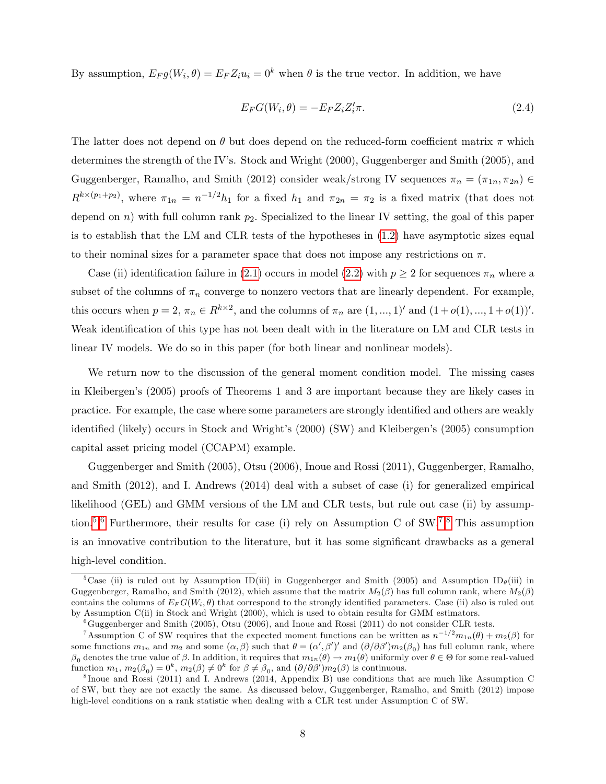By assumption,  $E_F g(W_i, \theta) = E_F Z_i u_i = 0^k$  when  $\theta$  is the true vector. In addition, we have

$$
E_F G(W_i, \theta) = -E_F Z_i Z_i' \pi.
$$
\n(2.4)

The latter does not depend on  $\theta$  but does depend on the reduced-form coefficient matrix  $\pi$  which determines the strength of the IV's. Stock and Wright  $(2000)$ , Guggenberger and Smith  $(2005)$ , and Guggenberger, Ramalho, and Smith (2012) consider weak/strong IV sequences  $\pi_n = (\pi_{1n}, \pi_{2n}) \in$  $R^{k\times (p_1+p_2)}$ , where  $\pi_{1n} = n^{-1/2}h_1$  for a fixed  $h_1$  and  $\pi_{2n} = \pi_2$  is a fixed matrix (that does not depend on n) with full column rank  $p_2$ . Specialized to the linear IV setting, the goal of this paper is to establish that the LM and CLR tests of the hypotheses in [\(1.2\)](#page-3-2) have asymptotic sizes equal to their nominal sizes for a parameter space that does not impose any restrictions on  $\pi$ .

Case (ii) identification failure in [\(2.1\)](#page-7-3) occurs in model [\(2.2\)](#page-7-4) with  $p \ge 2$  for sequences  $\pi_n$  where a subset of the columns of  $\pi_n$  converge to nonzero vectors that are linearly dependent. For example, this occurs when  $p = 2, \pi_n \in R^{k \times 2}$ , and the columns of  $\pi_n$  are  $(1, ..., 1)$ ' and  $(1 + o(1), ..., 1 + o(1))'$ . Weak identification of this type has not been dealt with in the literature on LM and CLR tests in linear IV models. We do so in this paper (for both linear and nonlinear models).

We return now to the discussion of the general moment condition model. The missing cases in Kleibergenís (2005) proofs of Theorems 1 and 3 are important because they are likely cases in practice. For example, the case where some parameters are strongly identified and others are weakly identified (likely) occurs in Stock and Wright's (2000) (SW) and Kleibergen's (2005) consumption capital asset pricing model (CCAPM) example.

Guggenberger and Smith (2005), Otsu (2006), Inoue and Rossi (2011), Guggenberger, Ramalho, and Smith (2012), and I. Andrews (2014) deal with a subset of case (i) for generalized empirical likelihood (GEL) and GMM versions of the LM and CLR tests, but rule out case (ii) by assump-tion.<sup>[5](#page-8-0),[6](#page-8-1)</sup> Furthermore, their results for case (i) rely on Assumption C of  $SW.^{7,8}$  $SW.^{7,8}$  $SW.^{7,8}$  $SW.^{7,8}$  $SW.^{7,8}$  This assumption is an innovative contribution to the literature, but it has some significant drawbacks as a general high-level condition.

<span id="page-8-0"></span><sup>&</sup>lt;sup>5</sup>Case (ii) is ruled out by Assumption ID(iii) in Guggenberger and Smith (2005) and Assumption ID<sub>e</sub>(iii) in Guggenberger, Ramalho, and Smith (2012), which assume that the matrix  $M_2(\beta)$  has full column rank, where  $M_2(\beta)$ contains the columns of  $E_F G(W_i, \theta)$  that correspond to the strongly identified parameters. Case (ii) also is ruled out by Assumption C(ii) in Stock and Wright (2000), which is used to obtain results for GMM estimators.

<span id="page-8-2"></span><span id="page-8-1"></span> $6G$ uggenberger and Smith (2005), Otsu (2006), and Inoue and Rossi (2011) do not consider CLR tests.

<sup>&</sup>lt;sup>7</sup>Assumption C of SW requires that the expected moment functions can be written as  $n^{-1/2}m_{1n}(\theta) + m_2(\beta)$  for some functions  $m_{1n}$  and  $m_2$  and some  $(\alpha, \beta)$  such that  $\theta = (\alpha', \beta')'$  and  $(\partial/\partial \beta')m_2(\beta_0)$  has full column rank, where  $\beta_0$  denotes the true value of  $\beta$ . In addition, it requires that  $m_{1n}(\theta) \to m_1(\theta)$  uniformly over  $\theta \in \Theta$  for some real-valued function  $m_1, m_2(\beta_0) = 0^k, m_2(\beta) \neq 0^k$  for  $\beta \neq \beta_0$ , and  $(\partial/\partial \beta')m_2(\beta)$  is continuous.

<span id="page-8-3"></span><sup>8</sup> Inoue and Rossi (2011) and I. Andrews (2014, Appendix B) use conditions that are much like Assumption C of SW, but they are not exactly the same. As discussed below, Guggenberger, Ramalho, and Smith (2012) impose high-level conditions on a rank statistic when dealing with a CLR test under Assumption C of SW.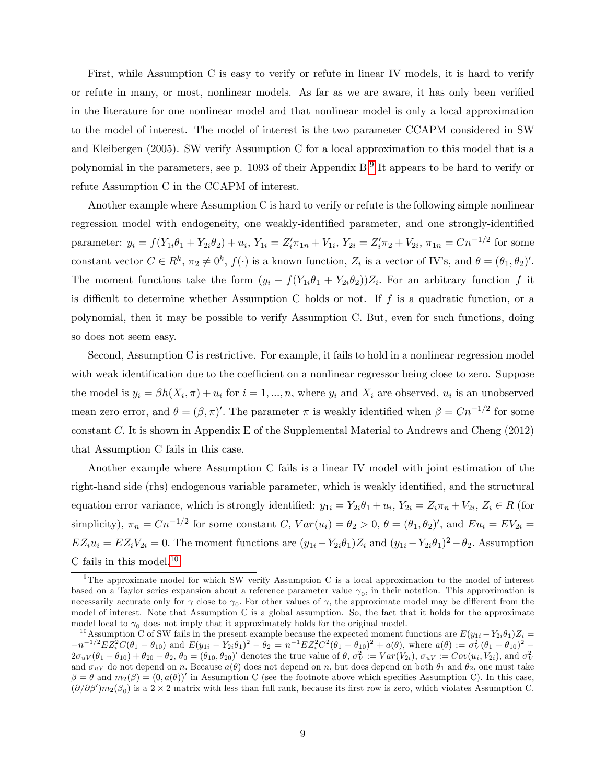First, while Assumption C is easy to verify or refute in linear IV models, it is hard to verify or refute in many, or most, nonlinear models. As far as we are aware, it has only been verified in the literature for one nonlinear model and that nonlinear model is only a local approximation to the model of interest. The model of interest is the two parameter CCAPM considered in SW and Kleibergen (2005). SW verify Assumption C for a local approximation to this model that is a polynomial in the parameters, see p. 10[9](#page-9-0)3 of their Appendix B.<sup>9</sup> It appears to be hard to verify or refute Assumption C in the CCAPM of interest.

Another example where Assumption C is hard to verify or refute is the following simple nonlinear regression model with endogeneity, one weakly-identified parameter, and one strongly-identified parameter:  $y_i = f(Y_{1i}\theta_1 + Y_{2i}\theta_2) + u_i, Y_{1i} = Z'_i\pi_{1n} + V_{1i}, Y_{2i} = Z'_i\pi_2 + V_{2i}, \pi_{1n} = Cn^{-1/2}$  for some constant vector  $C \in \mathbb{R}^k$ ,  $\pi_2 \neq 0^k$ ,  $f(\cdot)$  is a known function,  $Z_i$  is a vector of IV's, and  $\theta = (\theta_1, \theta_2)'$ . The moment functions take the form  $(y_i - f(Y_{1i}\theta_1 + Y_{2i}\theta_2))Z_i$ . For an arbitrary function f it is difficult to determine whether Assumption C holds or not. If  $f$  is a quadratic function, or a polynomial, then it may be possible to verify Assumption C. But, even for such functions, doing so does not seem easy.

Second, Assumption C is restrictive. For example, it fails to hold in a nonlinear regression model with weak identification due to the coefficient on a nonlinear regressor being close to zero. Suppose the model is  $y_i = \beta h(X_i, \pi) + u_i$  for  $i = 1, ..., n$ , where  $y_i$  and  $X_i$  are observed,  $u_i$  is an unobserved mean zero error, and  $\theta = (\beta, \pi)'$ . The parameter  $\pi$  is weakly identified when  $\beta = Cn^{-1/2}$  for some constant C: It is shown in Appendix E of the Supplemental Material to Andrews and Cheng (2012) that Assumption C fails in this case.

Another example where Assumption C fails is a linear IV model with joint estimation of the right-hand side (rhs) endogenous variable parameter, which is weakly identified, and the structural equation error variance, which is strongly identified:  $y_{1i} = Y_{2i}\theta_1 + u_i$ ,  $Y_{2i} = Z_i\pi_i + V_{2i}$ ,  $Z_i \in R$  (for simplicity),  $\pi_n = Cn^{-1/2}$  for some constant C,  $Var(u_i) = \theta_2 > 0$ ,  $\theta = (\theta_1, \theta_2)'$ , and  $Eu_i = EV_{2i}$  $EZ_iu_i = EZ_iV_{2i} = 0$ . The moment functions are  $(y_{1i} - Y_{2i}\theta_1)Z_i$  and  $(y_{1i} - Y_{2i}\theta_1)^2 - \theta_2$ . Assumption C fails in this model. $^{10}$  $^{10}$  $^{10}$ 

<span id="page-9-0"></span> $9$ The approximate model for which SW verify Assumption C is a local approximation to the model of interest based on a Taylor series expansion about a reference parameter value  $\gamma_0$ , in their notation. This approximation is necessarily accurate only for  $\gamma$  close to  $\gamma_0$ . For other values of  $\gamma$ , the approximate model may be different from the model of interest. Note that Assumption C is a global assumption. So, the fact that it holds for the approximate model local to  $\gamma_0$  does not imply that it approximately holds for the original model.

<span id="page-9-1"></span><sup>&</sup>lt;sup>10</sup>Assumption C of SW fails in the present example because the expected moment functions are  $E(y_{1i} - Y_{2i}\theta_1)Z_i =$  $-n^{-1/2}EZ_i^2C(\theta_1-\theta_{10})$  and  $E(y_{1i}-Y_{2i}\theta_1)^2-\theta_2=n^{-1}EZ_i^2C^2(\theta_1-\theta_{10})^2+a(\theta)$ , where  $a(\theta):=\sigma_V^2(\theta_1-\theta_{10})^2-\sigma_V^2(\theta_1-\theta_{10})^2$  $2\sigma_{u}(\theta_1-\theta_{10})+\theta_{20}-\theta_2, \theta_0=(\theta_{10},\theta_{20})'$  denotes the true value of  $\theta$ ,  $\sigma_V^2:=Var(V_{2i})$ ,  $\sigma_{uV}:=Cov(u_i,V_{2i})$ , and  $\sigma_V^2$ and  $\sigma_{uV}$  do not depend on n. Because  $a(\theta)$  does not depend on n, but does depend on both  $\theta_1$  and  $\theta_2$ , one must take  $\beta = \theta$  and  $m_2(\beta) = (0, a(\theta))'$  in Assumption C (see the footnote above which specifies Assumption C). In this case,  $(\partial/\partial\beta')m_2(\beta_0)$  is a  $2\times 2$  matrix with less than full rank, because its first row is zero, which violates Assumption C.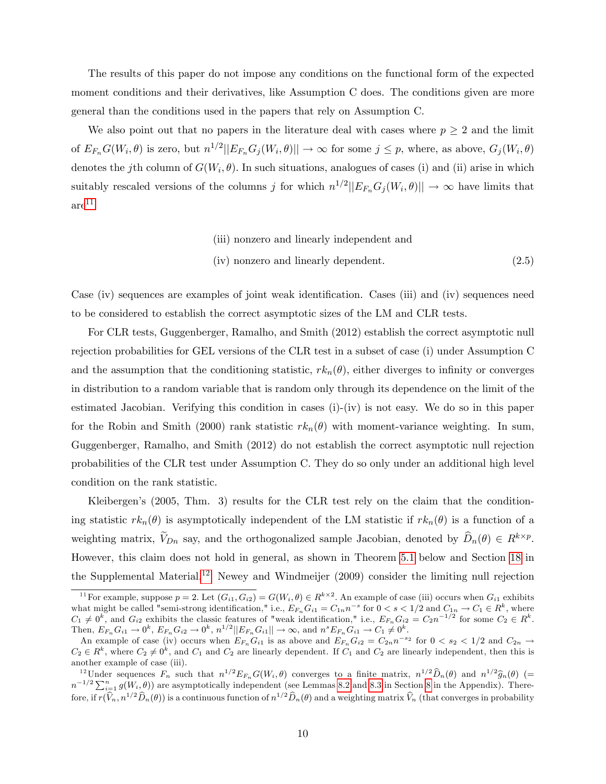The results of this paper do not impose any conditions on the functional form of the expected moment conditions and their derivatives, like Assumption C does. The conditions given are more general than the conditions used in the papers that rely on Assumption C.

We also point out that no papers in the literature deal with cases where  $p \geq 2$  and the limit of  $E_{F_n}G(W_i, \theta)$  is zero, but  $n^{1/2}||E_{F_n}G_j(W_i, \theta)|| \to \infty$  for some  $j \leq p$ , where, as above,  $G_j(W_i, \theta)$ denotes the j<sup>th</sup> column of  $G(W_i, \theta)$ . In such situations, analogues of cases (i) and (ii) arise in which suitably rescaled versions of the columns j for which  $n^{1/2}||E_{F_n}G_j(W_i, \theta)|| \to \infty$  have limits that  $are^{11}$  $are^{11}$  $are^{11}$ 

> <span id="page-10-0"></span>(iii) nonzero and linearly independent and (iv) nonzero and linearly dependent. (2.5)

Case (iv) sequences are examples of joint weak identification. Cases (iii) and (iv) sequences need to be considered to establish the correct asymptotic sizes of the LM and CLR tests.

For CLR tests, Guggenberger, Ramalho, and Smith (2012) establish the correct asymptotic null rejection probabilities for GEL versions of the CLR test in a subset of case (i) under Assumption C and the assumption that the conditioning statistic,  $rk_n(\theta)$ , either diverges to infinity or converges in distribution to a random variable that is random only through its dependence on the limit of the estimated Jacobian. Verifying this condition in cases (i)-(iv) is not easy. We do so in this paper for the Robin and Smith (2000) rank statistic  $rk_n(\theta)$  with moment-variance weighting. In sum, Guggenberger, Ramalho, and Smith (2012) do not establish the correct asymptotic null rejection probabilities of the CLR test under Assumption C. They do so only under an additional high level condition on the rank statistic.

Kleibergen's (2005, Thm. 3) results for the CLR test rely on the claim that the conditioning statistic  $rk_n(\theta)$  is asymptotically independent of the LM statistic if  $rk_n(\theta)$  is a function of a weighting matrix,  $V_{Dn}$  say, and the orthogonalized sample Jacobian, denoted by  $\widehat{D}_n(\theta) \in R^{k \times p}$ . However, this claim does not hold in general, as shown in Theorem [5.1](#page-25-0) below and Section [18](#page--1-0) in the Supplemental Material.[12](#page-10-2) Newey and Windmeijer (2009) consider the limiting null rejection

<span id="page-10-1"></span><sup>&</sup>lt;sup>11</sup>For example, suppose  $p = 2$ . Let  $(G_{i1}, G_{i2}) = G(W_i, \theta) \in R^{k \times 2}$ . An example of case (iii) occurs when  $G_{i1}$  exhibits what might be called "semi-strong identification," i.e.,  $E_{F_n} G_{i1} = C_{1n} n^{-s}$  for  $0 < s < 1/2$  and  $C_{1n} \to C_1 \in R^k$ , where  $C_1 \neq 0^k$ , and  $G_{i2}$  exhibits the classic features of "weak identification," i.e.,  $E_{F_n} G_{i2} = C_2 n^{-1/2}$  for some  $C_2 \in R^k$ . Then,  $E_{F_n} G_{i1} \to 0^k$ ,  $E_{F_n} G_{i2} \to 0^k$ ,  $n^{1/2} ||E_{F_n} G_{i1}|| \to \infty$ , and  $n^s E_{F_n} G_{i1} \to C_1 \neq 0^k$ .

An example of case (iv) occurs when  $E_{F_n} G_{i1}$  is as above and  $E_{F_n} G_{i2} = C_{2n} n^{-s_2}$  for  $0 < s_2 < 1/2$  and  $C_{2n} \to$  $C_2 \in R^k$ , where  $C_2 \neq 0^k$ , and  $C_1$  and  $C_2$  are linearly dependent. If  $C_1$  and  $C_2$  are linearly independent, then this is another example of case (iii).

<span id="page-10-2"></span><sup>&</sup>lt;sup>12</sup>Under sequences  $F_n$  such that  $n^{1/2} E_{F_n} G(W_i, \theta)$  converges to a finite matrix,  $n^{1/2} \widehat{D}_n(\theta)$  and  $n^{1/2} \widehat{g}_n(\theta)$  (=  $n^{-1/2} \sum_{i=1}^n g(W_i, \theta)$ ) are asymptotically independent (see Lemmas [8.2](#page-41-0) and [8.3](#page-44-0) in Sectio fore, if  $r(\hat{V}_n, n^{1/2}\hat{D}_n(\theta))$  is a continuous function of  $n^{1/2}\hat{D}_n(\theta)$  and a weighting matrix  $\hat{V}_n$  (that converges in probability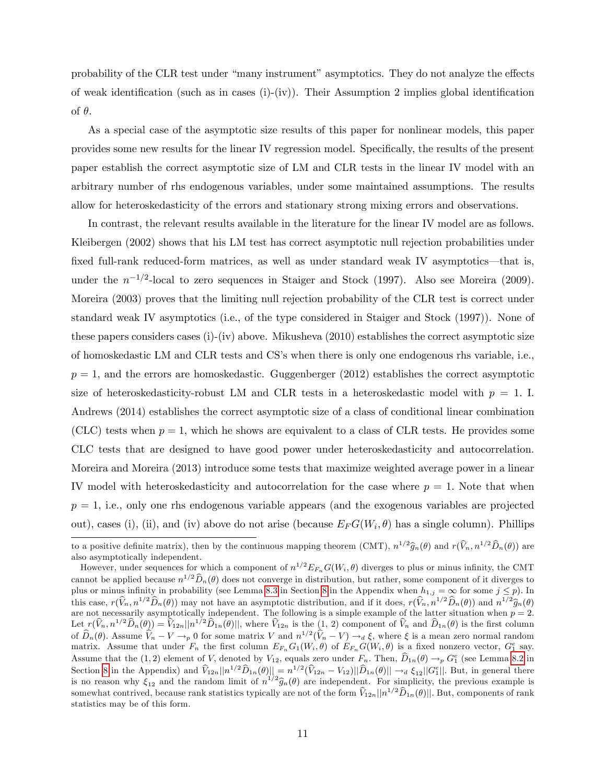probability of the CLR test under "many instrument" asymptotics. They do not analyze the effects of weak identification (such as in cases  $(i)-(iv)$ ). Their Assumption 2 implies global identification of  $\theta$ .

As a special case of the asymptotic size results of this paper for nonlinear models, this paper provides some new results for the linear IV regression model. Specifically, the results of the present paper establish the correct asymptotic size of LM and CLR tests in the linear IV model with an arbitrary number of rhs endogenous variables, under some maintained assumptions. The results allow for heteroskedasticity of the errors and stationary strong mixing errors and observations.

In contrast, the relevant results available in the literature for the linear IV model are as follows. Kleibergen (2002) shows that his LM test has correct asymptotic null rejection probabilities under fixed full-rank reduced-form matrices, as well as under standard weak IV asymptotics—that is, under the  $n^{-1/2}$ -local to zero sequences in Staiger and Stock (1997). Also see Moreira (2009). Moreira (2003) proves that the limiting null rejection probability of the CLR test is correct under standard weak IV asymptotics (i.e., of the type considered in Staiger and Stock (1997)). None of these papers considers cases (i)-(iv) above. Mikusheva (2010) establishes the correct asymptotic size of homoskedastic LM and CLR tests and CSís when there is only one endogenous rhs variable, i.e.,  $p = 1$ , and the errors are homoskedastic. Guggenberger (2012) establishes the correct asymptotic size of heteroskedasticity-robust LM and CLR tests in a heteroskedastic model with  $p = 1$ . I. Andrews (2014) establishes the correct asymptotic size of a class of conditional linear combination (CLC) tests when  $p = 1$ , which he shows are equivalent to a class of CLR tests. He provides some CLC tests that are designed to have good power under heteroskedasticity and autocorrelation. Moreira and Moreira (2013) introduce some tests that maximize weighted average power in a linear IV model with heteroskedasticity and autocorrelation for the case where  $p = 1$ . Note that when  $p = 1$ , i.e., only one rhs endogenous variable appears (and the exogenous variables are projected out), cases (i), (ii), and (iv) above do not arise (because  $E_F G(W_i, \theta)$  has a single column). Phillips

to a positive definite matrix), then by the continuous mapping theorem (CMT),  $n^{1/2}\hat{g}_n(\theta)$  and  $r(\hat{V}_n, n^{1/2}\hat{D}_n(\theta))$  are also asymptotically independent.

However, under sequences for which a component of  $n^{1/2}E_{F_n}G(W_i, \theta)$  diverges to plus or minus infinity, the CMT cannot be applied because  $n^{1/2}\widehat{D}_n(\theta)$  does not converge in distribution, but rather, some component of it diverges to plus or minus infinity in probability (see Lemma [8.3](#page-44-0) in Section [8](#page-34-0) in the Appendix when  $h_{1,j} = \infty$  for some  $j \leq p$ ). In this case,  $r(\hat{V}_n, n^{1/2}\hat{D}_n(\theta))$  may not have an asymptotic distribution, and if it does,  $r(\hat{V}_n, n^{1/2}\hat{D}_n(\theta))$  and  $n^{1/2}\hat{g}_n(\theta)$ are not necessarily asymptotically independent. The following is a simple example of the latter situation when  $p = 2$ . Let  $r(\hat{V}_n, n^{1/2}\hat{D}_n(\theta)) = \hat{V}_{12n} ||n^{1/2}\hat{D}_{1n}(\theta)||$ , where  $\hat{V}_{12n}$  is the  $(1, 2)$  component of  $\hat{V}_n$  and  $\hat{D}_{1n}(\theta)$  is the first column of  $\widehat{D}_n(\theta)$ . Assume  $\widehat{V}_n - V \to_p 0$  for some matrix V and  $n^{1/2}(\widehat{V}_n - V) \to_d \xi$ , where  $\xi$  is a mean zero normal random matrix. Assume that under  $F_n$  the first column  $E_{F_n} G_1(W_i, \theta)$  of  $E_{F_n} G(W_i, \theta)$  is a fixed nonzero vector,  $G_1^e$  say. Assume that the (1,2) element of V, denoted by  $V_{12}$ , equals zero under  $F_n$ . Then,  $\widehat{D}_{1n}(\theta) \to_p G_1^e$  (see Lemma [8.2](#page-41-0) in Section [8](#page-34-0) in the Appendix) and  $\widehat{V}_{12n}||n^{1/2}\widehat{D}_{1n}(\theta)|| = n^{1/2}(\widehat{V}_{12n} - V_{12})||\widehat{D}_{1n}(\theta)|| \rightarrow_d \xi_{12}||G_1^e||$ . But, in general there is no reason why  $\xi_{12}$  and the random limit of  $n^{1/2}\hat{g}_n(\theta)$  are independent. For simplicity, the previous example is somewhat contrived, because rank statistics typically are not of the form  $\widehat{V}_{12n}||n^{1/2}\widehat{D}_{1n}(\theta)||$ . But, components of rank statistics may be of this form.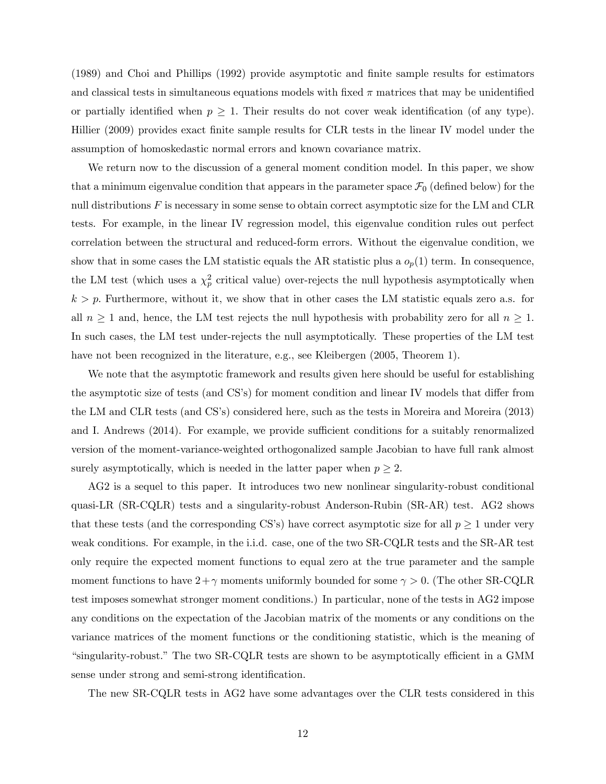(1989) and Choi and Phillips (1992) provide asymptotic and Önite sample results for estimators and classical tests in simultaneous equations models with fixed  $\pi$  matrices that may be unidentified or partially identified when  $p \geq 1$ . Their results do not cover weak identification (of any type). Hillier (2009) provides exact finite sample results for CLR tests in the linear IV model under the assumption of homoskedastic normal errors and known covariance matrix.

We return now to the discussion of a general moment condition model. In this paper, we show that a minimum eigenvalue condition that appears in the parameter space  $\mathcal{F}_0$  (defined below) for the null distributions  $F$  is necessary in some sense to obtain correct asymptotic size for the LM and CLR tests. For example, in the linear IV regression model, this eigenvalue condition rules out perfect correlation between the structural and reduced-form errors. Without the eigenvalue condition, we show that in some cases the LM statistic equals the AR statistic plus a  $o_p(1)$  term. In consequence, the LM test (which uses a  $\chi_p^2$  critical value) over-rejects the null hypothesis asymptotically when  $k > p$ . Furthermore, without it, we show that in other cases the LM statistic equals zero a.s. for all  $n \geq 1$  and, hence, the LM test rejects the null hypothesis with probability zero for all  $n \geq 1$ . In such cases, the LM test under-rejects the null asymptotically. These properties of the LM test have not been recognized in the literature, e.g., see Kleibergen (2005, Theorem 1).

We note that the asymptotic framework and results given here should be useful for establishing the asymptotic size of tests (and CS's) for moment condition and linear IV models that differ from the LM and CLR tests (and CS's) considered here, such as the tests in Moreira and Moreira (2013) and I. Andrews (2014). For example, we provide sufficient conditions for a suitably renormalized version of the moment-variance-weighted orthogonalized sample Jacobian to have full rank almost surely asymptotically, which is needed in the latter paper when  $p \geq 2$ .

AG2 is a sequel to this paper. It introduces two new nonlinear singularity-robust conditional quasi-LR (SR-CQLR) tests and a singularity-robust Anderson-Rubin (SR-AR) test. AG2 shows that these tests (and the corresponding CS's) have correct asymptotic size for all  $p \ge 1$  under very weak conditions. For example, in the i.i.d. case, one of the two SR-CQLR tests and the SR-AR test only require the expected moment functions to equal zero at the true parameter and the sample moment functions to have  $2+\gamma$  moments uniformly bounded for some  $\gamma > 0$ . (The other SR-CQLR test imposes somewhat stronger moment conditions.) In particular, none of the tests in AG2 impose any conditions on the expectation of the Jacobian matrix of the moments or any conditions on the variance matrices of the moment functions or the conditioning statistic, which is the meaning of ìsingularity-robust.îThe two SR-CQLR tests are shown to be asymptotically e¢ cient in a GMM sense under strong and semi-strong identification.

The new SR-CQLR tests in AG2 have some advantages over the CLR tests considered in this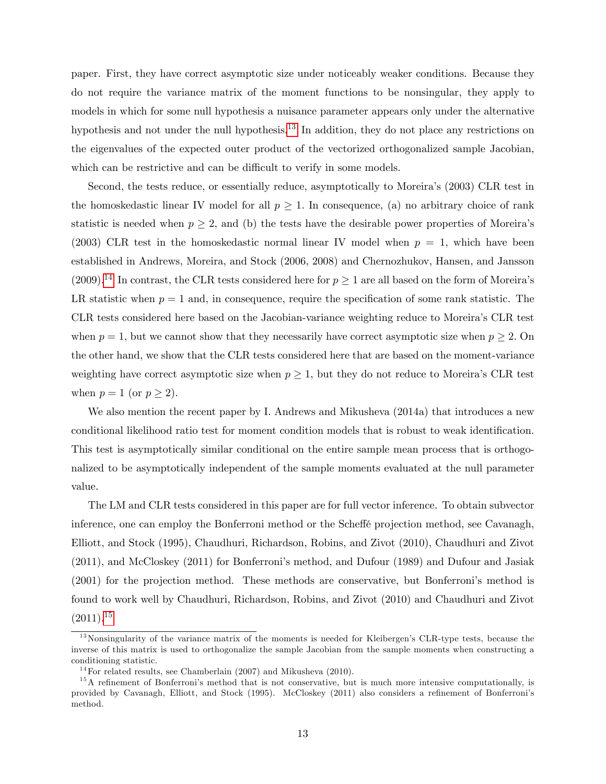paper. First, they have correct asymptotic size under noticeably weaker conditions. Because they do not require the variance matrix of the moment functions to be nonsingular, they apply to models in which for some null hypothesis a nuisance parameter appears only under the alternative hypothesis and not under the null hypothesis.<sup>[13](#page-13-0)</sup> In addition, they do not place any restrictions on the eigenvalues of the expected outer product of the vectorized orthogonalized sample Jacobian, which can be restrictive and can be difficult to verify in some models.

Second, the tests reduce, or essentially reduce, asymptotically to Moreira's  $(2003)$  CLR test in the homoskedastic linear IV model for all  $p \geq 1$ . In consequence, (a) no arbitrary choice of rank statistic is needed when  $p \geq 2$ , and (b) the tests have the desirable power properties of Moreira's (2003) CLR test in the homoskedastic normal linear IV model when  $p = 1$ , which have been established in Andrews, Moreira, and Stock (2006, 2008) and Chernozhukov, Hansen, and Jansson (2009).<sup>[14](#page-13-1)</sup> In contrast, the CLR tests considered here for  $p \ge 1$  are all based on the form of Moreira's LR statistic when  $p = 1$  and, in consequence, require the specification of some rank statistic. The CLR tests considered here based on the Jacobian-variance weighting reduce to Moreiraís CLR test when  $p = 1$ , but we cannot show that they necessarily have correct asymptotic size when  $p \ge 2$ . On the other hand, we show that the CLR tests considered here that are based on the moment-variance weighting have correct asymptotic size when  $p \geq 1$ , but they do not reduce to Moreira's CLR test when  $p = 1$  (or  $p \ge 2$ ).

We also mention the recent paper by I. Andrews and Mikusheva (2014a) that introduces a new conditional likelihood ratio test for moment condition models that is robust to weak identification. This test is asymptotically similar conditional on the entire sample mean process that is orthogonalized to be asymptotically independent of the sample moments evaluated at the null parameter value.

The LM and CLR tests considered in this paper are for full vector inference. To obtain subvector inference, one can employ the Bonferroni method or the Scheffe projection method, see Cavanagh, Elliott, and Stock (1995), Chaudhuri, Richardson, Robins, and Zivot (2010), Chaudhuri and Zivot  $(2011)$ , and McCloskey  $(2011)$  for Bonferroni's method, and Dufour  $(1989)$  and Dufour and Jasiak (2001) for the projection method. These methods are conservative, but Bonferroniís method is found to work well by Chaudhuri, Richardson, Robins, and Zivot (2010) and Chaudhuri and Zivot  $(2011).^{15}$  $(2011).^{15}$  $(2011).^{15}$ 

<span id="page-13-0"></span> $13$  Nonsingularity of the variance matrix of the moments is needed for Kleibergen's CLR-type tests, because the inverse of this matrix is used to orthogonalize the sample Jacobian from the sample moments when constructing a conditioning statistic.

<span id="page-13-2"></span><span id="page-13-1"></span><sup>&</sup>lt;sup>14</sup>For related results, see Chamberlain  $(2007)$  and Mikusheva  $(2010)$ .

 $15$ A refinement of Bonferroni's method that is not conservative, but is much more intensive computationally, is provided by Cavanagh, Elliott, and Stock (1995). McCloskey (2011) also considers a refinement of Bonferroni's method.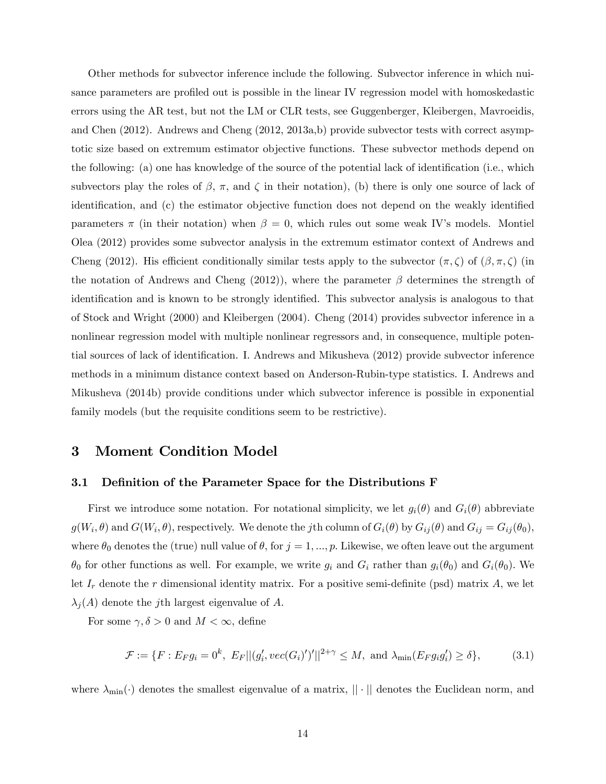Other methods for subvector inference include the following. Subvector inference in which nuisance parameters are profiled out is possible in the linear IV regression model with homoskedastic errors using the AR test, but not the LM or CLR tests, see Guggenberger, Kleibergen, Mavroeidis, and Chen (2012). Andrews and Cheng (2012, 2013a,b) provide subvector tests with correct asymptotic size based on extremum estimator objective functions. These subvector methods depend on the following: (a) one has knowledge of the source of the potential lack of identification (i.e., which subvectors play the roles of  $\beta$ ,  $\pi$ , and  $\zeta$  in their notation), (b) there is only one source of lack of identification, and (c) the estimator objective function does not depend on the weakly identified parameters  $\pi$  (in their notation) when  $\beta = 0$ , which rules out some weak IV's models. Montiel Olea (2012) provides some subvector analysis in the extremum estimator context of Andrews and Cheng (2012). His efficient conditionally similar tests apply to the subvector  $(\pi, \zeta)$  of  $(\beta, \pi, \zeta)$  (in the notation of Andrews and Cheng (2012)), where the parameter  $\beta$  determines the strength of identification and is known to be strongly identified. This subvector analysis is analogous to that of Stock and Wright (2000) and Kleibergen (2004). Cheng (2014) provides subvector inference in a nonlinear regression model with multiple nonlinear regressors and, in consequence, multiple potential sources of lack of identification. I. Andrews and Mikusheva (2012) provide subvector inference methods in a minimum distance context based on Anderson-Rubin-type statistics. I. Andrews and Mikusheva (2014b) provide conditions under which subvector inference is possible in exponential family models (but the requisite conditions seem to be restrictive).

### <span id="page-14-0"></span>3 Moment Condition Model

#### 3.1 Definition of the Parameter Space for the Distributions F

First we introduce some notation. For notational simplicity, we let  $g_i(\theta)$  and  $G_i(\theta)$  abbreviate  $g(W_i, \theta)$  and  $G(W_i, \theta)$ , respectively. We denote the jth column of  $G_i(\theta)$  by  $G_{ij}(\theta)$  and  $G_{ij} = G_{ij}(\theta_0)$ , where  $\theta_0$  denotes the (true) null value of  $\theta$ , for  $j = 1, ..., p$ . Likewise, we often leave out the argument  $\theta_0$  for other functions as well. For example, we write  $g_i$  and  $G_i$  rather than  $g_i(\theta_0)$  and  $G_i(\theta_0)$ . We let  $I_r$  denote the r dimensional identity matrix. For a positive semi-definite (psd) matrix A, we let  $\lambda_i(A)$  denote the j<sup>th</sup> largest eigenvalue of A.

For some  $\gamma, \delta > 0$  and  $M < \infty$ , define

<span id="page-14-1"></span>
$$
\mathcal{F} := \{ F : E_F g_i = 0^k, \ E_F || (g'_i, vec(G_i)')'||^{2+\gamma} \le M, \text{ and } \lambda_{\min}(E_F g_i g'_i) \ge \delta \},\tag{3.1}
$$

where  $\lambda_{\min}(\cdot)$  denotes the smallest eigenvalue of a matrix,  $||\cdot||$  denotes the Euclidean norm, and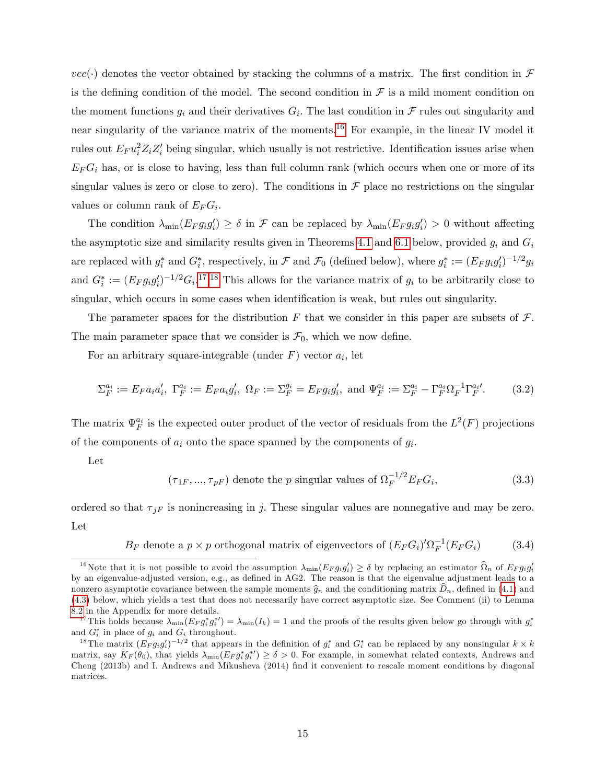$vec(\cdot)$  denotes the vector obtained by stacking the columns of a matrix. The first condition in  $\mathcal F$ is the defining condition of the model. The second condition in  $\mathcal F$  is a mild moment condition on the moment functions  $g_i$  and their derivatives  $G_i$ . The last condition in  $\mathcal F$  rules out singularity and near singularity of the variance matrix of the moments.<sup>[16](#page-15-0)</sup> For example, in the linear IV model it rules out  $E_F u_i^2 Z_i Z'_i$  being singular, which usually is not restrictive. Identification issues arise when  $E_F G_i$  has, or is close to having, less than full column rank (which occurs when one or more of its singular values is zero or close to zero). The conditions in  $\mathcal F$  place no restrictions on the singular values or column rank of  $E_F G_i$ .

The condition  $\lambda_{\min}(E_F g_i g_i') \ge \delta$  in  $\mathcal F$  can be replaced by  $\lambda_{\min}(E_F g_i g_i') > 0$  without affecting the asymptotic size and similarity results given in Theorems [4.1](#page-22-0) and [6.1](#page-29-1) below, provided  $g_i$  and  $G_i$ are replaced with  $g_i^*$  and  $G_i^*$ , respectively, in  $\mathcal F$  and  $\mathcal F_0$  (defined below), where  $g_i^* := (E_F g_i g'_i)^{-1/2} g_i$ and  $G_i^* := (E_F g_i g'_i)^{-1/2} G_i$ <sup>[17](#page-15-1),[18](#page-15-2)</sup> This allows for the variance matrix of  $g_i$  to be arbitrarily close to singular, which occurs in some cases when identification is weak, but rules out singularity.

The parameter spaces for the distribution F that we consider in this paper are subsets of  $\mathcal{F}$ . The main parameter space that we consider is  $\mathcal{F}_0$ , which we now define.

For an arbitrary square-integrable (under  $F$ ) vector  $a_i$ , let

<span id="page-15-4"></span>
$$
\Sigma_F^{a_i} := E_F a_i a_i', \ \Gamma_F^{a_i} := E_F a_i g_i', \ \Omega_F := \Sigma_F^{g_i} = E_F g_i g_i', \text{ and } \Psi_F^{a_i} := \Sigma_F^{a_i} - \Gamma_F^{a_i} \Omega_F^{-1} \Gamma_F^{a_i'}.
$$
 (3.2)

The matrix  $\Psi_F^{a_i}$  is the expected outer product of the vector of residuals from the  $L^2(F)$  projections of the components of  $a_i$  onto the space spanned by the components of  $g_i$ .

Let

<span id="page-15-3"></span>
$$
(\tau_{1F}, ..., \tau_{pF})
$$
 denote the *p* singular values of  $\Omega_F^{-1/2} E_F G_i$ , (3.3)

ordered so that  $\tau_{jF}$  is nonincreasing in j. These singular values are nonnegative and may be zero. Let

 $B_F$  denote a  $p \times p$  orthogonal matrix of eigenvectors of  $(E_F G_i)' \Omega_F^{-1}(E_F G_i)$  (3.4)

<span id="page-15-0"></span><sup>&</sup>lt;sup>16</sup>Note that it is not possible to avoid the assumption  $\lambda_{\min}(E_F g_i g_i') \ge \delta$  by replacing an estimator  $\widehat{\Omega}_n$  of  $E_F g_i g_i'$ by an eigenvalue-adjusted version, e.g., as defined in AG2. The reason is that the eigenvalue adjustment leads to a nonzero asymptotic covariance between the sample moments  $\hat{g}_n$  and the conditioning matrix  $\hat{D}_n$ , defined in [\(4.1\)](#page-21-1) and [\(4.3\)](#page-21-2) below, which yields a test that does not necessarily have correct asymptotic size. See Comment (ii) to Lemma [8.2](#page-41-0) in the Appendix for more details.

<span id="page-15-1"></span><sup>&</sup>lt;sup>17</sup>This holds because  $\lambda_{\min}(E_F g_i^* g_i^*) = \lambda_{\min}(I_k) = 1$  and the proofs of the results given below go through with  $g_i^*$ and  $G_i^*$  in place of  $g_i$  and  $G_i$  throughout.

<span id="page-15-2"></span><sup>&</sup>lt;sup>18</sup>The matrix  $(E_F g_i g'_i)^{-1/2}$  that appears in the definition of  $g_i^*$  and  $G_i^*$  can be replaced by any nonsingular  $k \times k$ matrix, say  $K_F(\theta_0)$ , that yields  $\lambda_{\min}(E_F g_i^* g_i^*) \ge \delta > 0$ . For example, in somewhat related contexts, Andrews and Cheng (2013b) and I. Andrews and Mikusheva (2014) Önd it convenient to rescale moment conditions by diagonal matrices.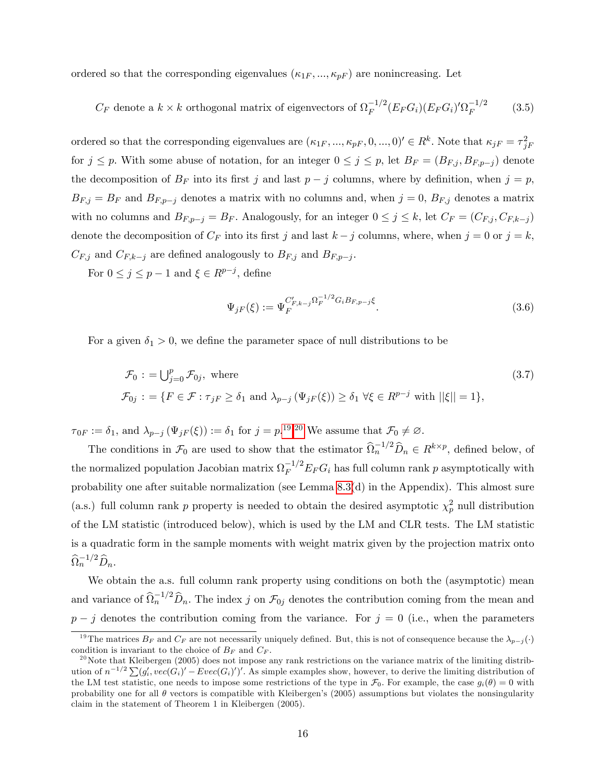ordered so that the corresponding eigenvalues  $(\kappa_{1F}, ..., \kappa_{pF})$  are nonincreasing. Let

<span id="page-16-2"></span>
$$
C_F
$$
 denote a  $k \times k$  orthogonal matrix of eigenvectors of  $\Omega_F^{-1/2} (E_F G_i) (E_F G_i)' \Omega_F^{-1/2}$  (3.5)

ordered so that the corresponding eigenvalues are  $(\kappa_{1F}, ..., \kappa_{pF}, 0, ..., 0)' \in R^k$ . Note that  $\kappa_{jF} = \tau_{jF}^2$ for  $j \leq p$ . With some abuse of notation, for an integer  $0 \leq j \leq p$ , let  $B_F = (B_{F,j}, B_{F,p-j})$  denote the decomposition of  $B_F$  into its first j and last  $p - j$  columns, where by definition, when  $j = p$ ,  $B_{F,j} = B_F$  and  $B_{F,p-j}$  denotes a matrix with no columns and, when  $j = 0$ ,  $B_{F,j}$  denotes a matrix with no columns and  $B_{F,p-j} = B_F$ . Analogously, for an integer  $0 \le j \le k$ , let  $C_F = (C_{F,j}, C_{F,k-j})$ denote the decomposition of  $C_F$  into its first j and last  $k - j$  columns, where, when  $j = 0$  or  $j = k$ ,  $C_{F,j}$  and  $C_{F,k-j}$  are defined analogously to  $B_{F,j}$  and  $B_{F,p-j}$ .

For  $0 \le j \le p-1$  and  $\xi \in R^{p-j}$ , define

$$
\Psi_{jF}(\xi) := \Psi_F^{C'_{F,k-j}\Omega_F^{-1/2}G_iB_{F,p-j}\xi}.
$$
\n(3.6)

For a given  $\delta_1 > 0$ , we define the parameter space of null distributions to be

<span id="page-16-3"></span>
$$
\mathcal{F}_0 := \bigcup_{j=0}^p \mathcal{F}_{0j}, \text{ where}
$$
\n
$$
\mathcal{F}_{0j} := \{ F \in \mathcal{F} : \tau_{jF} \ge \delta_1 \text{ and } \lambda_{p-j} (\Psi_{jF}(\xi)) \ge \delta_1 \ \forall \xi \in R^{p-j} \text{ with } ||\xi|| = 1 \},
$$
\n(3.7)

 $\tau_{0F} := \delta_1$ , and  $\lambda_{p-j} (\Psi_{jF}(\xi)) := \delta_1$  for  $j = p^{19,20}$  $j = p^{19,20}$  $j = p^{19,20}$  $j = p^{19,20}$  $j = p^{19,20}$  We assume that  $\mathcal{F}_0 \neq \emptyset$ .

The conditions in  $\mathcal{F}_0$  are used to show that the estimator  $\widehat{\Omega}_n^{-1/2} \widehat{D}_n \in R^{k \times p}$ , defined below, of the normalized population Jacobian matrix  $\Omega_F^{-1/2} E_F G_i$  has full column rank p asymptotically with probability one after suitable normalization (see Lemma [8.3\(](#page-44-0)d) in the Appendix). This almost sure (a.s.) full column rank p property is needed to obtain the desired asymptotic  $\chi_p^2$  null distribution of the LM statistic (introduced below), which is used by the LM and CLR tests. The LM statistic is a quadratic form in the sample moments with weight matrix given by the projection matrix onto  $\widehat{\Omega}_n^{-1/2}\widehat{D}_n.$ 

We obtain the a.s. full column rank property using conditions on both the (asymptotic) mean and variance of  $\widehat{\Omega}_n^{-1/2} \widehat{D}_n$ . The index j on  $\mathcal{F}_{0j}$  denotes the contribution coming from the mean and  $p - j$  denotes the contribution coming from the variance. For  $j = 0$  (i.e., when the parameters

<span id="page-16-0"></span><sup>&</sup>lt;sup>19</sup>The matrices  $B_F$  and  $C_F$  are not necessarily uniquely defined. But, this is not of consequence because the  $\lambda_{p-j}(\cdot)$ condition is invariant to the choice of  $B_F$  and  $C_F$ .

<span id="page-16-1"></span><sup>&</sup>lt;sup>20</sup>Note that Kleibergen (2005) does not impose any rank restrictions on the variance matrix of the limiting distribution of  $n^{-1/2} \sum_{i} (g'_i, vec(G_i)') - Eve(G_i)')'$ . As simple examples show, however, to derive the limiting distribution of the LM test statistic, one needs to impose some restrictions of the type in  $\mathcal{F}_0$ . For example, the case  $g_i(\theta) = 0$  with probability one for all  $\theta$  vectors is compatible with Kleibergen's (2005) assumptions but violates the nonsingularity claim in the statement of Theorem 1 in Kleibergen (2005).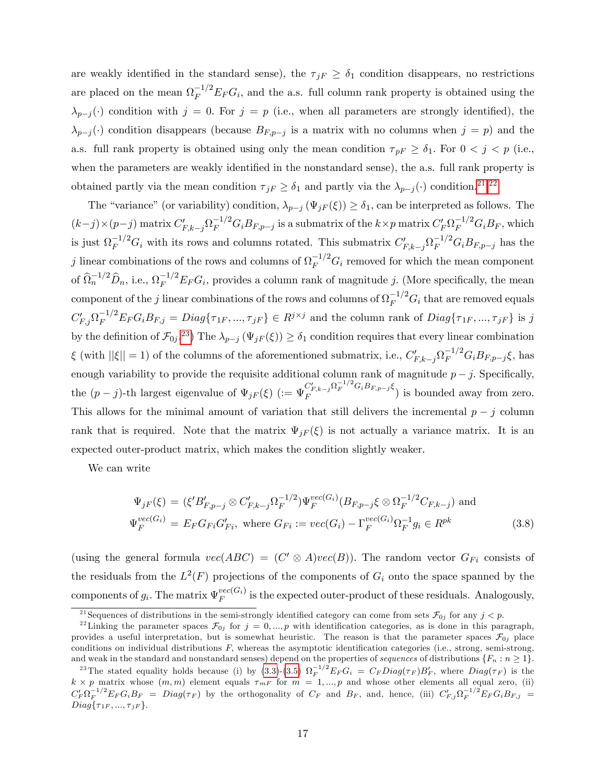are weakly identified in the standard sense), the  $\tau_{jF} \ge \delta_1$  condition disappears, no restrictions are placed on the mean  $\Omega_F^{-1/2} E_F G_i$ , and the a.s. full column rank property is obtained using the  $\lambda_{p-j}(\cdot)$  condition with  $j = 0$ . For  $j = p$  (i.e., when all parameters are strongly identified), the  $\lambda_{p-j}(\cdot)$  condition disappears (because  $B_{F,p-j}$  is a matrix with no columns when  $j = p$ ) and the a.s. full rank property is obtained using only the mean condition  $\tau_{pF} \ge \delta_1$ . For  $0 < j < p$  (i.e., when the parameters are weakly identified in the nonstandard sense), the a.s. full rank property is obtained partly via the mean condition  $\tau_{jF} \ge \delta_1$  and partly via the  $\lambda_{p-j}(\cdot)$  condition.<sup>[21](#page-17-0),[22](#page-17-1)</sup>

The "variance" (or variability) condition,  $\lambda_{p-j} (\Psi_{jF} (\xi)) \geq \delta_1$ , can be interpreted as follows. The  $(k-j)\times (p-j)$  matrix  $C'_{F,k-j}\Omega_F^{-1/2}G_iB_{F,p-j}$  is a submatrix of the  $k\times p$  matrix  $C'_F\Omega_F^{-1/2}G_iB_F$ , which is just  $\Omega_F^{-1/2} G_i$  with its rows and columns rotated. This submatrix  $C'_{F,k-j} \Omega_F^{-1/2} G_i B_{F,p-j}$  has the j linear combinations of the rows and columns of  $\Omega_F^{-1/2} G_i$  removed for which the mean component of  $\widehat{\Omega}_n^{-1/2} \widehat{D}_n$ , i.e.,  $\Omega_F^{-1/2} E_F G_i$ , provides a column rank of magnitude j. (More specifically, the mean component of the j linear combinations of the rows and columns of  $\Omega_F^{-1/2} G_i$  that are removed equals  $C'_{F,j}\Omega_F^{-1/2}E_F G_i B_{F,j} = Diag\{\tau_{1F},...,\tau_{jF}\}\in R^{j\times j}$  and the column rank of  $Diag\{\tau_{1F},...,\tau_{jF}\}$  is j by the definition of  $\mathcal{F}_{0j}$ .<sup>[23](#page-17-2)</sup>) The  $\lambda_{p-j} (\Psi_{jF}(\xi)) \ge \delta_1$  condition requires that every linear combination  $\xi$  (with  $||\xi|| = 1$ ) of the columns of the aforementioned submatrix, i.e.,  $C'_{F,k-j} \Omega_F^{-1/2} G_i B_{F,p-j} \xi$ , has enough variability to provide the requisite additional column rank of magnitude  $p - j$ . Specifically, the  $(p-j)$ -th largest eigenvalue of  $\Psi_{jF}(\xi)$  ( $:= \Psi_F^{C'_{F,k-j}\Omega_F^{-1/2}G_iB_{F,p-j}\xi}$  $\left( \begin{array}{c} F_{F,k-j} \rightarrow F \end{array} \right)$  is bounded away from zero. This allows for the minimal amount of variation that still delivers the incremental  $p - j$  column rank that is required. Note that the matrix  $\Psi_{jF}(\xi)$  is not actually a variance matrix. It is an expected outer-product matrix, which makes the condition slightly weaker.

We can write

$$
\Psi_{jF}(\xi) = (\xi' B'_{F,p-j} \otimes C'_{F,k-j} \Omega_F^{-1/2}) \Psi_F^{vec(G_i)}(B_{F,p-j}\xi \otimes \Omega_F^{-1/2} C_{F,k-j}) \text{ and}
$$
  
\n
$$
\Psi_F^{vec(G_i)} = E_F G_{Fi} G'_{Fi}, \text{ where } G_{Fi} := vec(G_i) - \Gamma_F^{vec(G_i)} \Omega_F^{-1} g_i \in R^{pk}
$$
\n(3.8)

(using the general formula  $vec(ABC) = (C' \otimes A)vec(B)$ ). The random vector  $G_{Fi}$  consists of the residuals from the  $L^2(F)$  projections of the components of  $G_i$  onto the space spanned by the components of  $g_i$ . The matrix  $\Psi_F^{vec(G_i)}$  $\sum_{F}^{vec(G_i)}$  is the expected outer-product of these residuals. Analogously,

<span id="page-17-1"></span><span id="page-17-0"></span><sup>&</sup>lt;sup>21</sup> Sequences of distributions in the semi-strongly identified category can come from sets  $\mathcal{F}_{0j}$  for any  $j < p$ .

<sup>&</sup>lt;sup>22</sup> Linking the parameter spaces  $\mathcal{F}_{0j}$  for  $j = 0, ..., p$  with identification categories, as is done in this paragraph, provides a useful interpretation, but is somewhat heuristic. The reason is that the parameter spaces  $\mathcal{F}_{0j}$  place conditions on individual distributions  $F$ , whereas the asymptotic identification categories (i.e., strong, semi-strong, and weak in the standard and nonstandard senses) depend on the properties of sequences of distributions  $\{F_n : n \geq 1\}$ .

<span id="page-17-2"></span><sup>&</sup>lt;sup>23</sup>The stated equality holds because (i) by [\(3.3\)](#page-15-3)-[\(3.5\)](#page-16-2)  $\Omega_F^{-1/2} E_F G_i = C_F Diag(\tau_F) B'_F$ , where  $Diag(\tau_F)$  is the  $k \times p$  matrix whose  $(m, m)$  element equals  $\tau_{mF}$  for  $m = 1, ..., p$  and whose other elements all equal zero, (ii)  $C_F' \Omega_F^{-1/2} E_F G_i B_F = Diag(\tau_F)$  by the orthogonality of  $C_F$  and  $B_F$ , and, hence, (iii)  $C_{F,j}' \Omega_F^{-1/2} E_F G_i B_{F,j} =$  $Diag\{\tau_{1F},...,\tau_{jF}\}.$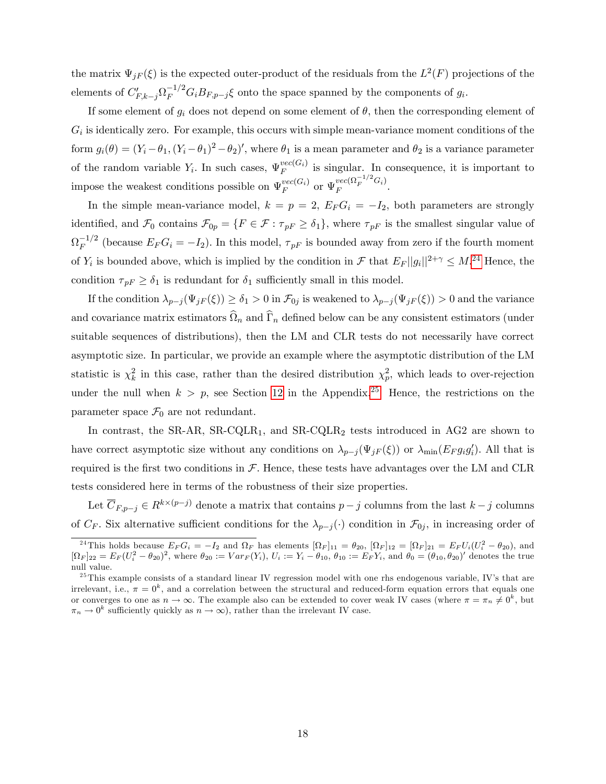the matrix  $\Psi_{jF}(\xi)$  is the expected outer-product of the residuals from the  $L^2(F)$  projections of the elements of  $C'_{F,k-j}\Omega_F^{-1/2}G_iB_{F,p-j}\xi$  onto the space spanned by the components of  $g_i$ .

If some element of  $g_i$  does not depend on some element of  $\theta$ , then the corresponding element of  $G_i$  is identically zero. For example, this occurs with simple mean-variance moment conditions of the form  $g_i(\theta) = (Y_i - \theta_1, (Y_i - \theta_1)^2 - \theta_2)'$ , where  $\theta_1$  is a mean parameter and  $\theta_2$  is a variance parameter of the random variable  $Y_i$ . In such cases,  $\Psi_F^{vec(G_i)}$  $\sum_{F}^{vec(\mathbf{G}_i)}$  is singular. In consequence, it is important to impose the weakest conditions possible on  $\Psi_F^{vec(G_i)}$  $\frac{vec(G_i)}{F}$  or  $\Psi_F^{vec(\Omega_F^{-1/2}G_i)}$ .

In the simple mean-variance model,  $k = p = 2$ ,  $E_F G_i = -I_2$ , both parameters are strongly identified, and  $\mathcal{F}_0$  contains  $\mathcal{F}_{0p} = \{F \in \mathcal{F} : \tau_{pF} \ge \delta_1\}$ , where  $\tau_{pF}$  is the smallest singular value of  $\Omega_F^{-1/2}$  (because  $E_F G_i = -I_2$ ). In this model,  $\tau_{pF}$  is bounded away from zero if the fourth moment of  $Y_i$  is bounded above, which is implied by the condition in  $\mathcal F$  that  $E_F||g_i||^{2+\gamma} \leq M^{24}$  $E_F||g_i||^{2+\gamma} \leq M^{24}$  $E_F||g_i||^{2+\gamma} \leq M^{24}$  Hence, the condition  $\tau_{pF} \ge \delta_1$  is redundant for  $\delta_1$  sufficiently small in this model.

If the condition  $\lambda_{p-j} (\Psi_{jF} (\xi)) \geq \delta_1 > 0$  in  $\mathcal{F}_{0j}$  is weakened to  $\lambda_{p-j} (\Psi_{jF} (\xi)) > 0$  and the variance and covariance matrix estimators  $\Omega_n$  and  $\Gamma_n$  defined below can be any consistent estimators (under suitable sequences of distributions), then the LM and CLR tests do not necessarily have correct asymptotic size. In particular, we provide an example where the asymptotic distribution of the LM statistic is  $\chi^2_k$  in this case, rather than the desired distribution  $\chi^2_p$ , which leads to over-rejection under the null when  $k > p$ , see Section [12](#page-53-0) in the Appendix.<sup>[25](#page-18-1)</sup> Hence, the restrictions on the parameter space  $\mathcal{F}_0$  are not redundant.

In contrast, the SR-AR, SR-CQLR<sub>1</sub>, and SR-CQLR<sub>2</sub> tests introduced in AG2 are shown to have correct asymptotic size without any conditions on  $\lambda_{p-j}(\Psi_{jF}(\xi))$  or  $\lambda_{\min}(E_F g_i g'_i)$ . All that is required is the first two conditions in  $\mathcal F$ . Hence, these tests have advantages over the LM and CLR tests considered here in terms of the robustness of their size properties.

Let  $\overline{C}_{F,p-j} \in R^{k \times (p-j)}$  denote a matrix that contains  $p-j$  columns from the last  $k-j$  columns of  $C_F$ . Six alternative sufficient conditions for the  $\lambda_{p-j}(\cdot)$  condition in  $\mathcal{F}_{0j}$ , in increasing order of

<span id="page-18-0"></span><sup>&</sup>lt;sup>24</sup>This holds because  $E_F G_i = -I_2$  and  $\Omega_F$  has elements  $[\Omega_F]_{11} = \theta_{20}$ ,  $[\Omega_F]_{12} = [\Omega_F]_{21} = E_F U_i (U_i^2 - \theta_{20})$ , and  $[\Omega_F]_{22} = E_F (U_i^2 - \theta_{20})^2$ , where  $\theta_{20} := Var_F(Y_i)$ ,  $U_i := Y_i - \theta_{10}$ ,  $\theta_{10} := E_F Y_i$ , and  $\theta_0 = (\theta_{10}, \theta_{2$ null value.

<span id="page-18-1"></span> $^{25}$ This example consists of a standard linear IV regression model with one rhs endogenous variable, IV's that are irrelevant, i.e.,  $\pi = 0^k$ , and a correlation between the structural and reduced-form equation errors that equals one or converges to one as  $n \to \infty$ . The example also can be extended to cover weak IV cases (where  $\pi = \pi_n \neq 0^k$ , but  $\pi_n \to 0^k$  sufficiently quickly as  $n \to \infty$ ), rather than the irrelevant IV case.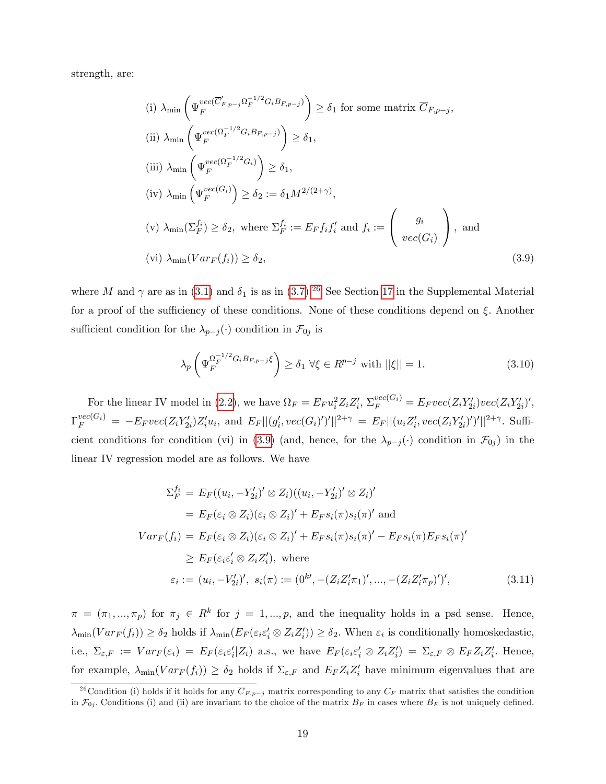strength, are:

<span id="page-19-1"></span>(i) 
$$
\lambda_{\min} \left( \Psi_F^{vec(\overline{C}'_{F,p-j} \Omega_F^{-1/2} G_i B_{F,p-j})} \right) \ge \delta_1
$$
 for some matrix  $\overline{C}_{F,p-j}$ ,  
\n(ii)  $\lambda_{\min} \left( \Psi_F^{vec(\Omega_F^{-1/2} G_i B_{F,p-j})} \right) \ge \delta_1$ ,  
\n(iii)  $\lambda_{\min} \left( \Psi_F^{vec(\Omega_F^{-1/2} G_i)} \right) \ge \delta_1$ ,  
\n(iv)  $\lambda_{\min} \left( \Psi_F^{vec(G_i)} \right) \ge \delta_2 := \delta_1 M^{2/(2+\gamma)}$ ,  
\n(v)  $\lambda_{\min} (\Sigma_F^{f_i}) \ge \delta_2$ , where  $\Sigma_F^{f_i} := E_F f_i f'_i$  and  $f_i := \begin{pmatrix} g_i \\ vec(G_i) \end{pmatrix}$ , and  
\n(vi)  $\lambda_{\min} (Var_F(f_i)) \ge \delta_2$ , (3.9)

where M and  $\gamma$  are as in [\(3.1\)](#page-14-1) and  $\delta_1$  is as in [\(3.7\)](#page-16-3).<sup>[26](#page-19-0)</sup> See Section [17](#page--1-1) in the Supplemental Material for a proof of the sufficiency of these conditions. None of these conditions depend on  $\xi$ . Another sufficient condition for the  $\lambda_{p-j}(\cdot)$  condition in  $\mathcal{F}_{0j}$  is

<span id="page-19-2"></span>
$$
\lambda_p \left( \Psi_F^{\Omega_F^{-1/2} G_i B_{F, p-j} \xi} \right) \ge \delta_1 \; \forall \xi \in R^{p-j} \text{ with } ||\xi|| = 1. \tag{3.10}
$$

For the linear IV model in [\(2.2\)](#page-7-4), we have  $\Omega_F = E_F u_i^2 Z_i Z_i'$ ,  $\Sigma_F^{vec(G_i)} = E_F vec(Z_i Y_{2i}')vec(Z_i Y_{2i}')'$ ,  $\Gamma_F^{vec(G_i)} = -E_F vec(Z_i Y_{2i}') Z_i' u_i$ , and  $E_F ||(g_i', vec(G_i)')'||^{2+\gamma} = E_F ||(u_i Z_i', vec(Z_i Y_{2i}')')'||^{2+\gamma}$ . Suffi-cient conditions for condition (vi) in [\(3.9\)](#page-19-1) (and, hence, for the  $\lambda_{p-j}(\cdot)$  condition in  $\mathcal{F}_{0j}$ ) in the linear IV regression model are as follows. We have

<span id="page-19-3"></span>
$$
\Sigma_F^{f_i} = E_F((u_i, -Y'_{2i})' \otimes Z_i)((u_i, -Y'_{2i})' \otimes Z_i)'
$$
  
\n
$$
= E_F(\varepsilon_i \otimes Z_i)(\varepsilon_i \otimes Z_i)' + E_F s_i(\pi) s_i(\pi)'
$$
 and  
\n
$$
Var_F(f_i) = E_F(\varepsilon_i \otimes Z_i)(\varepsilon_i \otimes Z_i)' + E_F s_i(\pi) s_i(\pi)' - E_F s_i(\pi) E_F s_i(\pi)'
$$
  
\n
$$
\geq E_F(\varepsilon_i \varepsilon_i' \otimes Z_i Z_i'), \text{ where}
$$
  
\n
$$
\varepsilon_i := (u_i, -V'_{2i})', \ s_i(\pi) := (0^{k'}, -(Z_i Z_i' \pi_1)', ..., -(Z_i Z_i' \pi_p)')',
$$
\n(3.11)

 $\pi = (\pi_1, ..., \pi_p)$  for  $\pi_j \in R^k$  for  $j = 1, ..., p$ , and the inequality holds in a psd sense. Hence,  $\lambda_{\min}(Var_F(f_i)) \ge \delta_2$  holds if  $\lambda_{\min}(E_F(\varepsilon_i \varepsilon_i' \otimes Z_i Z_i')) \ge \delta_2$ . When  $\varepsilon_i$  is conditionally homoskedastic, i.e.,  $\Sigma_{\varepsilon,F} := Var_F(\varepsilon_i) = E_F(\varepsilon_i \varepsilon_i' | Z_i)$  a.s., we have  $E_F(\varepsilon_i \varepsilon_i' \otimes Z_i Z_i') = \Sigma_{\varepsilon,F} \otimes E_F Z_i Z_i'$ . Hence, for example,  $\lambda_{\min}(Var_F(f_i)) \ge \delta_2$  holds if  $\Sigma_{\varepsilon,F}$  and  $E_F Z_i Z_i'$  have minimum eigenvalues that are

<span id="page-19-0"></span><sup>&</sup>lt;sup>26</sup> Condition (i) holds if it holds for any  $\overline{C}_{F,p-j}$  matrix corresponding to any  $C_F$  matrix that satisfies the condition in  $\mathcal{F}_{0j}$ . Conditions (i) and (ii) are invariant to the choice of the matrix  $B_F$  in cases where  $B_F$  is not uniquely defined.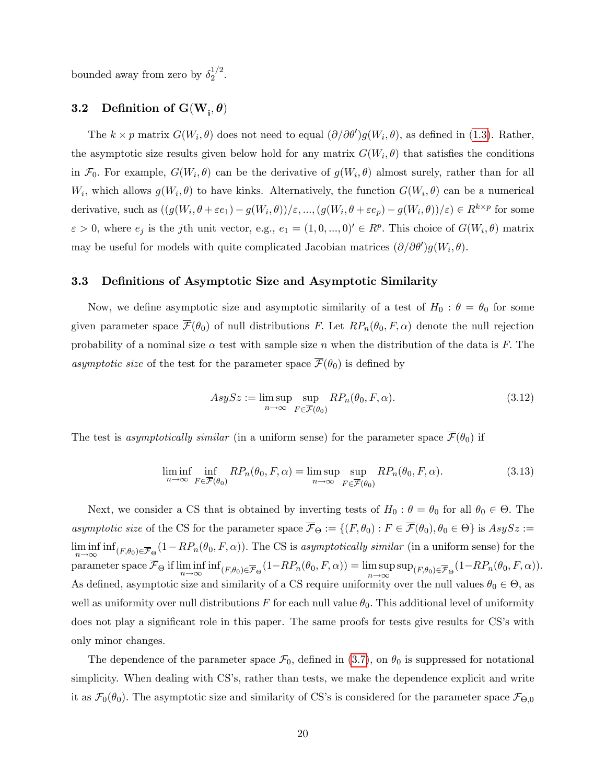bounded away from zero by  $\delta_2^{1/2}$  $\frac{1}{2}$ .

## 3.2 Definition of  $\text{G}(\text{W}_{\text{i}}, \theta)$

The  $k \times p$  matrix  $G(W_i, \theta)$  does not need to equal  $(\partial/\partial \theta')g(W_i, \theta)$ , as defined in [\(1.3\)](#page-4-0). Rather, the asymptotic size results given below hold for any matrix  $G(W_i, \theta)$  that satisfies the conditions in  $\mathcal{F}_0$ . For example,  $G(W_i, \theta)$  can be the derivative of  $g(W_i, \theta)$  almost surely, rather than for all  $W_i$ , which allows  $g(W_i, \theta)$  to have kinks. Alternatively, the function  $G(W_i, \theta)$  can be a numerical derivative, such as  $((g(W_i, \theta + \varepsilon e_1) - g(W_i, \theta))/\varepsilon, ..., (g(W_i, \theta + \varepsilon e_p) - g(W_i, \theta))/\varepsilon) \in R^{k \times p}$  for some  $\varepsilon > 0$ , where  $e_j$  is the jth unit vector, e.g.,  $e_1 = (1, 0, ..., 0)' \in R^p$ . This choice of  $G(W_i, \theta)$  matrix may be useful for models with quite complicated Jacobian matrices  $(\partial/\partial \theta')g(W_i, \theta)$ .

#### 3.3 Definitions of Asymptotic Size and Asymptotic Similarity

Now, we define asymptotic size and asymptotic similarity of a test of  $H_0$ :  $\theta = \theta_0$  for some given parameter space  $\overline{\mathcal{F}}(\theta_0)$  of null distributions F. Let  $RP_n(\theta_0, F, \alpha)$  denote the null rejection probability of a nominal size  $\alpha$  test with sample size n when the distribution of the data is F. The asymptotic size of the test for the parameter space  $\overline{\mathcal{F}}(\theta_0)$  is defined by

$$
AsySz := \limsup_{n \to \infty} \sup_{F \in \overline{\mathcal{F}}(\theta_0)} RP_n(\theta_0, F, \alpha).
$$
\n(3.12)

The test is asymptotically similar (in a uniform sense) for the parameter space  $\overline{\mathcal{F}}(\theta_0)$  if

$$
\liminf_{n \to \infty} \inf_{F \in \overline{\mathcal{F}}(\theta_0)} RP_n(\theta_0, F, \alpha) = \limsup_{n \to \infty} \sup_{F \in \overline{\mathcal{F}}(\theta_0)} RP_n(\theta_0, F, \alpha).
$$
\n(3.13)

Next, we consider a CS that is obtained by inverting tests of  $H_0$ :  $\theta = \theta_0$  for all  $\theta_0 \in \Theta$ . The asymptotic size of the CS for the parameter space  $\mathcal{F}_{\Theta} := \{(F, \theta_0) : F \in \mathcal{F}(\theta_0), \theta_0 \in \Theta\}$  is  $AsySz :=$ lim inf  $\liminf_{n\to\infty} \inf_{(F,\theta_0)\in \overline{\mathcal{F}}_{\Theta}} (1-RP_n(\theta_0, F, \alpha)).$  The CS is asymptotically similar (in a uniform sense) for the parameter space  $\mathcal{F}_{\Theta}$  if  $\liminf_{n\to\infty}$  $\liminf_{n \to \infty} \inf_{(F,\theta_0) \in \overline{\mathcal{F}}_{\Theta}} (1 - RP_n(\theta_0, F, \alpha)) = \limsup_{n \to \infty} \sup_{(F,\theta_0) \in \overline{\mathcal{F}}_{\Theta}} (1 - RP_n(\theta_0, F, \alpha)).$ As defined, asymptotic size and similarity of a CS require uniformity over the null values  $\theta_0 \in \Theta$ , as well as uniformity over null distributions F for each null value  $\theta_0$ . This additional level of uniformity does not play a significant role in this paper. The same proofs for tests give results for CS's with only minor changes.

The dependence of the parameter space  $\mathcal{F}_0$ , defined in [\(3.7\)](#page-16-3), on  $\theta_0$  is suppressed for notational simplicity. When dealing with CS's, rather than tests, we make the dependence explicit and write it as  $\mathcal{F}_0(\theta_0)$ . The asymptotic size and similarity of CS's is considered for the parameter space  $\mathcal{F}_{\Theta,0}$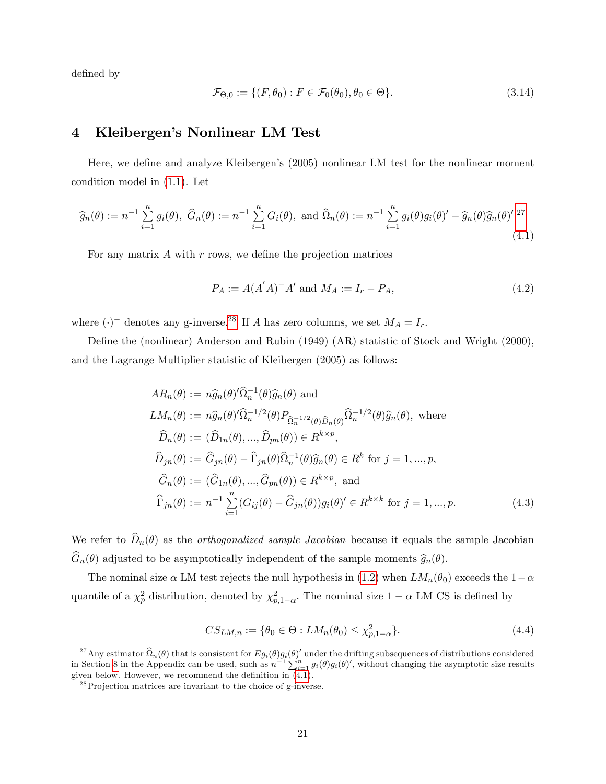defined by

<span id="page-21-5"></span>
$$
\mathcal{F}_{\Theta,0} := \{ (F, \theta_0) : F \in \mathcal{F}_0(\theta_0), \theta_0 \in \Theta \}. \tag{3.14}
$$

## <span id="page-21-0"></span>4 Kleibergen's Nonlinear LM Test

Here, we define and analyze Kleibergen's (2005) nonlinear LM test for the nonlinear moment condition model in [\(1.1\)](#page-3-0). Let

<span id="page-21-1"></span>
$$
\widehat{g}_n(\theta) := n^{-1} \sum_{i=1}^n g_i(\theta), \ \widehat{G}_n(\theta) := n^{-1} \sum_{i=1}^n G_i(\theta), \text{ and } \widehat{\Omega}_n(\theta) := n^{-1} \sum_{i=1}^n g_i(\theta) g_i(\theta)' - \widehat{g}_n(\theta) \widehat{g}_n(\theta)'.^{27}
$$
\n(4.1)

For any matrix  $A$  with  $r$  rows, we define the projection matrices

$$
P_A := A(A'A)^{-}A' \text{ and } M_A := I_r - P_A,
$$
\n(4.2)

where  $(\cdot)^-$  denotes any g-inverse.<sup>[28](#page-21-4)</sup> If A has zero columns, we set  $M_A = I_r$ .

Define the (nonlinear) Anderson and Rubin (1949) (AR) statistic of Stock and Wright (2000), and the Lagrange Multiplier statistic of Kleibergen (2005) as follows:

<span id="page-21-2"></span>
$$
AR_n(\theta) := n\hat{g}_n(\theta)'\hat{\Omega}_n^{-1}(\theta)\hat{g}_n(\theta) \text{ and}
$$
  
\n
$$
LM_n(\theta) := n\hat{g}_n(\theta)'\hat{\Omega}_n^{-1/2}(\theta)P_{\hat{\Omega}_n^{-1/2}(\theta)\hat{D}_n(\theta)}\hat{\Omega}_n^{-1/2}(\theta)\hat{g}_n(\theta), \text{ where}
$$
  
\n
$$
\hat{D}_n(\theta) := (\hat{D}_{1n}(\theta), ..., \hat{D}_{pn}(\theta)) \in R^{k \times p},
$$
  
\n
$$
\hat{D}_{jn}(\theta) := \hat{G}_{jn}(\theta) - \hat{\Gamma}_{jn}(\theta)\hat{\Omega}_n^{-1}(\theta)\hat{g}_n(\theta) \in R^k \text{ for } j = 1, ..., p,
$$
  
\n
$$
\hat{G}_n(\theta) := (\hat{G}_{1n}(\theta), ..., \hat{G}_{pn}(\theta)) \in R^{k \times p}, \text{ and}
$$
  
\n
$$
\hat{\Gamma}_{jn}(\theta) := n^{-1} \sum_{i=1}^n (G_{ij}(\theta) - \hat{G}_{jn}(\theta))g_i(\theta)' \in R^{k \times k} \text{ for } j = 1, ..., p.
$$
\n(4.3)

We refer to  $\hat{D}_n(\theta)$  as the *orthogonalized sample Jacobian* because it equals the sample Jacobian  $\widehat{G}_n(\theta)$  adjusted to be asymptotically independent of the sample moments  $\widehat{g}_n(\theta)$ .

The nominal size  $\alpha$  LM test rejects the null hypothesis in [\(1.2\)](#page-3-2) when  $LM_n(\theta_0)$  exceeds the  $1-\alpha$ quantile of a  $\chi_p^2$  distribution, denoted by  $\chi_{p,1-\alpha}^2$ . The nominal size  $1-\alpha$  LM CS is defined by

$$
CS_{LM,n} := \{ \theta_0 \in \Theta : LM_n(\theta_0) \le \chi^2_{p,1-\alpha} \}. \tag{4.4}
$$

<span id="page-21-3"></span><sup>&</sup>lt;sup>27</sup> Any estimator  $\widehat{\Omega}_n(\theta)$  that is consistent for  $Eg_i(\theta)g_i(\theta)'$  under the drifting subsequences of distributions considered in Section [8](#page-34-0) in the Appendix can be used, such as  $n^{-1} \sum_{i=1}^{n} g_i(\theta) g_i(\theta)'$ , without changing the asymptotic size results given below. However, we recommend the definition in  $(4.1)$ .

<span id="page-21-4"></span> $^{28}$ Projection matrices are invariant to the choice of g-inverse.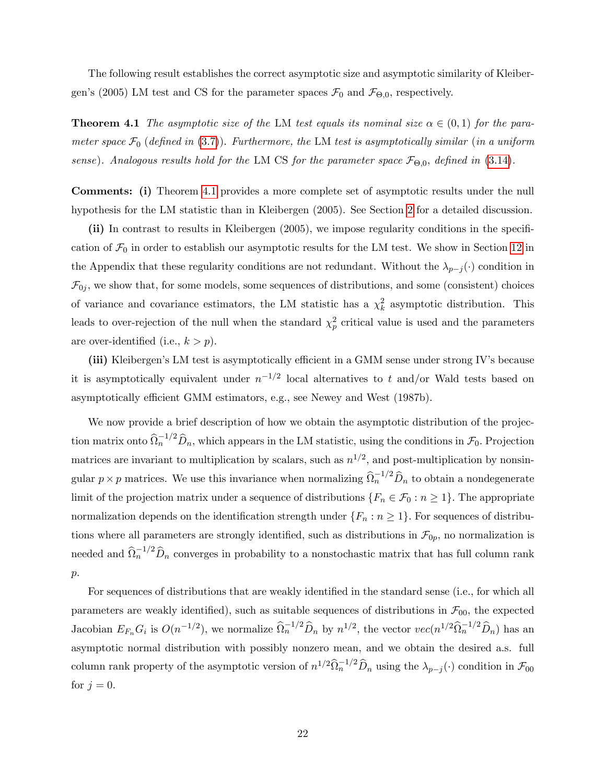The following result establishes the correct asymptotic size and asymptotic similarity of Kleibergen's (2005) LM test and CS for the parameter spaces  $\mathcal{F}_0$  and  $\mathcal{F}_{\Theta,0}$ , respectively.

<span id="page-22-0"></span>**Theorem 4.1** The asymptotic size of the LM test equals its nominal size  $\alpha \in (0,1)$  for the parameter space  $\mathcal{F}_0$  (defined in [\(3.7\)](#page-16-3)). Furthermore, the LM test is asymptotically similar (in a uniform sense). Analogous results hold for the LM CS for the parameter space  $\mathcal{F}_{\Theta,0}$ , defined in [\(3.14\)](#page-21-5).

Comments: (i) Theorem [4.1](#page-22-0) provides a more complete set of asymptotic results under the null hypothesis for the LM statistic than in Kleibergen (2005). See Section [2](#page-7-0) for a detailed discussion.

(ii) In contrast to results in Kleibergen (2005), we impose regularity conditions in the specification of  $\mathcal{F}_0$  in order to establish our asymptotic results for the LM test. We show in Section [12](#page-53-0) in the Appendix that these regularity conditions are not redundant. Without the  $\lambda_{p-j}(\cdot)$  condition in  $\mathcal{F}_{0j}$ , we show that, for some models, some sequences of distributions, and some (consistent) choices of variance and covariance estimators, the LM statistic has a  $\chi^2_k$  asymptotic distribution. This leads to over-rejection of the null when the standard  $\chi_p^2$  critical value is used and the parameters are over-identified (i.e.,  $k > p$ ).

(iii) Kleibergen's LM test is asymptotically efficient in a GMM sense under strong IV's because it is asymptotically equivalent under  $n^{-1/2}$  local alternatives to t and/or Wald tests based on asymptotically efficient GMM estimators, e.g., see Newey and West (1987b).

We now provide a brief description of how we obtain the asymptotic distribution of the projection matrix onto  $\widehat{\Omega}_n^{-1/2} \widehat{D}_n$ , which appears in the LM statistic, using the conditions in  $\mathcal{F}_0$ . Projection matrices are invariant to multiplication by scalars, such as  $n^{1/2}$ , and post-multiplication by nonsingular  $p \times p$  matrices. We use this invariance when normalizing  $\widehat{\Omega}_n^{-1/2} \widehat{D}_n$  to obtain a nondegenerate limit of the projection matrix under a sequence of distributions  $\{F_n \in \mathcal{F}_0 : n \geq 1\}$ . The appropriate normalization depends on the identification strength under  $\{F_n : n \geq 1\}$ . For sequences of distributions where all parameters are strongly identified, such as distributions in  $\mathcal{F}_{0p}$ , no normalization is needed and  $\hat{\Omega}_n^{-1/2} \hat{D}_n$  converges in probability to a nonstochastic matrix that has full column rank  $p$ .

For sequences of distributions that are weakly identified in the standard sense (i.e., for which all parameters are weakly identified), such as suitable sequences of distributions in  $\mathcal{F}_{00}$ , the expected Jacobian  $E_{F_n} G_i$  is  $O(n^{-1/2})$ , we normalize  $\widehat{\Omega}_n^{-1/2} \widehat{D}_n$  by  $n^{1/2}$ , the vector  $vec(n^{1/2} \widehat{\Omega}_n^{-1/2} \widehat{D}_n)$  has an asymptotic normal distribution with possibly nonzero mean, and we obtain the desired a.s. full column rank property of the asymptotic version of  $n^{1/2} \widehat{\Omega}_n^{-1/2} \widehat{D}_n$  using the  $\lambda_{p-j}(\cdot)$  condition in  $\mathcal{F}_{00}$ for  $j = 0$ .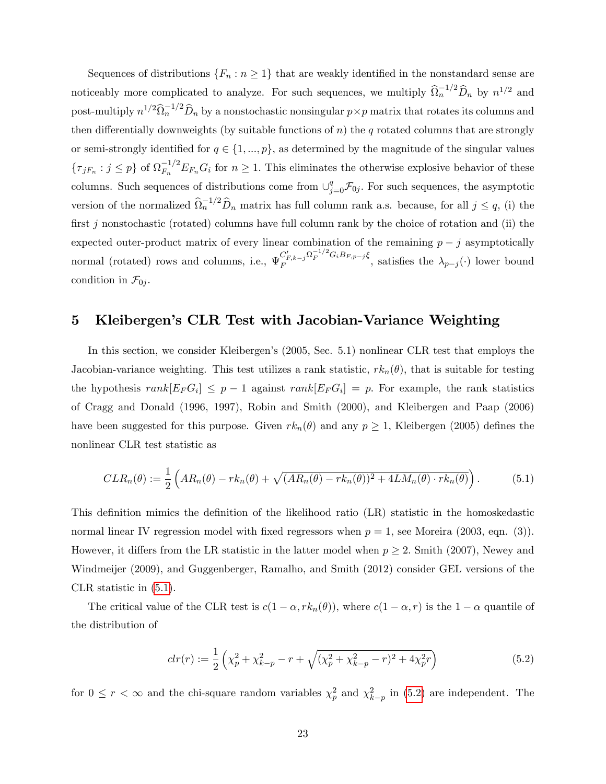Sequences of distributions  $\{F_n : n \geq 1\}$  that are weakly identified in the nonstandard sense are noticeably more complicated to analyze. For such sequences, we multiply  $\widehat{\Omega}_n^{-1/2} \widehat{D}_n$  by  $n^{1/2}$  and post-multiply  $n^{1/2} \widehat{\Omega}_n^{-1/2} \widehat{D}_n$  by a nonstochastic nonsingular  $p \times p$  matrix that rotates its columns and then differentially downweights (by suitable functions of n) the q rotated columns that are strongly or semi-strongly identified for  $q \in \{1, ..., p\}$ , as determined by the magnitude of the singular values  $\{\tau_{jF_n}: j \leq p\}$  of  $\Omega_{F_n}^{-1/2} E_{F_n} G_i$  for  $n \geq 1$ . This eliminates the otherwise explosive behavior of these columns. Such sequences of distributions come from  $\cup_{j=0}^q \mathcal{F}_{0j}$ . For such sequences, the asymptotic version of the normalized  $\widehat{\Omega}_n^{-1/2} \widehat{D}_n$  matrix has full column rank a.s. because, for all  $j \leq q$ , (i) the first j nonstochastic (rotated) columns have full column rank by the choice of rotation and (ii) the expected outer-product matrix of every linear combination of the remaining  $p - j$  asymptotically normal (rotated) rows and columns, i.e.,  $\Psi_F^{C_{F,k-j}^r \Omega_F^{-1/2} G_i B_{F,p-j} \xi}$  $\overline{F}^{F,k-j}_{F}$   $\longrightarrow$   $\overline{F}^{F}$ , satisfies the  $\lambda_{p-j}(\cdot)$  lower bound condition in  $\mathcal{F}_{0i}$ .

## <span id="page-23-0"></span>5 Kleibergenís CLR Test with Jacobian-Variance Weighting

In this section, we consider Kleibergen's (2005, Sec. 5.1) nonlinear CLR test that employs the Jacobian-variance weighting. This test utilizes a rank statistic,  $rk_n(\theta)$ , that is suitable for testing the hypothesis  $rank[E_F G_i] \leq p-1$  against  $rank[E_F G_i] = p$ . For example, the rank statistics of Cragg and Donald (1996, 1997), Robin and Smith (2000), and Kleibergen and Paap (2006) have been suggested for this purpose. Given  $rk_n(\theta)$  and any  $p \geq 1$ , Kleibergen (2005) defines the nonlinear CLR test statistic as

<span id="page-23-1"></span>
$$
CLR_n(\theta) := \frac{1}{2} \left( AR_n(\theta) - rk_n(\theta) + \sqrt{(AR_n(\theta) - rk_n(\theta))^2 + 4LM_n(\theta) \cdot rk_n(\theta)} \right). \tag{5.1}
$$

This definition mimics the definition of the likelihood ratio (LR) statistic in the homoskedastic normal linear IV regression model with fixed regressors when  $p = 1$ , see Moreira (2003, eqn. (3)). However, it differs from the LR statistic in the latter model when  $p \geq 2$ . Smith (2007), Newey and Windmeijer (2009), and Guggenberger, Ramalho, and Smith (2012) consider GEL versions of the CLR statistic in [\(5.1\)](#page-23-1).

The critical value of the CLR test is  $c(1 - \alpha, rk_n(\theta))$ , where  $c(1 - \alpha, r)$  is the  $1 - \alpha$  quantile of the distribution of

<span id="page-23-2"></span>
$$
clr(r) := \frac{1}{2} \left( \chi_p^2 + \chi_{k-p}^2 - r + \sqrt{(\chi_p^2 + \chi_{k-p}^2 - r)^2 + 4\chi_p^2 r} \right)
$$
(5.2)

for  $0 \le r < \infty$  and the chi-square random variables  $\chi_p^2$  and  $\chi_{k-p}^2$  in [\(5.2\)](#page-23-2) are independent. The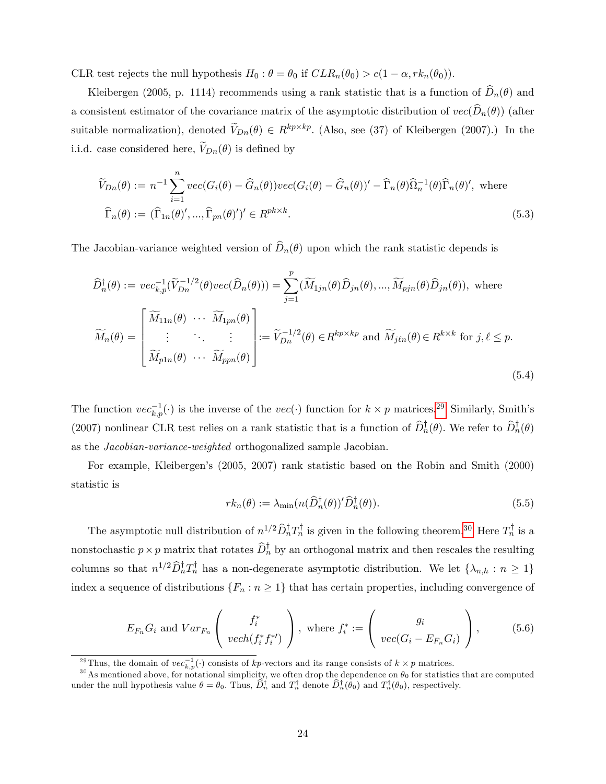CLR test rejects the null hypothesis  $H_0$ :  $\theta = \theta_0$  if  $CLR_n(\theta_0) > c(1 - \alpha, rk_n(\theta_0)).$ 

Kleibergen (2005, p. 1114) recommends using a rank statistic that is a function of  $\widehat{D}_n(\theta)$  and a consistent estimator of the covariance matrix of the asymptotic distribution of  $vec(\hat{D}_n(\theta))$  (after suitable normalization), denoted  $V_{Dn}(\theta) \in R^{kp \times kp}$ . (Also, see (37) of Kleibergen (2007).) In the i.i.d. case considered here,  $V_{Dn}(\theta)$  is defined by

<span id="page-24-4"></span>
$$
\widetilde{V}_{Dn}(\theta) := n^{-1} \sum_{i=1}^{n} vec(G_i(\theta) - \widehat{G}_n(\theta)) vec(G_i(\theta) - \widehat{G}_n(\theta))' - \widehat{\Gamma}_n(\theta) \widehat{\Omega}_n^{-1}(\theta) \widehat{\Gamma}_n(\theta)', \text{ where }
$$
\n
$$
\widehat{\Gamma}_n(\theta) := (\widehat{\Gamma}_{1n}(\theta)', ..., \widehat{\Gamma}_{pn}(\theta)')' \in R^{pk \times k}.
$$
\n(5.3)

The Jacobian-variance weighted version of  $\widehat{D}_n(\theta)$  upon which the rank statistic depends is

<span id="page-24-5"></span>
$$
\widehat{D}_{n}^{\dagger}(\theta) := vec_{k,p}^{-1}(\widetilde{V}_{Dn}^{-1/2}(\theta)vec(\widehat{D}_{n}(\theta))) = \sum_{j=1}^{p} (\widetilde{M}_{1jn}(\theta)\widehat{D}_{jn}(\theta), ..., \widetilde{M}_{pjn}(\theta)\widehat{D}_{jn}(\theta)), \text{ where}
$$
\n
$$
\widetilde{M}_{n}(\theta) = \begin{bmatrix}\n\widetilde{M}_{11n}(\theta) & \cdots & \widetilde{M}_{1pn}(\theta) \\
\vdots & \ddots & \vdots \\
\widetilde{M}_{p1n}(\theta) & \cdots & \widetilde{M}_{ppn}(\theta)\n\end{bmatrix} := \widetilde{V}_{Dn}^{-1/2}(\theta) \in R^{kp \times kp} \text{ and } \widetilde{M}_{j\ell n}(\theta) \in R^{k \times k} \text{ for } j, \ell \le p.
$$
\n(5.4)

The function  $vec_{k,p}(\cdot)$  is the inverse of the  $vec(\cdot)$  function for  $k \times p$  matrices.<sup>[29](#page-24-0)</sup> Similarly, Smith's (2007) nonlinear CLR test relies on a rank statistic that is a function of  $D_n^{\dagger}(\theta)$ . We refer to  $D_n^{\dagger}(\theta)$ as the Jacobian-variance-weighted orthogonalized sample Jacobian.

For example, Kleibergenís (2005, 2007) rank statistic based on the Robin and Smith (2000) statistic is

<span id="page-24-3"></span>
$$
rk_n(\theta) := \lambda_{\min}(n(\widehat{D}_n^{\dagger}(\theta))'\widehat{D}_n^{\dagger}(\theta)).
$$
\n(5.5)

The asymptotic null distribution of  $n^{1/2} \hat{D}_n^{\dagger} T_n^{\dagger}$  is given in the following theorem.<sup>[30](#page-24-1)</sup> Here  $T_n^{\dagger}$  is a nonstochastic  $p \times p$  matrix that rotates  $D_n^{\dagger}$  by an orthogonal matrix and then rescales the resulting columns so that  $n^{1/2} \widehat{D}_n^{\dagger} T_n^{\dagger}$  has a non-degenerate asymptotic distribution. We let  $\{\lambda_{n,h} : n \geq 1\}$ index a sequence of distributions  $\{F_n : n \geq 1\}$  that has certain properties, including convergence of

<span id="page-24-2"></span>
$$
E_{F_n} G_i \text{ and } Var_{F_n} \left( f_i^* \atop vech(f_i^* f_i^*) \right), \text{ where } f_i^* := \left( g_i \atop vec(G_i - E_{F_n} G_i) \right), \quad (5.6)
$$

<span id="page-24-1"></span><span id="page-24-0"></span><sup>&</sup>lt;sup>29</sup>Thus, the domain of  $vec_{k,p}(\cdot)$  consists of  $kp$ -vectors and its range consists of  $k \times p$  matrices.

<sup>&</sup>lt;sup>30</sup> As mentioned above, for notational simplicity, we often drop the dependence on  $\theta_0$  for statistics that are computed under the null hypothesis value  $\theta = \theta_0$ . Thus,  $D_n^{\dagger}$  and  $T_n^{\dagger}$  denote  $D_n^{\dagger}(\theta_0)$  and  $T_n^{\dagger}(\theta_0)$ , respectively.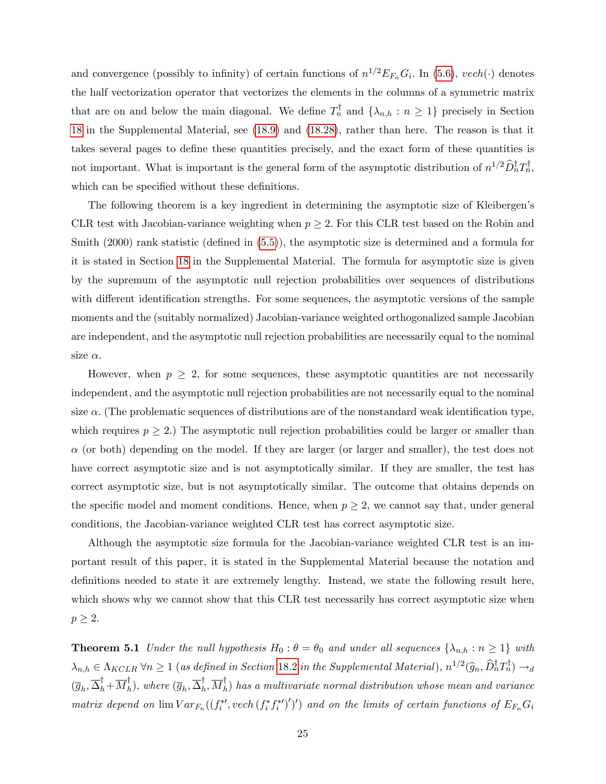and convergence (possibly to infinity) of certain functions of  $n^{1/2}E_{F_n}G_i$ . In [\(5.6\)](#page-24-2),  $vech(\cdot)$  denotes the half vectorization operator that vectorizes the elements in the columns of a symmetric matrix that are on and below the main diagonal. We define  $T_n^{\dagger}$  and  $\{\lambda_{n,h} : n \geq 1\}$  precisely in Section [18](#page--1-0) in the Supplemental Material, see [\(18.9\)](#page--1-2) and [\(18.28\)](#page--1-3), rather than here. The reason is that it takes several pages to define these quantities precisely, and the exact form of these quantities is not important. What is important is the general form of the asymptotic distribution of  $n^{1/2} \widehat{D}_n^{\dagger} T_n^{\dagger}$ , which can be specified without these definitions.

The following theorem is a key ingredient in determining the asymptotic size of Kleibergen's CLR test with Jacobian-variance weighting when  $p \geq 2$ . For this CLR test based on the Robin and Smith  $(2000)$  rank statistic (defined in  $(5.5)$ ), the asymptotic size is determined and a formula for it is stated in Section [18](#page--1-0) in the Supplemental Material. The formula for asymptotic size is given by the supremum of the asymptotic null rejection probabilities over sequences of distributions with different identification strengths. For some sequences, the asymptotic versions of the sample moments and the (suitably normalized) Jacobian-variance weighted orthogonalized sample Jacobian are independent, and the asymptotic null rejection probabilities are necessarily equal to the nominal size  $\alpha$ .

However, when  $p \geq 2$ , for some sequences, these asymptotic quantities are not necessarily independent, and the asymptotic null rejection probabilities are not necessarily equal to the nominal size  $\alpha$ . (The problematic sequences of distributions are of the nonstandard weak identification type, which requires  $p \ge 2$ .) The asymptotic null rejection probabilities could be larger or smaller than  $\alpha$  (or both) depending on the model. If they are larger (or larger and smaller), the test does not have correct asymptotic size and is not asymptotically similar. If they are smaller, the test has correct asymptotic size, but is not asymptotically similar. The outcome that obtains depends on the specific model and moment conditions. Hence, when  $p \geq 2$ , we cannot say that, under general conditions, the Jacobian-variance weighted CLR test has correct asymptotic size.

Although the asymptotic size formula for the Jacobian-variance weighted CLR test is an important result of this paper, it is stated in the Supplemental Material because the notation and definitions needed to state it are extremely lengthy. Instead, we state the following result here, which shows why we cannot show that this CLR test necessarily has correct asymptotic size when  $p\geq 2.$ 

<span id="page-25-0"></span>**Theorem 5.1** Under the null hypothesis  $H_0: \theta = \theta_0$  and under all sequences  $\{\lambda_{n,h}: n \geq 1\}$  with  $\lambda_{n,h} \in \Lambda_{KCLR} \,\forall n \geq 1$  (as defined in Section [18.2](#page--1-4) in the Supplemental Material),  $n^{1/2}(\widehat{g}_n, \widehat{D}_n^{\dagger}T_n^{\dagger}) \rightarrow_d$  $(\overline{g}_h, \overline{\Delta}_h^{\tau}, \overline{M}_h^{\tau}),$  where  $(\overline{g}_h, \overline{\Delta}_h^{\tau}, \overline{M}_h^{\tau})$  has a multivariate normal distribution whose mean and variance matrix depend on  $\lim Var_{F_n}((f_i^{*,\prime} \cdot \text{vech}(f_i^{*,f_i^{*,\prime}})'))$  and on the limits of certain functions of  $E_{F_n}G_i$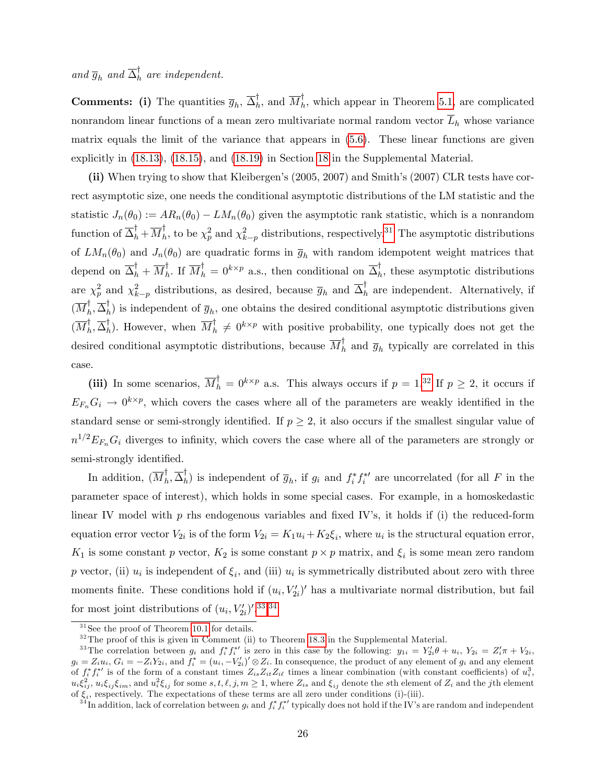and  $\overline{g}_h$  and  $\overline{\Delta}_h^{\dagger}$  are independent.

**Comments:** (i) The quantities  $\overline{g}_h$ ,  $\overline{\Delta}_h^{\dagger}$ , and  $\overline{M}_h^{\dagger}$ , which appear in Theorem [5.1,](#page-25-0) are complicated nonrandom linear functions of a mean zero multivariate normal random vector  $\overline{L}_h$  whose variance matrix equals the limit of the variance that appears in [\(5.6\)](#page-24-2). These linear functions are given explicitly in [\(18.13\)](#page--1-5), [\(18.15\)](#page--1-6), and [\(18.19\)](#page--1-7) in Section [18](#page--1-0) in the Supplemental Material.

(ii) When trying to show that Kleibergen's (2005, 2007) and Smith's (2007) CLR tests have correct asymptotic size, one needs the conditional asymptotic distributions of the LM statistic and the statistic  $J_n(\theta_0) := AR_n(\theta_0) - LM_n(\theta_0)$  given the asymptotic rank statistic, which is a nonrandom function of  $\overline{\Delta}_h^{\dagger} + \overline{M}_h^{\dagger}$ , to be  $\chi_p^2$  and  $\chi_{k-p}^2$  distributions, respectively.<sup>[31](#page-26-0)</sup> The asymptotic distributions of  $LM_n(\theta_0)$  and  $J_n(\theta_0)$  are quadratic forms in  $\overline{g}_h$  with random idempotent weight matrices that depend on  $\overline{\Delta}_h^{\dagger} + \overline{M}_h^{\dagger}$ . If  $\overline{M}_h^{\dagger} = 0^{k \times p}$  a.s., then conditional on  $\overline{\Delta}_h^{\dagger}$ , these asymptotic distributions are  $\chi_p^2$  and  $\chi_{k-p}^2$  distributions, as desired, because  $\overline{g}_h$  and  $\overline{\Delta}_h^{\dagger}$  are independent. Alternatively, if  $(\overline{M}_h^{\dagger}, \overline{\Delta}_h^{\dagger})$  is independent of  $\overline{g}_h$ , one obtains the desired conditional asymptotic distributions given  $(\overline{M}_h^{\dagger}, \overline{\Delta}_h^{\dagger})$ . However, when  $\overline{M}_h^{\dagger} \neq 0^{k \times p}$  with positive probability, one typically does not get the desired conditional asymptotic distributions, because  $\overline{M}_h^{\dagger}$  and  $\overline{g}_h$  typically are correlated in this case.

(iii) In some scenarios,  $\overline{M}_h^{\dagger} = 0^{k \times p}$  a.s. This always occurs if  $p = 1^{32}$  $p = 1^{32}$  $p = 1^{32}$  If  $p \geq 2$ , it occurs if  $E_{F_n}G_i \to 0^{k\times p}$ , which covers the cases where all of the parameters are weakly identified in the standard sense or semi-strongly identified. If  $p \geq 2$ , it also occurs if the smallest singular value of  $n^{1/2}E_{F_n}G_i$  diverges to infinity, which covers the case where all of the parameters are strongly or semi-strongly identified.

In addition,  $(\overline{M}_h^{\dagger}, \overline{\Delta}_h^{\dagger})$  is independent of  $\overline{g}_h$ , if  $g_i$  and  $f_i^* f_i^{*'}$  are uncorrelated (for all F in the parameter space of interest), which holds in some special cases. For example, in a homoskedastic linear IV model with  $p$  rhs endogenous variables and fixed IV's, it holds if (i) the reduced-form equation error vector  $V_{2i}$  is of the form  $V_{2i} = K_1 u_i + K_2 \xi_i$ , where  $u_i$  is the structural equation error,  $K_1$  is some constant p vector,  $K_2$  is some constant  $p \times p$  matrix, and  $\xi_i$  is some mean zero random p vector, (ii)  $u_i$  is independent of  $\xi_i$ , and (iii)  $u_i$  is symmetrically distributed about zero with three moments finite. These conditions hold if  $(u_i, V'_{2i})'$  has a multivariate normal distribution, but fail for most joint distributions of  $(u_i, V'_{2i})'$ .<sup>[33](#page-26-2),[34](#page-26-3)</sup>

<span id="page-26-0"></span> $31$  See the proof of Theorem [10.1](#page-48-0) for details.

<span id="page-26-2"></span><span id="page-26-1"></span> $32$ The proof of this is given in Comment (ii) to Theorem [18.3](#page--1-8) in the Supplemental Material.

<sup>&</sup>lt;sup>33</sup>The correlation between  $g_i$  and  $f_i^* f_i^{*'}$  is zero in this case by the following:  $y_{1i} = Y_{2i}'\theta + u_i$ ,  $Y_{2i} = Z_i'\pi + V_{2i}$ ,  $g_i = Z_i u_i, G_i = -Z_i Y_{2i},$  and  $f_i^* = (u_i, -V_{2i}')' \otimes Z_i$ . In consequence, the product of any element of  $g_i$  and any element of  $f_i^* f_i^{*'}$  is of the form of a constant times  $Z_{is} Z_{it} Z_{i\ell}$  times a linear combination (with constant coefficients) of  $u_i^3$ ,  $u_i \xi_{ij}^2$ ,  $u_i \xi_{ij} \xi_{im}$ , and  $u_i^2 \xi_{ij}$  for some  $s, t, \ell, j, m \ge 1$ , where  $Z_{is}$  and  $\xi_{ij}$  denote the sth element of  $Z_i$  and the jth element of  $\xi_i$ , respectively. The expectations of these terms are all zero under conditions (i)-(iii).

<span id="page-26-3"></span><sup>&</sup>lt;sup>34</sup>In addition, lack of correlation between  $g_i$  and  $f_i^* f_i^{*'}$  typically does not hold if the IV's are random and independent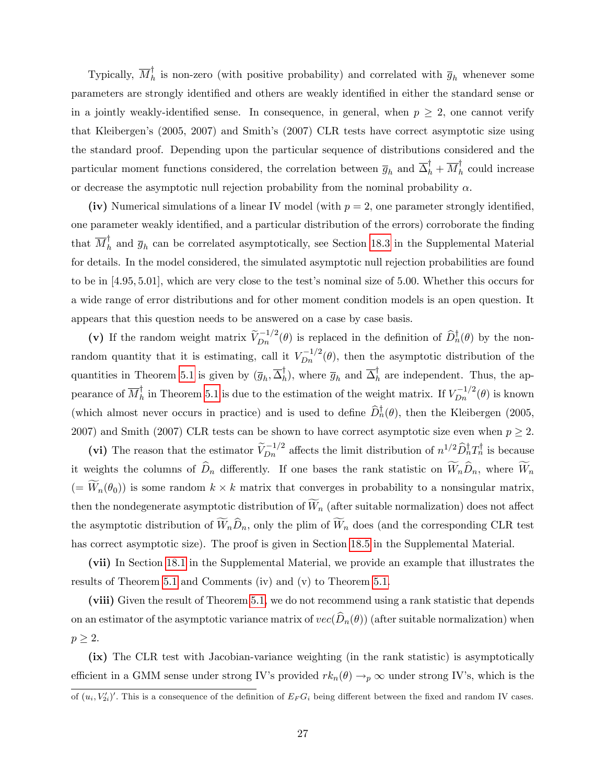Typically,  $\overline{M}_h^{\dagger}$  is non-zero (with positive probability) and correlated with  $\overline{g}_h$  whenever some parameters are strongly identified and others are weakly identified in either the standard sense or in a jointly weakly-identified sense. In consequence, in general, when  $p \geq 2$ , one cannot verify that Kleibergen's (2005, 2007) and Smith's (2007) CLR tests have correct asymptotic size using the standard proof. Depending upon the particular sequence of distributions considered and the particular moment functions considered, the correlation between  $\overline{g}_h$  and  $\overline{\Delta}_h^{\dagger} + \overline{M}_h^{\dagger}$  could increase or decrease the asymptotic null rejection probability from the nominal probability  $\alpha$ .

(iv) Numerical simulations of a linear IV model (with  $p = 2$ , one parameter strongly identified, one parameter weakly identified, and a particular distribution of the errors) corroborate the finding that  $\overline{M}_h^{\dagger}$  and  $\overline{g}_h$  can be correlated asymptotically, see Section [18.3](#page--1-9) in the Supplemental Material for details. In the model considered, the simulated asymptotic null rejection probabilities are found to be in  $[4.95, 5.01]$ , which are very close to the test's nominal size of 5.00. Whether this occurs for a wide range of error distributions and for other moment condition models is an open question. It appears that this question needs to be answered on a case by case basis.

(v) If the random weight matrix  $\widetilde{V}_{Dn}^{-1/2}(\theta)$  is replaced in the definition of  $\widehat{D}_{n}^{\dagger}(\theta)$  by the nonrandom quantity that it is estimating, call it  $V_{Dn}^{-1/2}(\theta)$ , then the asymptotic distribution of the quantities in Theorem [5.1](#page-25-0) is given by  $(\overline{g}_h, \overline{\Delta}_h^{\dagger})$ , where  $\overline{g}_h$  and  $\overline{\Delta}_h^{\dagger}$  are independent. Thus, the appearance of  $\overline{M}_h^{\dagger}$  in Theorem [5.1](#page-25-0) is due to the estimation of the weight matrix. If  $V_{Dn}^{-1/2}(\theta)$  is known (which almost never occurs in practice) and is used to define  $\overline{D}_n^{\dagger}(\theta)$ , then the Kleibergen (2005, 2007) and Smith (2007) CLR tests can be shown to have correct asymptotic size even when  $p \geq 2$ .

(vi) The reason that the estimator  $\tilde{V}_{Dn}^{-1/2}$  affects the limit distribution of  $n^{1/2} \tilde{D}_n^{\dagger} T_n^{\dagger}$  is because it weights the columns of  $\widehat{D}_n$  differently. If one bases the rank statistic on  $\widetilde{W}_n\widehat{D}_n$ , where  $\widetilde{W}_n$  $(= W_n(\theta_0))$  is some random  $k \times k$  matrix that converges in probability to a nonsingular matrix, then the nondegenerate asymptotic distribution of  $\widetilde{W}_n$  (after suitable normalization) does not affect the asymptotic distribution of  $\widetilde{W}_n\widehat{D}_n$ , only the plim of  $\widetilde{W}_n$  does (and the corresponding CLR test has correct asymptotic size). The proof is given in Section [18.5](#page--1-10) in the Supplemental Material.

(vii) In Section [18.1](#page--1-11) in the Supplemental Material, we provide an example that illustrates the results of Theorem [5.1](#page-25-0) and Comments (iv) and (v) to Theorem [5.1.](#page-25-0)

(viii) Given the result of Theorem [5.1,](#page-25-0) we do not recommend using a rank statistic that depends on an estimator of the asymptotic variance matrix of  $vec(\hat{D}_n(\theta))$  (after suitable normalization) when  $p \geq 2$ .

(ix) The CLR test with Jacobian-variance weighting (in the rank statistic) is asymptotically efficient in a GMM sense under strong IV's provided  $rk_n(\theta) \to_p \infty$  under strong IV's, which is the

of  $(u_i, V'_{2i})'$ . This is a consequence of the definition of  $E_F G_i$  being different between the fixed and random IV cases.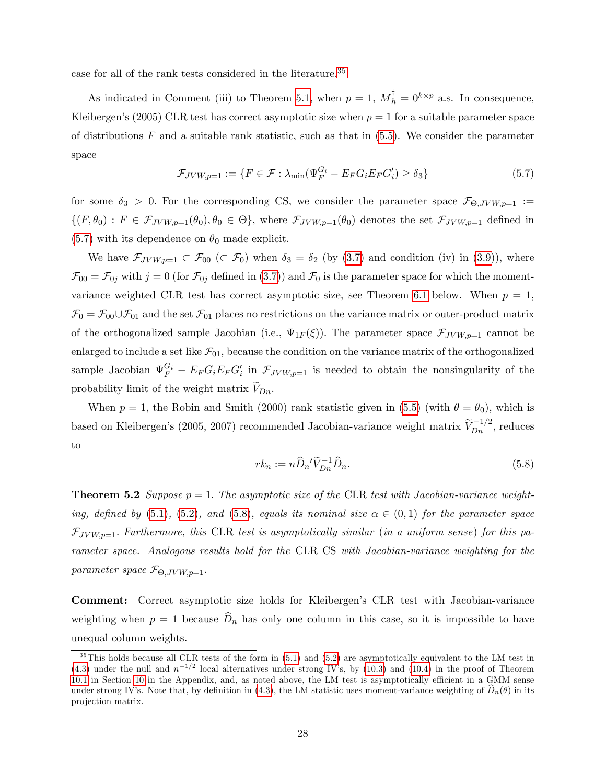case for all of the rank tests considered in the literature.<sup>[35](#page-28-0)</sup>

As indicated in Comment (iii) to Theorem [5.1,](#page-25-0) when  $p = 1$ ,  $\overline{M}_h^{\dagger} = 0^{k \times p}$  a.s. In consequence, Kleibergen's (2005) CLR test has correct asymptotic size when  $p = 1$  for a suitable parameter space of distributions  $F$  and a suitable rank statistic, such as that in  $(5.5)$ . We consider the parameter space

<span id="page-28-1"></span>
$$
\mathcal{F}_{JVW,p=1} := \{ F \in \mathcal{F} : \lambda_{\min} (\Psi_F^{G_i} - E_F G_i E_F G_i') \ge \delta_3 \}
$$
\n
$$
(5.7)
$$

for some  $\delta_3 > 0$ . For the corresponding CS, we consider the parameter space  $\mathcal{F}_{\Theta, JVW,p=1}$ :=  $\{(F,\theta_0): F \in \mathcal{F}_{JVW,p=1}(\theta_0), \theta_0 \in \Theta\}$ , where  $\mathcal{F}_{JVW,p=1}(\theta_0)$  denotes the set  $\mathcal{F}_{JVW,p=1}$  defined in  $(5.7)$  with its dependence on  $\theta_0$  made explicit.

We have  $\mathcal{F}_{Jvw,p=1} \subset \mathcal{F}_{00} \subset \mathcal{F}_{0}$  when  $\delta_3 = \delta_2$  (by [\(3.7\)](#page-16-3) and condition (iv) in [\(3.9\)](#page-19-1)), where  $\mathcal{F}_{00} = \mathcal{F}_{0j}$  with  $j = 0$  (for  $\mathcal{F}_{0j}$  defined in [\(3.7\)](#page-16-3)) and  $\mathcal{F}_{0}$  is the parameter space for which the moment-variance weighted CLR test has correct asymptotic size, see Theorem [6.1](#page-29-1) below. When  $p = 1$ ,  $\mathcal{F}_0 = \mathcal{F}_{00} \cup \mathcal{F}_{01}$  and the set  $\mathcal{F}_{01}$  places no restrictions on the variance matrix or outer-product matrix of the orthogonalized sample Jacobian (i.e.,  $\Psi_{1F}(\xi)$ ). The parameter space  $\mathcal{F}_{JVW,p=1}$  cannot be enlarged to include a set like  $\mathcal{F}_{01}$ , because the condition on the variance matrix of the orthogonalized sample Jacobian  $\Psi_F^{G_i} - E_F G_i E_F G_i'$  in  $\mathcal{F}_{JVW,p=1}$  is needed to obtain the nonsingularity of the probability limit of the weight matrix  $V_{Dn}$ .

When  $p = 1$ , the Robin and Smith (2000) rank statistic given in [\(5.5\)](#page-24-3) (with  $\theta = \theta_0$ ), which is based on Kleibergen's (2005, 2007) recommended Jacobian-variance weight matrix  $\tilde{V}_{Dn}^{-1/2}$ , reduces to

<span id="page-28-2"></span>
$$
rk_n := n\widehat{D}_n{}'\widetilde{V}_{Dn}^{-1}\widehat{D}_n.
$$
\n(5.8)

<span id="page-28-3"></span>**Theorem 5.2** Suppose  $p = 1$ . The asymptotic size of the CLR test with Jacobian-variance weight-ing, defined by [\(5.1\)](#page-23-1), [\(5.2\)](#page-23-2), and [\(5.8\)](#page-28-2), equals its nominal size  $\alpha \in (0,1)$  for the parameter space  $\mathcal{F}_{JVW,p=1}$ . Furthermore, this CLR test is asymptotically similar (in a uniform sense) for this parameter space. Analogous results hold for the CLR CS with Jacobian-variance weighting for the parameter space  $\mathcal{F}_{\Theta, JVW, p=1}$ .

Comment: Correct asymptotic size holds for Kleibergen's CLR test with Jacobian-variance weighting when  $p = 1$  because  $\widehat{D}_n$  has only one column in this case, so it is impossible to have unequal column weights.

<span id="page-28-0"></span> $35$ This holds because all CLR tests of the form in [\(5.1\)](#page-23-1) and [\(5.2\)](#page-23-2) are asymptotically equivalent to the LM test in  $(4.3)$  under the null and  $n^{-1/2}$  local alternatives under strong IV's, by [\(10.3\)](#page-49-0) and [\(10.4\)](#page-49-1) in the proof of Theorem [10.1](#page-48-0) in Section [10](#page-47-0) in the Appendix, and, as noted above, the LM test is asymptotically efficient in a GMM sense under strong IV's. Note that, by definition in [\(4.3\)](#page-21-2), the LM statistic uses moment-variance weighting of  $\hat{D}_n(\theta)$  in its projection matrix.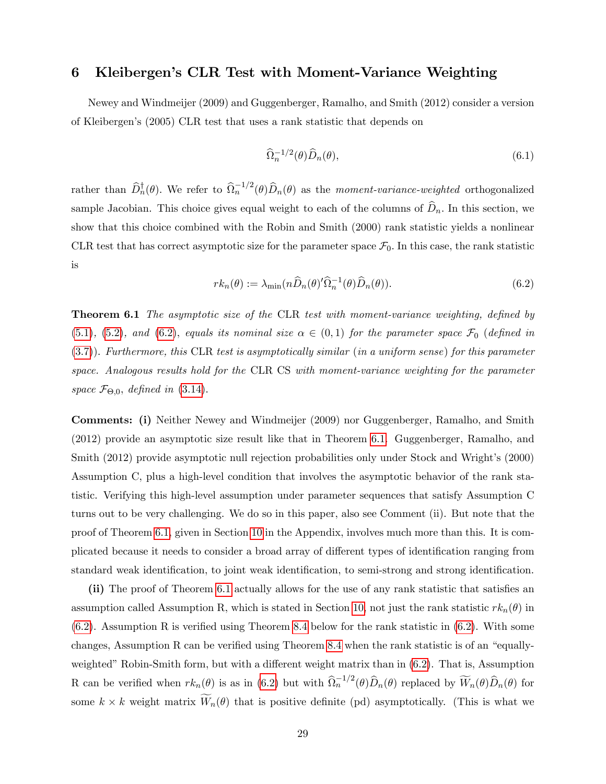## <span id="page-29-0"></span>6 Kleibergenís CLR Test with Moment-Variance Weighting

Newey and Windmeijer (2009) and Guggenberger, Ramalho, and Smith (2012) consider a version of Kleibergenís (2005) CLR test that uses a rank statistic that depends on

$$
\widehat{\Omega}_n^{-1/2}(\theta)\widehat{D}_n(\theta),\tag{6.1}
$$

rather than  $\hat{D}_n^{\dagger}(\theta)$ . We refer to  $\hat{\Omega}_n^{-1/2}(\theta)\hat{D}_n(\theta)$  as the *moment-variance-weighted* orthogonalized sample Jacobian. This choice gives equal weight to each of the columns of  $\widehat{D}_n$ . In this section, we show that this choice combined with the Robin and Smith (2000) rank statistic yields a nonlinear CLR test that has correct asymptotic size for the parameter space  $\mathcal{F}_0$ . In this case, the rank statistic is

<span id="page-29-2"></span>
$$
rk_n(\theta) := \lambda_{\min}(n\widehat{D}_n(\theta)'\widehat{\Omega}_n^{-1}(\theta)\widehat{D}_n(\theta)).
$$
\n(6.2)

<span id="page-29-1"></span>**Theorem 6.1** The asymptotic size of the CLR test with moment-variance weighting, defined by [\(5.1\)](#page-23-1), [\(5.2\)](#page-23-2), and [\(6.2\)](#page-29-2), equals its nominal size  $\alpha \in (0,1)$  for the parameter space  $\mathcal{F}_0$  (defined in [\(3.7\)](#page-16-3)). Furthermore, this CLR test is asymptotically similar (in a uniform sense) for this parameter space. Analogous results hold for the CLR CS with moment-variance weighting for the parameter space  $\mathcal{F}_{\Theta,0}$ , defined in [\(3.14\)](#page-21-5).

Comments: (i) Neither Newey and Windmeijer (2009) nor Guggenberger, Ramalho, and Smith (2012) provide an asymptotic size result like that in Theorem [6.1.](#page-29-1) Guggenberger, Ramalho, and Smith (2012) provide asymptotic null rejection probabilities only under Stock and Wright's (2000) Assumption C, plus a high-level condition that involves the asymptotic behavior of the rank statistic. Verifying this high-level assumption under parameter sequences that satisfy Assumption C turns out to be very challenging. We do so in this paper, also see Comment (ii). But note that the proof of Theorem [6.1,](#page-29-1) given in Section [10](#page-47-0) in the Appendix, involves much more than this. It is complicated because it needs to consider a broad array of different types of identification ranging from standard weak identification, to joint weak identification, to semi-strong and strong identification.

(ii) The proof of Theorem [6.1](#page-29-1) actually allows for the use of any rank statistic that satisfies an assumption called Assumption R, which is stated in Section [10,](#page-47-0) not just the rank statistic  $rk_n(\theta)$  in  $(6.2)$ . Assumption R is verified using Theorem [8.4](#page-45-0) below for the rank statistic in  $(6.2)$ . With some changes, Assumption R can be verified using Theorem [8.4](#page-45-0) when the rank statistic is of an "equally-weighted" Robin-Smith form, but with a different weight matrix than in [\(6.2\)](#page-29-2). That is, Assumption R can be verified when  $rk_n(\theta)$  is as in [\(6.2\)](#page-29-2) but with  $\widehat{\Omega}_n^{-1/2}(\theta)\widehat{D}_n(\theta)$  replaced by  $\widetilde{W}_n(\theta)\widehat{D}_n(\theta)$  for some  $k \times k$  weight matrix  $W_n(\theta)$  that is positive definite (pd) asymptotically. (This is what we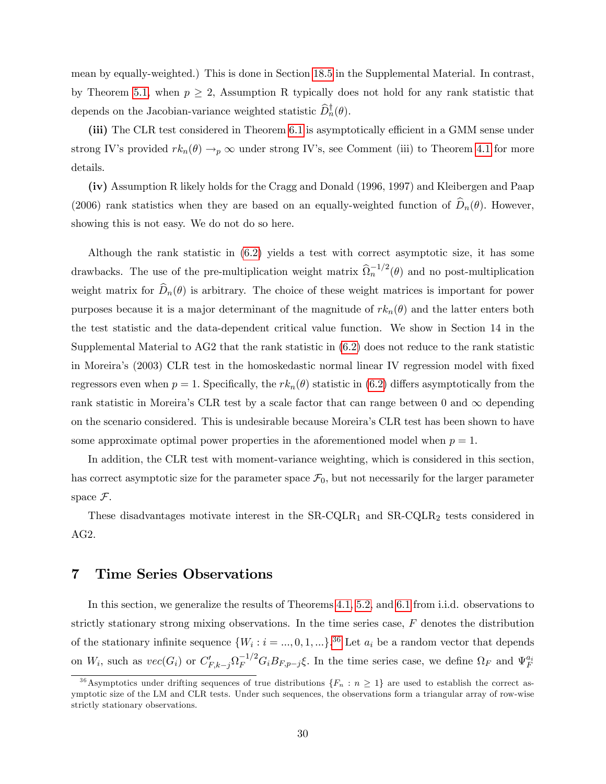mean by equally-weighted.) This is done in Section [18.5](#page--1-10) in the Supplemental Material. In contrast, by Theorem [5.1,](#page-25-0) when  $p \geq 2$ , Assumption R typically does not hold for any rank statistic that depends on the Jacobian-variance weighted statistic  $D_n^{\dagger}(\theta)$ .

(iii) The CLR test considered in Theorem [6.1](#page-29-1) is asymptotically efficient in a GMM sense under strong IV's provided  $rk_n(\theta) \to_p \infty$  under strong IV's, see Comment (iii) to Theorem [4.1](#page-22-0) for more details.

(iv) Assumption R likely holds for the Cragg and Donald (1996, 1997) and Kleibergen and Paap (2006) rank statistics when they are based on an equally-weighted function of  $\hat{D}_n(\theta)$ . However, showing this is not easy. We do not do so here.

Although the rank statistic in [\(6.2\)](#page-29-2) yields a test with correct asymptotic size, it has some drawbacks. The use of the pre-multiplication weight matrix  $\widehat{\Omega}_n^{-1/2}(\theta)$  and no post-multiplication weight matrix for  $\widehat{D}_n(\theta)$  is arbitrary. The choice of these weight matrices is important for power purposes because it is a major determinant of the magnitude of  $rk_n(\theta)$  and the latter enters both the test statistic and the data-dependent critical value function. We show in Section 14 in the Supplemental Material to AG2 that the rank statistic in [\(6.2\)](#page-29-2) does not reduce to the rank statistic in Moreira's (2003) CLR test in the homoskedastic normal linear IV regression model with fixed regressors even when  $p = 1$ . Specifically, the  $rk_n(\theta)$  statistic in [\(6.2\)](#page-29-2) differs asymptotically from the rank statistic in Moreira's CLR test by a scale factor that can range between 0 and  $\infty$  depending on the scenario considered. This is undesirable because Moreiraís CLR test has been shown to have some approximate optimal power properties in the aforementioned model when  $p = 1$ .

In addition, the CLR test with moment-variance weighting, which is considered in this section, has correct asymptotic size for the parameter space  $\mathcal{F}_0$ , but not necessarily for the larger parameter space  $\mathcal{F}$ .

These disadvantages motivate interest in the  $SR-CQLR_1$  and  $SR-CQLR_2$  tests considered in AG2.

### <span id="page-30-0"></span>7 Time Series Observations

In this section, we generalize the results of Theorems [4.1,](#page-22-0) [5.2,](#page-28-3) and [6.1](#page-29-1) from i.i.d. observations to strictly stationary strong mixing observations. In the time series case, F denotes the distribution of the stationary infinite sequence  $\{W_i : i = ..., 0, 1, ...\}$ .<sup>[36](#page-30-1)</sup> Let  $a_i$  be a random vector that depends on  $W_i$ , such as  $vec(G_i)$  or  $C'_{F,k-j}\Omega_F^{-1/2}G_iB_{F,p-j}\xi$ . In the time series case, we define  $\Omega_F$  and  $\Psi_F^{a_i}$ 

<span id="page-30-1"></span><sup>&</sup>lt;sup>36</sup>Asymptotics under drifting sequences of true distributions  $\{F_n : n \geq 1\}$  are used to establish the correct asymptotic size of the LM and CLR tests. Under such sequences, the observations form a triangular array of row-wise strictly stationary observations.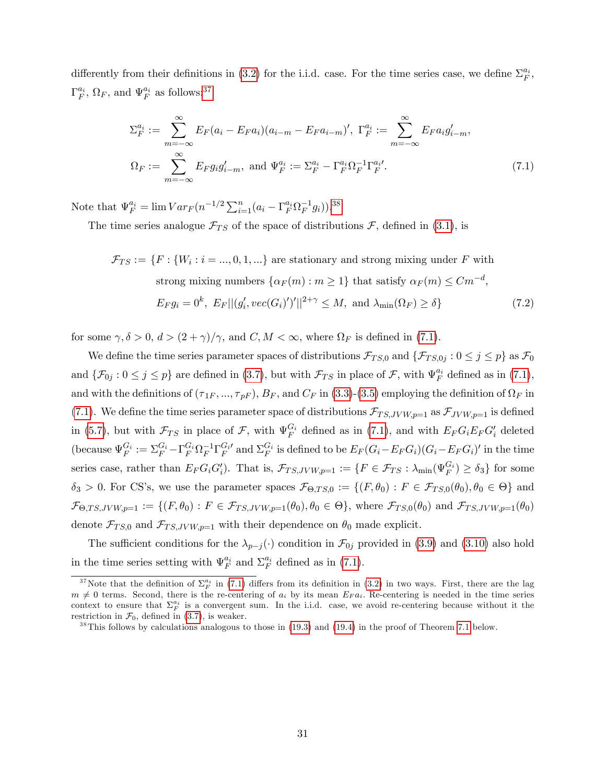differently from their definitions in [\(3.2\)](#page-15-4) for the i.i.d. case. For the time series case, we define  $\Sigma_F^{a_i}$ ,  $\Gamma_F^{a_i}$ ,  $\Omega_F$ , and  $\Psi_F^{a_i}$  as follows:<sup>[37](#page-31-0)</sup>

<span id="page-31-2"></span>
$$
\Sigma_F^{a_i} := \sum_{m=-\infty}^{\infty} E_F(a_i - E_F a_i)(a_{i-m} - E_F a_{i-m})', \ \Gamma_F^{a_i} := \sum_{m=-\infty}^{\infty} E_F a_i g'_{i-m},
$$
  

$$
\Omega_F := \sum_{m=-\infty}^{\infty} E_F g_i g'_{i-m}, \text{ and } \Psi_F^{a_i} := \Sigma_F^{a_i} - \Gamma_F^{a_i} \Omega_F^{-1} \Gamma_F^{a_i}.
$$
 (7.1)

Note that  $\Psi_F^{a_i} = \lim_{r \to \infty} Var_F(n^{-1/2} \sum_{i=1}^n (a_i - \Gamma_F^{a_i} \Omega_F^{-1} g_i)).^{38}$  $\Psi_F^{a_i} = \lim_{r \to \infty} Var_F(n^{-1/2} \sum_{i=1}^n (a_i - \Gamma_F^{a_i} \Omega_F^{-1} g_i)).^{38}$  $\Psi_F^{a_i} = \lim_{r \to \infty} Var_F(n^{-1/2} \sum_{i=1}^n (a_i - \Gamma_F^{a_i} \Omega_F^{-1} g_i)).^{38}$ 

The time series analogue  $\mathcal{F}_{TS}$  of the space of distributions  $\mathcal{F}$ , defined in [\(3.1\)](#page-14-1), is

$$
\mathcal{F}_{TS} := \{ F : \{ W_i : i = ..., 0, 1, ...\} \text{ are stationary and strong mixing under } F \text{ with}
$$
  
strong mixing numbers  $\{ \alpha_F(m) : m \ge 1 \}$  that satisfy  $\alpha_F(m) \le Cm^{-d}$ ,  

$$
E_F g_i = 0^k, E_F || (g'_i, vec(G_i)')'||^{2+\gamma} \le M, \text{ and } \lambda_{\min}(\Omega_F) \ge \delta \}
$$
(7.2)

for some  $\gamma, \delta > 0, d > (2 + \gamma)/\gamma$ , and  $C, M < \infty$ , where  $\Omega_F$  is defined in [\(7.1\)](#page-31-2).

We define the time series parameter spaces of distributions  $\mathcal{F}_{TS,0}$  and  $\{\mathcal{F}_{TS,0j} : 0 \leq j \leq p\}$  as  $\mathcal{F}_0$ and  $\{\mathcal{F}_{0j} : 0 \leq j \leq p\}$  are defined in [\(3.7\)](#page-16-3), but with  $\mathcal{F}_{TS}$  in place of  $\mathcal{F}$ , with  $\Psi_F^{a_i}$  defined as in [\(7.1\)](#page-31-2), and with the definitions of  $(\tau_{1F},...,\tau_{pF}),$   $B_F$ , and  $C_F$  in [\(3.3\)](#page-15-3)-[\(3.5\)](#page-16-2) employing the definition of  $\Omega_F$  in [\(7.1\)](#page-31-2). We define the time series parameter space of distributions  $\mathcal{F}_{TS, JVW, p=1}$  as  $\mathcal{F}_{JVW, p=1}$  is defined in [\(5.7\)](#page-28-1), but with  $\mathcal{F}_{TS}$  in place of  $\mathcal{F}$ , with  $\Psi_F^{G_i}$  defined as in [\(7.1\)](#page-31-2), and with  $E_F G_i E_F G_i'$  deleted (because  $\Psi_F^{G_i} := \sum_F^{G_i} - \Gamma_F^{G_i} \Omega_F^{-1} \Gamma_F^{G_i}$  and  $\Sigma_F^{G_i}$  is defined to be  $E_F (G_i - E_F G_i) (G_i - E_F G_i)'$  in the time series case, rather than  $E_F G_i G_i'$ ). That is,  $\mathcal{F}_{TS, JVW,p=1} := \{ F \in \mathcal{F}_{TS} : \lambda_{\min}(\Psi_F^{G_i}) \ge \delta_3 \}$  for some  $\delta_3 > 0$ . For CS's, we use the parameter spaces  $\mathcal{F}_{\Theta,TS,0} := \{(F, \theta_0) : F \in \mathcal{F}_{TS,0}(\theta_0), \theta_0 \in \Theta\}$  and  $\mathcal{F}_{\Theta,TS,JVW,p=1} := \{(F,\theta_0) : F \in \mathcal{F}_{TS,JVW,p=1}(\theta_0), \theta_0 \in \Theta\}$ , where  $\mathcal{F}_{TS,0}(\theta_0)$  and  $\mathcal{F}_{TS,JVW,p=1}(\theta_0)$ denote  $\mathcal{F}_{TS,0}$  and  $\mathcal{F}_{TS, JVW, p=1}$  with their dependence on  $\theta_0$  made explicit.

The sufficient conditions for the  $\lambda_{p-j}(\cdot)$  condition in  $\mathcal{F}_{0j}$  provided in [\(3.9\)](#page-19-1) and [\(3.10\)](#page-19-2) also hold in the time series setting with  $\Psi_F^{a_i}$  and  $\Sigma_F^{a_i}$  defined as in [\(7.1\)](#page-31-2).

<span id="page-31-0"></span><sup>&</sup>lt;sup>37</sup>Note that the definition of  $\Sigma_F^{a_i}$  in [\(7.1\)](#page-31-2) differs from its definition in [\(3.2\)](#page-15-4) in two ways. First, there are the lag  $m \neq 0$  terms. Second, there is the re-centering of  $a_i$  by its mean  $E_F a_i$ . Re-centering is needed in the time series context to ensure that  $\Sigma_F^{a_i}$  is a convergent sum. In the i.i.d. case, we avoid re-centering because without it the restriction in  $\mathcal{F}_0$ , defined in [\(3.7\)](#page-16-3), is weaker.

<span id="page-31-1"></span> $38$ This follows by calculations analogous to those in [\(19.3\)](#page--1-12) and [\(19.4\)](#page--1-13) in the proof of Theorem [7.1](#page-33-0) below.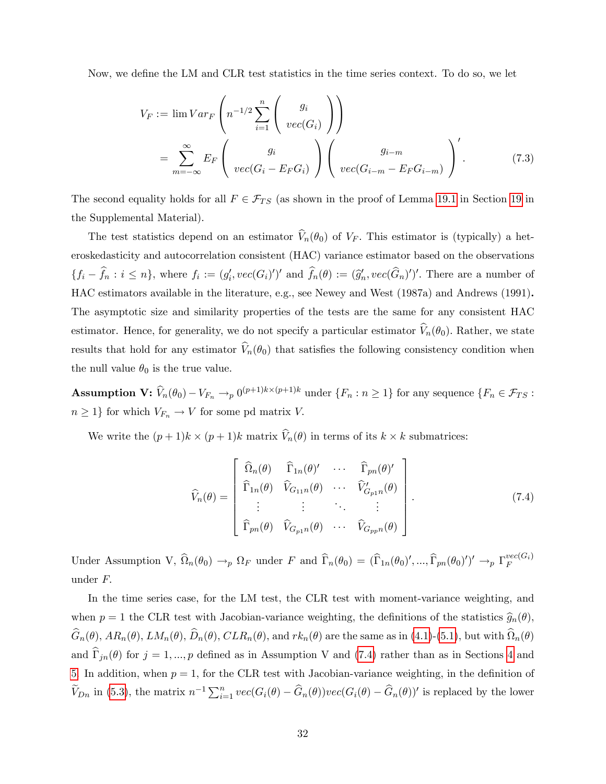Now, we define the LM and CLR test statistics in the time series context. To do so, we let

$$
V_F := \lim Var_F \left( n^{-1/2} \sum_{i=1}^n \begin{pmatrix} g_i \\ vec(G_i) \end{pmatrix} \right)
$$
  
= 
$$
\sum_{m=-\infty}^{\infty} E_F \left( \begin{array}{c} g_i \\ vec(G_i - E_F G_i) \end{array} \right) \left( \begin{array}{c} g_{i-m} \\ vec(G_{i-m} - E_F G_{i-m}) \end{array} \right)'
$$
 (7.3)

The second equality holds for all  $F \in \mathcal{F}_{TS}$  (as shown in the proof of Lemma [19.1](#page--1-14) in Section [19](#page--1-15) in the Supplemental Material).

The test statistics depend on an estimator  $\hat{V}_n(\theta_0)$  of  $V_F$ . This estimator is (typically) a heteroskedasticity and autocorrelation consistent (HAC) variance estimator based on the observations  $\{f_i - f_n : i \leq n\}$ , where  $f_i := (g'_i, vec(G_i)')'$  and  $f_n(\theta) := (\widehat{g}'_n, vec(G_n)')'$ . There are a number of HAC estimators available in the literature, e.g., see Newey and West (1987a) and Andrews (1991). The asymptotic size and similarity properties of the tests are the same for any consistent HAC estimator. Hence, for generality, we do not specify a particular estimator  $\widehat{V}_n(\theta_0)$ . Rather, we state results that hold for any estimator  $\hat{V}_n(\theta_0)$  that satisfies the following consistency condition when the null value  $\theta_0$  is the true value.

Assumption  $\mathbf{V}: \widehat{V}_n(\theta_0) - V_{F_n} \to p \{0^{(p+1)k \times (p+1)k} \text{ under } \{F_n : n \geq 1\} \text{ for any sequence } \{F_n \in \mathcal{F}_{TS} : p \in \mathcal{F}_{TS} \}$  $n \geq 1$ } for which  $V_{F_n} \to V$  for some pd matrix V.

We write the  $(p+1)k \times (p+1)k$  matrix  $V_n(\theta)$  in terms of its  $k \times k$  submatrices:

<span id="page-32-0"></span>
$$
\widehat{V}_{n}(\theta) = \begin{bmatrix}\n\widehat{\Omega}_{n}(\theta) & \widehat{\Gamma}_{1n}(\theta)' & \cdots & \widehat{\Gamma}_{pn}(\theta)'\n\\
\widehat{\Gamma}_{1n}(\theta) & \widehat{V}_{G_{11}n}(\theta) & \cdots & \widehat{V}_{G_{p1}n}'(\theta)\n\\
\vdots & \vdots & \ddots & \vdots\n\\
\widehat{\Gamma}_{pn}(\theta) & \widehat{V}_{G_{p1}n}(\theta) & \cdots & \widehat{V}_{G_{pp}n}(\theta)\n\end{bmatrix}.
$$
\n(7.4)

Under Assumption V,  $\widehat{\Omega}_n(\theta_0) \to_p \Omega_F$  under F and  $\widehat{\Gamma}_n(\theta_0) = (\widehat{\Gamma}_{1n}(\theta_0)', \dots, \widehat{\Gamma}_{pn}(\theta_0)')' \to_p \Gamma_F^{vec(G_i)}$ F under F:

In the time series case, for the LM test, the CLR test with moment-variance weighting, and when  $p = 1$  the CLR test with Jacobian-variance weighting, the definitions of the statistics  $\hat{g}_n(\theta)$ ,  $G_n(\theta), AR_n(\theta), LM_n(\theta), D_n(\theta), CLR_n(\theta),$  and  $rk_n(\theta)$  are the same as in [\(4.1\)](#page-21-1)-[\(5.1\)](#page-23-1), but with  $\Omega_n(\theta)$ and  $\widehat{\Gamma}_{in}(\theta)$  for  $j = 1, ..., p$  defined as in Assumption V and [\(7.4\)](#page-32-0) rather than as in Sections [4](#page-21-0) and [5.](#page-23-0) In addition, when  $p = 1$ , for the CLR test with Jacobian-variance weighting, in the definition of  $\widetilde{V}_{Dn}$  in [\(5.3\)](#page-24-4), the matrix  $n^{-1}\sum_{i=1}^{n}vec(G_i(\theta)-\widehat{G}_n(\theta))vec(G_i(\theta)-\widehat{G}_n(\theta))'$  is replaced by the lower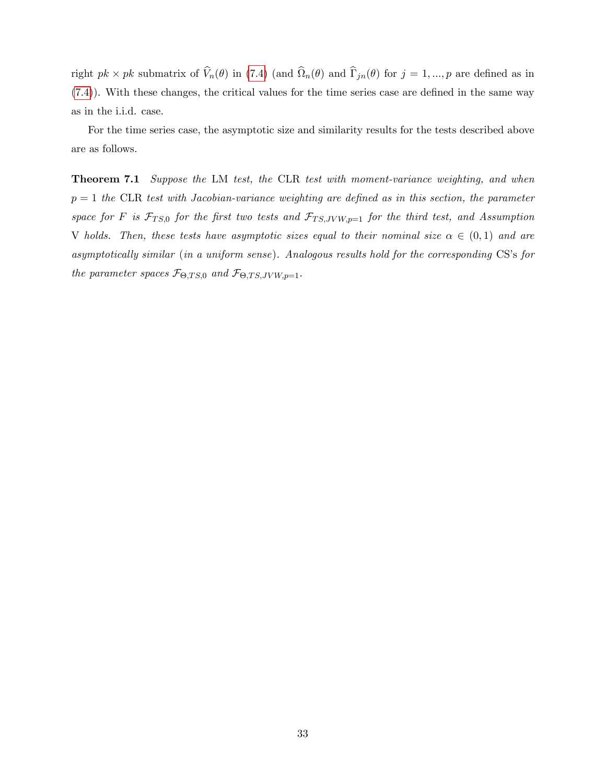right  $pk \times pk$  submatrix of  $V_n(\theta)$  in [\(7.4\)](#page-32-0) (and  $\Omega_n(\theta)$  and  $\Gamma_{jn}(\theta)$  for  $j = 1, ..., p$  are defined as in  $(7.4)$ ). With these changes, the critical values for the time series case are defined in the same way as in the i.i.d. case.

For the time series case, the asymptotic size and similarity results for the tests described above are as follows.

<span id="page-33-0"></span>**Theorem 7.1** Suppose the LM test, the CLR test with moment-variance weighting, and when  $p = 1$  the CLR test with Jacobian-variance weighting are defined as in this section, the parameter space for F is  $\mathcal{F}_{TS,0}$  for the first two tests and  $\mathcal{F}_{TS, JVW, p=1}$  for the third test, and Assumption V holds. Then, these tests have asymptotic sizes equal to their nominal size  $\alpha \in (0,1)$  and are asymptotically similar (in a uniform sense). Analogous results hold for the corresponding CS's for the parameter spaces  $\mathcal{F}_{\Theta, TS,0}$  and  $\mathcal{F}_{\Theta, TS, JVW, p=1}$ .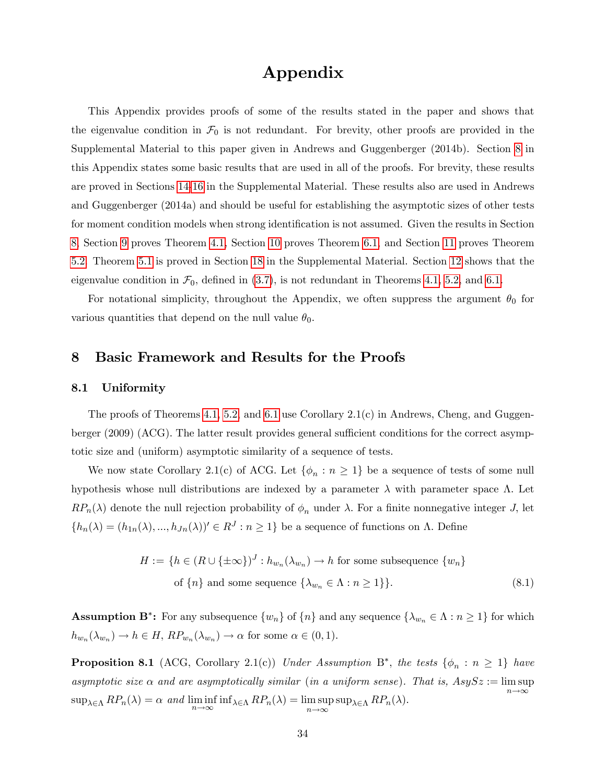# Appendix

This Appendix provides proofs of some of the results stated in the paper and shows that the eigenvalue condition in  $\mathcal{F}_0$  is not redundant. For brevity, other proofs are provided in the Supplemental Material to this paper given in Andrews and Guggenberger (2014b). Section [8](#page-34-0) in this Appendix states some basic results that are used in all of the proofs. For brevity, these results are proved in Sections [14](#page--1-16)[-16](#page--1-17) in the Supplemental Material. These results also are used in Andrews and Guggenberger (2014a) and should be useful for establishing the asymptotic sizes of other tests for moment condition models when strong identification is not assumed. Given the results in Section [8,](#page-34-0) Section [9](#page-46-0) proves Theorem [4.1,](#page-22-0) Section [10](#page-47-0) proves Theorem [6.1,](#page-29-1) and Section [11](#page-51-0) proves Theorem [5.2.](#page-28-3) Theorem [5.1](#page-25-0) is proved in Section [18](#page--1-0) in the Supplemental Material. Section [12](#page-53-0) shows that the eigenvalue condition in  $\mathcal{F}_0$ , defined in [\(3.7\)](#page-16-3), is not redundant in Theorems [4.1,](#page-22-0) [5.2,](#page-28-3) and [6.1.](#page-29-1)

For notational simplicity, throughout the Appendix, we often suppress the argument  $\theta_0$  for various quantities that depend on the null value  $\theta_0$ .

### <span id="page-34-0"></span>8 Basic Framework and Results for the Proofs

#### 8.1 Uniformity

The proofs of Theorems [4.1,](#page-22-0) [5.2,](#page-28-3) and [6.1](#page-29-1) use Corollary 2.1(c) in Andrews, Cheng, and Guggenberger  $(2009)$  (ACG). The latter result provides general sufficient conditions for the correct asymptotic size and (uniform) asymptotic similarity of a sequence of tests.

We now state Corollary 2.1(c) of ACG. Let  $\{\phi_n : n \geq 1\}$  be a sequence of tests of some null hypothesis whose null distributions are indexed by a parameter  $\lambda$  with parameter space  $\Lambda$ . Let  $RP_n(\lambda)$  denote the null rejection probability of  $\phi_n$  under  $\lambda$ . For a finite nonnegative integer J, let  $\{h_n(\lambda) = (h_{1n}(\lambda), ..., h_{Jn}(\lambda))' \in R^J : n \ge 1\}$  be a sequence of functions on  $\Lambda$ . Define

<span id="page-34-2"></span>
$$
H := \{ h \in (R \cup \{\pm \infty\})^J : h_{w_n}(\lambda_{w_n}) \to h \text{ for some subsequence } \{w_n\}
$$
  
of  $\{n\}$  and some sequence  $\{\lambda_{w_n} \in \Lambda : n \ge 1\}$ . (8.1)

**Assumption B<sup>\*</sup>:** For any subsequence  $\{w_n\}$  of  $\{n\}$  and any sequence  $\{\lambda_{w_n} \in \Lambda : n \geq 1\}$  for which  $h_{w_n}(\lambda_{w_n}) \to h \in H$ ,  $RP_{w_n}(\lambda_{w_n}) \to \alpha$  for some  $\alpha \in (0,1)$ .

<span id="page-34-1"></span>**Proposition 8.1** (ACG, Corollary 2.1(c)) Under Assumption B<sup>\*</sup>, the tests  $\{\phi_n : n \geq 1\}$  have asymptotic size  $\alpha$  and are asymptotically similar (in a uniform sense). That is,  $AsySz := \limsup$  $n\rightarrow\infty$  $\sup_{\lambda \in \Lambda} RP_n(\lambda) = \alpha$  and  $\liminf_{n \to \infty} \inf_{\lambda \in \Lambda} RP_n(\lambda) = \limsup_{n \to \infty} \sup_{\lambda \in \Lambda} RP_n(\lambda)$ .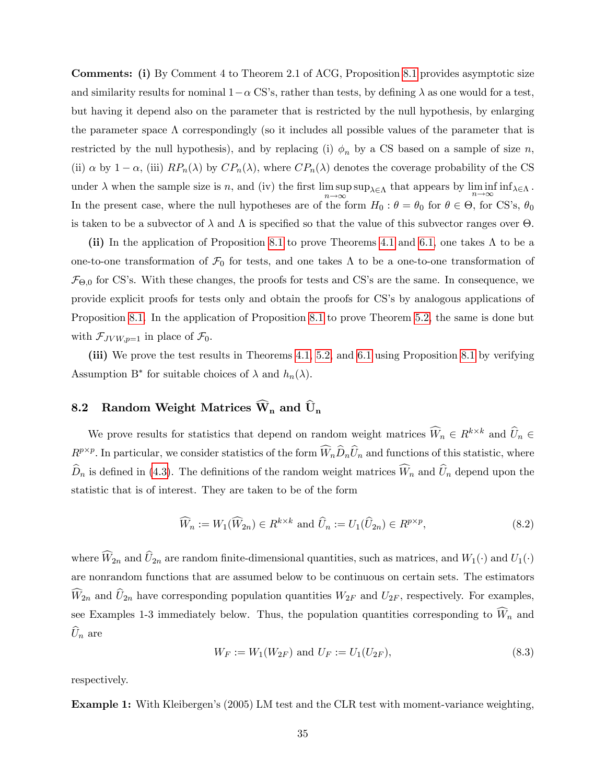Comments: (i) By Comment 4 to Theorem 2.1 of ACG, Proposition [8.1](#page-34-1) provides asymptotic size and similarity results for nominal  $1-\alpha$  CS's, rather than tests, by defining  $\lambda$  as one would for a test, but having it depend also on the parameter that is restricted by the null hypothesis, by enlarging the parameter space  $\Lambda$  correspondingly (so it includes all possible values of the parameter that is restricted by the null hypothesis), and by replacing (i)  $\phi_n$  by a CS based on a sample of size n, (ii)  $\alpha$  by  $1 - \alpha$ , (iii)  $RP_n(\lambda)$  by  $CP_n(\lambda)$ , where  $CP_n(\lambda)$  denotes the coverage probability of the CS under  $\lambda$  when the sample size is n, and (iv) the first lim sup  $\limsup_{n\to\infty} \sup_{\lambda\in\Lambda}$  that appears by  $\liminf_{n\to\infty} \inf_{\lambda\in\Lambda}$ . In the present case, where the null hypotheses are of the form  $H_0$ :  $\theta = \theta_0$  for  $\theta \in \Theta$ , for CS's,  $\theta_0$ is taken to be a subvector of  $\lambda$  and  $\Lambda$  is specified so that the value of this subvector ranges over  $\Theta$ .

(ii) In the application of Proposition [8.1](#page-34-1) to prove Theorems [4.1](#page-22-0) and [6.1,](#page-29-1) one takes  $\Lambda$  to be a one-to-one transformation of  $\mathcal{F}_0$  for tests, and one takes  $\Lambda$  to be a one-to-one transformation of  $\mathcal{F}_{\Theta,0}$  for CS's. With these changes, the proofs for tests and CS's are the same. In consequence, we provide explicit proofs for tests only and obtain the proofs for CS's by analogous applications of Proposition [8.1.](#page-34-1) In the application of Proposition [8.1](#page-34-1) to prove Theorem [5.2,](#page-28-3) the same is done but with  $\mathcal{F}_{JVW,p=1}$  in place of  $\mathcal{F}_0$ .

(iii) We prove the test results in Theorems [4.1,](#page-22-0) [5.2,](#page-28-3) and [6.1](#page-29-1) using Proposition [8.1](#page-34-1) by verifying Assumption B<sup>\*</sup> for suitable choices of  $\lambda$  and  $h_n(\lambda)$ .

# <span id="page-35-0"></span>8.2 Random Weight Matrices  $\widehat{W}_n$  and  $\widehat{U}_n$

We prove results for statistics that depend on random weight matrices  $\widehat{W}_n \in R^{k \times k}$  and  $\widehat{U}_n \in$  $R^{p\times p}$ . In particular, we consider statistics of the form  $\widehat{W}_n \widehat{D}_n \widehat{U}_n$  and functions of this statistic, where  $\widehat{D}_n$  is defined in [\(4.3\)](#page-21-2). The definitions of the random weight matrices  $\widehat{W}_n$  and  $\widehat{U}_n$  depend upon the statistic that is of interest. They are taken to be of the form

<span id="page-35-1"></span>
$$
\widehat{W}_n := W_1(\widehat{W}_{2n}) \in R^{k \times k} \text{ and } \widehat{U}_n := U_1(\widehat{U}_{2n}) \in R^{p \times p},\tag{8.2}
$$

where  $\widehat{W}_{2n}$  and  $\widehat{U}_{2n}$  are random finite-dimensional quantities, such as matrices, and  $W_1(\cdot)$  and  $U_1(\cdot)$ are nonrandom functions that are assumed below to be continuous on certain sets. The estimators  $\widehat{W}_{2n}$  and  $\widehat{U}_{2n}$  have corresponding population quantities  $W_{2F}$  and  $U_{2F}$ , respectively. For examples, see Examples 1-3 immediately below. Thus, the population quantities corresponding to  $\widehat{W}_n$  and  $\hat{U}_n$  are

$$
W_F := W_1(W_{2F}) \text{ and } U_F := U_1(U_{2F}), \tag{8.3}
$$

respectively.

Example 1: With Kleibergen's (2005) LM test and the CLR test with moment-variance weighting,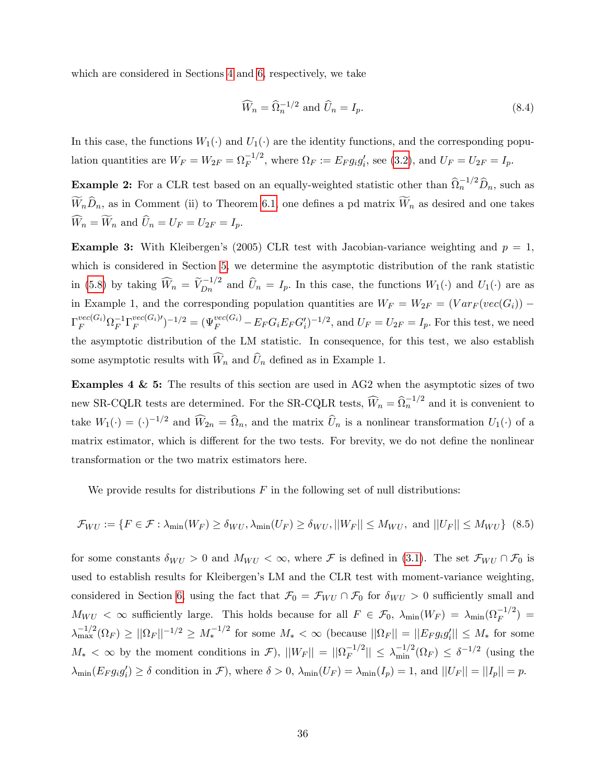which are considered in Sections [4](#page-21-0) and [6,](#page-29-0) respectively, we take

<span id="page-36-1"></span>
$$
\widehat{W}_n = \widehat{\Omega}_n^{-1/2} \text{ and } \widehat{U}_n = I_p. \tag{8.4}
$$

In this case, the functions  $W_1(\cdot)$  and  $U_1(\cdot)$  are the identity functions, and the corresponding population quantities are  $W_F = W_{2F} = \Omega_F^{-1/2}$ , where  $\Omega_F := E_F g_i g'_i$ , see [\(3.2\)](#page-15-4), and  $U_F = U_{2F} = I_p$ .

**Example 2:** For a CLR test based on an equally-weighted statistic other than  $\widehat{\Omega}_n^{-1/2} \widehat{D}_n$ , such as  $\widetilde{W}_n\widehat{D}_n$ , as in Comment (ii) to Theorem [6.1,](#page-29-1) one defines a pd matrix  $\widetilde{W}_n$  as desired and one takes  $\widehat{W}_n = \widetilde{W}_n$  and  $\widehat{U}_n = U_F = U_{2F} = I_p$ .

**Example 3:** With Kleibergen's (2005) CLR test with Jacobian-variance weighting and  $p = 1$ . which is considered in Section [5,](#page-23-0) we determine the asymptotic distribution of the rank statistic in [\(5.8\)](#page-28-2) by taking  $\widehat{W}_n = \widetilde{V}_{Dn}^{-1/2}$  and  $\widehat{U}_n = I_p$ . In this case, the functions  $W_1(\cdot)$  and  $U_1(\cdot)$  are as in Example 1, and the corresponding population quantities are  $W_F = W_{2F} = (Var_F (vec(G_i)) \Gamma_F^{vec(G_i)} \Omega_F^{-1} \Gamma_F^{vec(G_i)}{}')^{-1/2} = (\Psi_F^{vec(G_i)} - E_F G_i E_F G_i')^{-1/2}$ , and  $U_F = U_{2F} = I_p$ . For this test, we need the asymptotic distribution of the LM statistic. In consequence, for this test, we also establish some asymptotic results with  $\widehat{W}_n$  and  $\widehat{U}_n$  defined as in Example 1.

Examples 4 & 5: The results of this section are used in AG2 when the asymptotic sizes of two new SR-CQLR tests are determined. For the SR-CQLR tests,  $\widehat{W}_n = \widehat{\Omega}_n^{-1/2}$  and it is convenient to take  $W_1(\cdot) = (\cdot)^{-1/2}$  and  $\widehat{W}_{2n} = \widehat{\Omega}_n$ , and the matrix  $\widehat{U}_n$  is a nonlinear transformation  $U_1(\cdot)$  of a matrix estimator, which is different for the two tests. For brevity, we do not define the nonlinear transformation or the two matrix estimators here.

We provide results for distributions  $F$  in the following set of null distributions:

<span id="page-36-0"></span>
$$
\mathcal{F}_{WU} := \{ F \in \mathcal{F} : \lambda_{\min}(W_F) \ge \delta_{WU}, \lambda_{\min}(U_F) \ge \delta_{WU}, ||W_F|| \le M_{WU}, \text{ and } ||U_F|| \le M_{WU} \} \tag{8.5}
$$

for some constants  $\delta_{WU} > 0$  and  $M_{WU} < \infty$ , where F is defined in [\(3.1\)](#page-14-1). The set  $\mathcal{F}_{WU} \cap \mathcal{F}_0$  is used to establish results for Kleibergen's LM and the CLR test with moment-variance weighting, considered in Section [6,](#page-29-0) using the fact that  $\mathcal{F}_0 = \mathcal{F}_{WU} \cap \mathcal{F}_0$  for  $\delta_{WU} > 0$  sufficiently small and  $M_{WU} < \infty$  sufficiently large. This holds because for all  $F \in \mathcal{F}_0$ ,  $\lambda_{\min}(W_F) = \lambda_{\min}(\Omega_F^{-1/2}) =$  $\lambda_{\max}^{-1/2}(\Omega_F) \ge ||\Omega_F||^{-1/2} \ge M_*^{-1/2}$  for some  $M_* < \infty$  (because  $||\Omega_F|| = ||E_F g_i g'_i|| \le M_*$  for some  $M_* < \infty$  by the moment conditions in  $\mathcal{F}$ ),  $||W_F|| = ||\Omega_F^{-1/2}|| \leq \lambda_{\min}^{-1/2}(\Omega_F) \leq \delta^{-1/2}$  (using the  $\lambda_{\min}(E_F g_i g'_i) \ge \delta$  condition in  $\mathcal{F}$ ), where  $\delta > 0$ ,  $\lambda_{\min}(U_F) = \lambda_{\min}(I_p) = 1$ , and  $||U_F|| = ||I_p|| = p$ .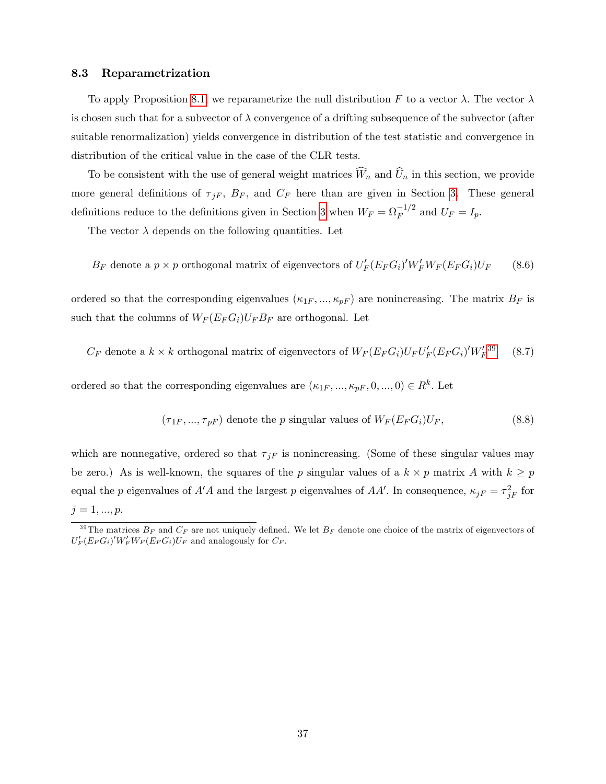#### 8.3 Reparametrization

To apply Proposition [8.1,](#page-34-1) we reparametrize the null distribution F to a vector  $\lambda$ . The vector  $\lambda$ is chosen such that for a subvector of  $\lambda$  convergence of a drifting subsequence of the subvector (after suitable renormalization) yields convergence in distribution of the test statistic and convergence in distribution of the critical value in the case of the CLR tests.

To be consistent with the use of general weight matrices  $\widehat{W}_n$  and  $\widehat{U}_n$  in this section, we provide more general definitions of  $\tau_{jF}$ ,  $B_F$ , and  $C_F$  here than are given in Section [3.](#page-14-0) These general definitions reduce to the definitions given in Section [3](#page-14-0) when  $W_F = \Omega_F^{-1/2}$  and  $U_F = I_p$ .

The vector  $\lambda$  depends on the following quantities. Let

$$
B_F
$$
 denote a  $p \times p$  orthogonal matrix of eigenvectors of  $U'_F(E_F G_i)'W'_F W_F(E_F G_i) U_F$  (8.6)

ordered so that the corresponding eigenvalues  $(\kappa_{1F}, ..., \kappa_{pF})$  are nonincreasing. The matrix  $B_F$  is such that the columns of  $W_F(E_F G_i)U_F B_F$  are orthogonal. Let

 $C_F$  denote a  $k \times k$  orthogonal matrix of eigenvectors of  $W_F(E_F G_i) U_F U_F'(E_F G_i)' W_F'$  $(8.7)$ 

ordered so that the corresponding eigenvalues are  $(\kappa_{1F}, ..., \kappa_{pF}, 0, ..., 0) \in R^k$ . Let

<span id="page-37-1"></span>
$$
(\tau_{1F}, ..., \tau_{pF})
$$
 denote the *p* singular values of  $W_F(E_F G_i)U_F$ , (8.8)

which are nonnegative, ordered so that  $\tau_{jF}$  is nonincreasing. (Some of these singular values may be zero.) As is well-known, the squares of the p singular values of a  $k \times p$  matrix A with  $k \geq p$ equal the p eigenvalues of  $A'A$  and the largest p eigenvalues of  $AA'$ . In consequence,  $\kappa_{jF} = \tau_{jF}^2$  for  $j = 1, ..., p.$ 

<span id="page-37-0"></span><sup>&</sup>lt;sup>39</sup>The matrices  $B_F$  and  $C_F$  are not uniquely defined. We let  $B_F$  denote one choice of the matrix of eigenvectors of  $U_F'(E_F G_i)' W_F' W_F(E_F G_i) U_F$  and analogously for  $C_F$ .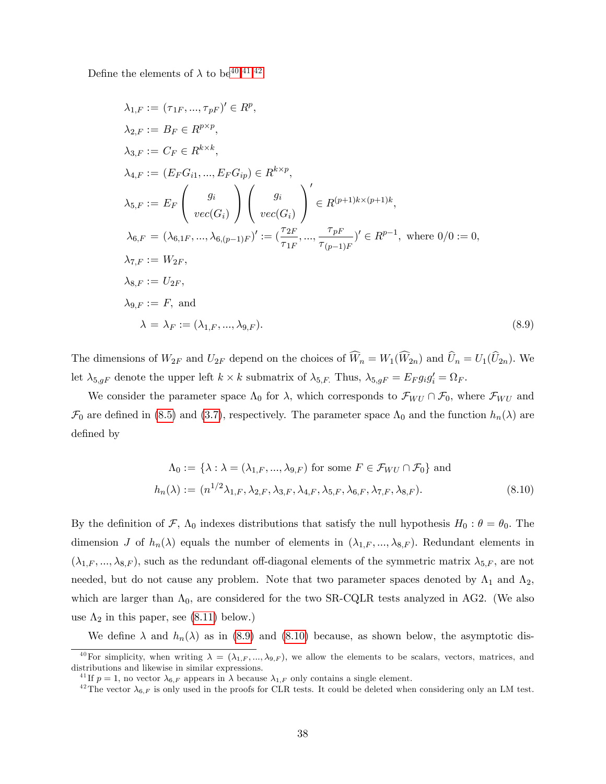Define the elements of  $\lambda$  to be<sup>[40](#page-38-0),[41](#page-38-1),[42](#page-38-2)</sup>

<span id="page-38-3"></span>
$$
\lambda_{1,F} := (\tau_{1F}, ..., \tau_{pF})' \in R^p,
$$
  
\n
$$
\lambda_{2,F} := B_F \in R^{p \times p},
$$
  
\n
$$
\lambda_{3,F} := C_F \in R^{k \times k},
$$
  
\n
$$
\lambda_{4,F} := (E_F G_{i1}, ..., E_F G_{ip}) \in R^{k \times p},
$$
  
\n
$$
\lambda_{5,F} := E_F \left( \begin{array}{c} g_i \\ we(G_i) \end{array} \right) \left( \begin{array}{c} g_i \\ we(G_i) \end{array} \right)' \in R^{(p+1)k \times (p+1)k},
$$
  
\n
$$
\lambda_{6,F} = (\lambda_{6,1F}, ..., \lambda_{6,(p-1)F})' := (\frac{\tau_{2F}}{\tau_{1F}}, ..., \frac{\tau_{pF}}{\tau_{(p-1)F}})' \in R^{p-1}, \text{ where } 0/0 := 0,
$$
  
\n
$$
\lambda_{7,F} := W_{2F},
$$
  
\n
$$
\lambda_{8,F} := U_{2F},
$$
  
\n
$$
\lambda_{8,F} := U_{2F},
$$
  
\n
$$
\lambda_{8,F} := F, \text{ and}
$$
  
\n
$$
\lambda = \lambda_F := (\lambda_{1,F}, ..., \lambda_{9,F}).
$$
  
\n(8.9)

The dimensions of  $W_{2F}$  and  $U_{2F}$  depend on the choices of  $\widehat{W}_n = W_1(\widehat{W}_{2n})$  and  $\widehat{U}_n = U_1(\widehat{U}_{2n})$ . We let  $\lambda_{5,gF}$  denote the upper left  $k \times k$  submatrix of  $\lambda_{5,F}$ . Thus,  $\lambda_{5,gF} = E_F g_i g_i' = \Omega_F$ .

We consider the parameter space  $\Lambda_0$  for  $\lambda$ , which corresponds to  $\mathcal{F}_{WU} \cap \mathcal{F}_0$ , where  $\mathcal{F}_{WU}$  and  $\mathcal{F}_0$  are defined in [\(8.5\)](#page-36-0) and [\(3.7\)](#page-16-3), respectively. The parameter space  $\Lambda_0$  and the function  $h_n(\lambda)$  are defined by

<span id="page-38-4"></span>
$$
\Lambda_0 := \{ \lambda : \lambda = (\lambda_{1,F}, ..., \lambda_{9,F}) \text{ for some } F \in \mathcal{F}_{WU} \cap \mathcal{F}_0 \} \text{ and}
$$

$$
h_n(\lambda) := (n^{1/2}\lambda_{1,F}, \lambda_{2,F}, \lambda_{3,F}, \lambda_{4,F}, \lambda_{5,F}, \lambda_{6,F}, \lambda_{7,F}, \lambda_{8,F}). \tag{8.10}
$$

By the definition of F,  $\Lambda_0$  indexes distributions that satisfy the null hypothesis  $H_0$ :  $\theta = \theta_0$ . The dimension J of  $h_n(\lambda)$  equals the number of elements in  $(\lambda_{1,F},...,\lambda_{8,F})$ . Redundant elements in  $(\lambda_{1,F},...,\lambda_{8,F}),$  such as the redundant off-diagonal elements of the symmetric matrix  $\lambda_{5,F}$ , are not needed, but do not cause any problem. Note that two parameter spaces denoted by  $\Lambda_1$  and  $\Lambda_2$ , which are larger than  $\Lambda_0$ , are considered for the two SR-CQLR tests analyzed in AG2. (We also use  $\Lambda_2$  in this paper, see [\(8.11\)](#page-39-0) below.)

We define  $\lambda$  and  $h_n(\lambda)$  as in [\(8.9\)](#page-38-3) and [\(8.10\)](#page-38-4) because, as shown below, the asymptotic dis-

<span id="page-38-0"></span><sup>&</sup>lt;sup>40</sup>For simplicity, when writing  $\lambda = (\lambda_{1,F},...,\lambda_{9,F})$ , we allow the elements to be scalars, vectors, matrices, and distributions and likewise in similar expressions.

<span id="page-38-1"></span><sup>&</sup>lt;sup>41</sup> If  $p = 1$ , no vector  $\lambda_{6,F}$  appears in  $\lambda$  because  $\lambda_{1,F}$  only contains a single element.

<span id="page-38-2"></span><sup>&</sup>lt;sup>42</sup>The vector  $\lambda_{6,F}$  is only used in the proofs for CLR tests. It could be deleted when considering only an LM test.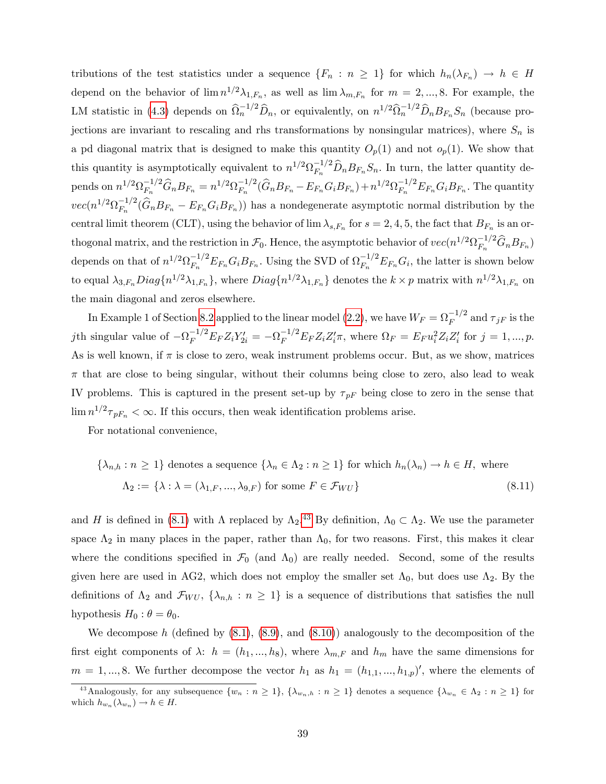tributions of the test statistics under a sequence  $\{F_n : n \geq 1\}$  for which  $h_n(\lambda_{F_n}) \to h \in H$ depend on the behavior of  $\lim_{n \to \infty} n^{1/2} \lambda_{1,F_n}$ , as well as  $\lim_{n \to \infty} \lambda_{m,F_n}$  for  $m = 2, ..., 8$ . For example, the LM statistic in [\(4.3\)](#page-21-2) depends on  $\hat{\Omega}_n^{-1/2} \hat{D}_n$ , or equivalently, on  $n^{1/2} \hat{\Omega}_n^{-1/2} \hat{D}_n B_{F_n} S_n$  (because projections are invariant to rescaling and rhs transformations by nonsingular matrices), where  $S_n$  is a pd diagonal matrix that is designed to make this quantity  $O_p(1)$  and not  $o_p(1)$ . We show that this quantity is asymptotically equivalent to  $n^{1/2} \Omega_{F_n}^{-1/2} \widehat{D}_n B_{F_n} S_n$ . In turn, the latter quantity depends on  $n^{1/2} \Omega_{F_n}^{-1/2} \widehat{G}_n B_{F_n} = n^{1/2} \Omega_{F_n}^{-1/2} (\widehat{G}_n B_{F_n} - E_{F_n} G_i B_{F_n}) + n^{1/2} \Omega_{F_n}^{-1/2} E_{F_n} G_i B_{F_n}$ . The quantity  $vec(n^{1/2}\Omega_{F_n}^{-1/2}(\widehat{G}_nB_{F_n}-E_{F_n}G_iB_{F_n}))$  has a nondegenerate asymptotic normal distribution by the central limit theorem (CLT), using the behavior of  $\lim_{s\to\infty} \lambda_{s,F_n}$  for  $s=2,4,5$ , the fact that  $B_{F_n}$  is an orthogonal matrix, and the restriction in  $\mathcal{F}_0$ . Hence, the asymptotic behavior of  $vec(n^{1/2}\Omega_{F_n}^{-1/2}\widehat{G}_nB_{F_n})$ depends on that of  $n^{1/2} \Omega_{F_n}^{-1/2} E_{F_n} G_i B_{F_n}$ . Using the SVD of  $\Omega_{F_n}^{-1/2} E_{F_n} G_i$ , the latter is shown below to equal  $\lambda_{3,F_n}Diag\{n^{1/2}\lambda_{1,F_n}\}$ , where  $Diag\{n^{1/2}\lambda_{1,F_n}\}$  denotes the  $k \times p$  matrix with  $n^{1/2}\lambda_{1,F_n}$  on the main diagonal and zeros elsewhere.

In Example 1 of Section [8.2](#page-35-0) applied to the linear model [\(2.2\)](#page-7-4), we have  $W_F = \Omega_F^{-1/2}$  and  $\tau_{jF}$  is the jth singular value of  $-\Omega_F^{-1/2} E_F Z_i Y'_{2i} = -\Omega_F^{-1/2} E_F Z_i Z'_i \pi$ , where  $\Omega_F = E_F u_i^2 Z_i Z'_i$  for  $j = 1, ..., p$ . As is well known, if  $\pi$  is close to zero, weak instrument problems occur. But, as we show, matrices  $\pi$  that are close to being singular, without their columns being close to zero, also lead to weak IV problems. This is captured in the present set-up by  $\tau_{pF}$  being close to zero in the sense that  $\lim_{n \to \infty} n^{1/2} \tau_{pF_n} < \infty$ . If this occurs, then weak identification problems arise.

For notational convenience,

<span id="page-39-0"></span>
$$
\{\lambda_{n,h} : n \ge 1\} \text{ denotes a sequence } \{\lambda_n \in \Lambda_2 : n \ge 1\} \text{ for which } h_n(\lambda_n) \to h \in H, \text{ where}
$$

$$
\Lambda_2 := \{\lambda : \lambda = (\lambda_{1,F}, ..., \lambda_{9,F}) \text{ for some } F \in \mathcal{F}_{WU}\}
$$
(8.11)

and H is defined in [\(8.1\)](#page-34-2) with  $\Lambda$  replaced by  $\Lambda_2$ .<sup>[43](#page-39-1)</sup> By definition,  $\Lambda_0 \subset \Lambda_2$ . We use the parameter space  $\Lambda_2$  in many places in the paper, rather than  $\Lambda_0$ , for two reasons. First, this makes it clear where the conditions specified in  $\mathcal{F}_0$  (and  $\Lambda_0$ ) are really needed. Second, some of the results given here are used in AG2, which does not employ the smaller set  $\Lambda_0$ , but does use  $\Lambda_2$ . By the definitions of  $\Lambda_2$  and  $\mathcal{F}_{WU}$ ,  $\{\lambda_{n,h} : n \geq 1\}$  is a sequence of distributions that satisfies the null hypothesis  $H_0$ :  $\theta = \theta_0$ .

We decompose h (defined by  $(8.1)$ ,  $(8.9)$ , and  $(8.10)$ ) analogously to the decomposition of the first eight components of  $\lambda: h = (h_1, ..., h_8)$ , where  $\lambda_{m,F}$  and  $h_m$  have the same dimensions for  $m = 1, ..., 8$ . We further decompose the vector  $h_1$  as  $h_1 = (h_{1,1}, ..., h_{1,p})'$ , where the elements of

<span id="page-39-1"></span><sup>&</sup>lt;sup>43</sup> Analogously, for any subsequence  $\{w_n : n \geq 1\}$ ,  $\{\lambda_{w_n,h} : n \geq 1\}$  denotes a sequence  $\{\lambda_{w_n} \in \Lambda_2 : n \geq 1\}$  for which  $h_{w_n}(\lambda_{w_n}) \to h \in H$ .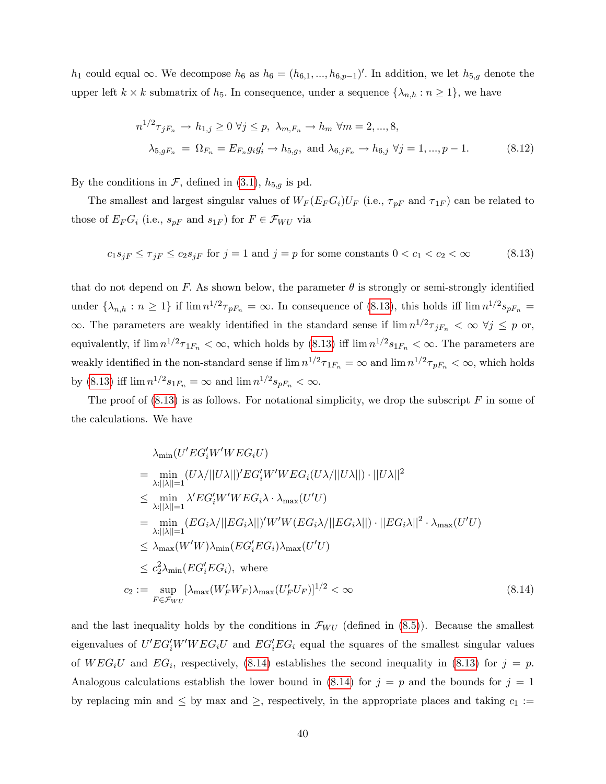$h_1$  could equal  $\infty$ . We decompose  $h_6$  as  $h_6 = (h_{6,1},...,h_{6,p-1})'$ . In addition, we let  $h_{5,g}$  denote the upper left  $k \times k$  submatrix of  $h_5$ . In consequence, under a sequence  $\{\lambda_{n,h} : n \geq 1\}$ , we have

<span id="page-40-2"></span>
$$
n^{1/2}\tau_{jF_n} \to h_{1,j} \ge 0 \,\forall j \le p, \,\, \lambda_{m,F_n} \to h_m \,\, \forall m = 2, ..., 8,
$$
  

$$
\lambda_{5,gF_n} = \Omega_{F_n} = E_{F_n}g_i g'_i \to h_{5,g}, \text{ and } \lambda_{6,jF_n} \to h_{6,j} \,\, \forall j = 1, ..., p-1.
$$
 (8.12)

By the conditions in  $\mathcal{F}$ , defined in [\(3.1\)](#page-14-1),  $h_{5,g}$  is pd.

The smallest and largest singular values of  $W_F(E_F G_i) U_F$  (i.e.,  $\tau_{pF}$  and  $\tau_{1F}$ ) can be related to those of  $E_F G_i$  (i.e.,  $s_{pF}$  and  $s_{1F}$ ) for  $F \in \mathcal{F}_{WU}$  via

<span id="page-40-0"></span>
$$
c_1 s_{jF} \le \tau_{jF} \le c_2 s_{jF} \text{ for } j = 1 \text{ and } j = p \text{ for some constants } 0 < c_1 < c_2 < \infty \tag{8.13}
$$

that do not depend on F. As shown below, the parameter  $\theta$  is strongly or semi-strongly identified under  $\{\lambda_{n,h} : n \geq 1\}$  if  $\lim_{n \to \infty} n^{1/2} \tau_{pF_n} = \infty$ . In consequence of [\(8.13\)](#page-40-0), this holds iff  $\lim_{n \to \infty} n^{1/2} s_{pF_n} =$  $\infty$ . The parameters are weakly identified in the standard sense if  $\lim_{n \to \infty} n^{1/2} \tau_{jF_n} < \infty \ \forall j \leq p$  or, equivalently, if  $\lim_{n \to \infty} n^{1/2} \tau_{1F_n} < \infty$ , which holds by  $(8.13)$  iff  $\lim_{n \to \infty} n^{1/2} s_{1F_n} < \infty$ . The parameters are weakly identified in the non-standard sense if  $\lim n^{1/2} \tau_{1F_n} = \infty$  and  $\lim n^{1/2} \tau_{pF_n} < \infty$ , which holds by [\(8.13\)](#page-40-0) iff  $\lim_{n} n^{1/2} s_{1F_n} = \infty$  and  $\lim_{n} n^{1/2} s_{pF_n} < \infty$ .

The proof of  $(8.13)$  is as follows. For notational simplicity, we drop the subscript F in some of the calculations. We have

<span id="page-40-1"></span>
$$
\lambda_{\min}(U'EG'_{i}W'WEG_{i}U)
$$
\n
$$
= \min_{\lambda:||\lambda||=1} (U\lambda/||U\lambda||)'EG'_{i}W'WEG_{i}(U\lambda/||U\lambda||) \cdot ||U\lambda||^{2}
$$
\n
$$
\leq \min_{\lambda:||\lambda||=1} \lambda' EG'_{i}W'WEG_{i}\lambda \cdot \lambda_{\max}(U'U)
$$
\n
$$
= \min_{\lambda:||\lambda||=1} (EG_{i}\lambda/||EG_{i}\lambda||)'W'W(EG_{i}\lambda/||EG_{i}\lambda||) \cdot ||EG_{i}\lambda||^{2} \cdot \lambda_{\max}(U'U)
$$
\n
$$
\leq \lambda_{\max}(W'W)\lambda_{\min}(EG'_{i}EG_{i})\lambda_{\max}(U'U)
$$
\n
$$
\leq c_{2}^{2}\lambda_{\min}(EG'_{i}EG_{i}), \text{ where}
$$
\n
$$
c_{2} := \sup_{F \in \mathcal{F}_{WU}} [\lambda_{\max}(W'_{F}W_{F})\lambda_{\max}(U'_{F}U_{F})]^{1/2} < \infty
$$
\n(8.14)

and the last inequality holds by the conditions in  $\mathcal{F}_{WU}$  (defined in [\(8.5\)](#page-36-0)). Because the smallest eigenvalues of  $U'EG_i'W'WEG_iU$  and  $EG_i'EG_i$  equal the squares of the smallest singular values of  $WEG_iU$  and  $EG_i$ , respectively, [\(8.14\)](#page-40-1) establishes the second inequality in [\(8.13\)](#page-40-0) for  $j = p$ . Analogous calculations establish the lower bound in [\(8.14\)](#page-40-1) for  $j = p$  and the bounds for  $j = 1$ by replacing min and  $\leq$  by max and  $\geq$ , respectively, in the appropriate places and taking  $c_1 :=$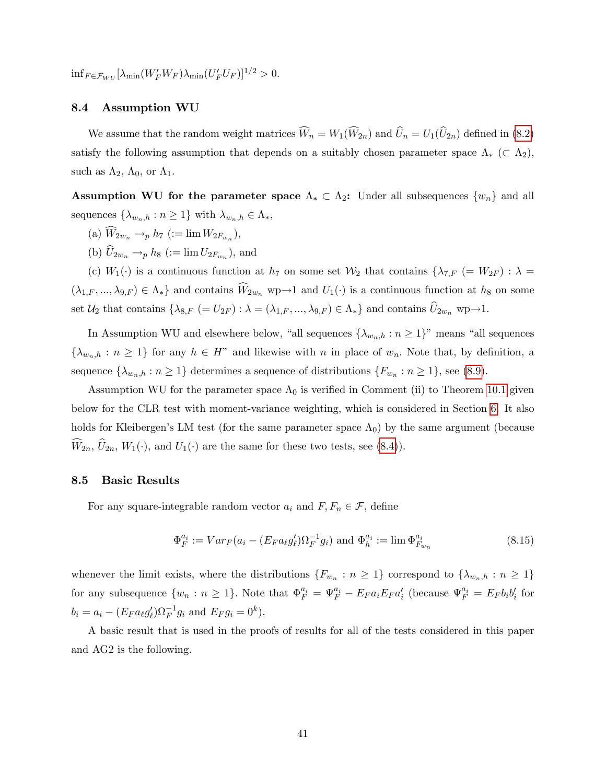$\inf_{F \in \mathcal{F}_{WU}} \left[ \lambda_{\min}(W_F'W_F) \lambda_{\min}(U_F'U_F) \right]^{1/2} > 0.$ 

#### 8.4 Assumption WU

We assume that the random weight matrices  $\widehat{W}_n = W_1(\widehat{W}_{2n})$  and  $\widehat{U}_n = U_1(\widehat{U}_{2n})$  defined in [\(8.2\)](#page-35-1) satisfy the following assumption that depends on a suitably chosen parameter space  $\Lambda_*$  ( $\subset \Lambda_2$ ); such as  $\Lambda_2$ ,  $\Lambda_0$ , or  $\Lambda_1$ .

Assumption WU for the parameter space  $\Lambda_* \subset \Lambda_2$ : Under all subsequences  $\{w_n\}$  and all sequences  $\{\lambda_{w_n,h} : n \geq 1\}$  with  $\lambda_{w_n,h} \in \Lambda_*$ ,

- (a)  $W_{2w_n} \to_p h_7$  (:=  $\lim W_{2F_{w_n}}$ ),
- (b)  $U_{2w_n} \to_p h_8$  (:=  $\lim U_{2F_{w_n}}$ ), and

(c)  $W_1(\cdot)$  is a continuous function at  $h_7$  on some set  $\mathcal{W}_2$  that contains  $\{\lambda_{7,F} (= W_{2F}) : \lambda =$  $(\lambda_{1,F}, ..., \lambda_{9,F}) \in \Lambda_*$  and contains  $\widehat{W}_{2w_n}$  wp $\rightarrow$ 1 and  $U_1(\cdot)$  is a continuous function at  $h_8$  on some set  $\mathcal{U}_2$  that contains  $\{\lambda_{8,F}\ (=U_{2F}): \lambda=(\lambda_{1,F},...,\lambda_{9,F})\in \Lambda_*\}$  and contains  $\widehat{U}_{2w_n}$  wp $\rightarrow$ 1.

In Assumption WU and elsewhere below, "all sequences  $\{\lambda_{w_n,h} : n \geq 1\}$ " means "all sequences  $\{\lambda_{w_n,h} : n \geq 1\}$  for any  $h \in H^n$  and likewise with n in place of  $w_n$ . Note that, by definition, a sequence  $\{\lambda_{w_n,h} : n \geq 1\}$  determines a sequence of distributions  $\{F_{w_n} : n \geq 1\}$ , see [\(8.9\)](#page-38-3).

Assumption WU for the parameter space  $\Lambda_0$  is verified in Comment (ii) to Theorem [10.1](#page-48-0) given below for the CLR test with moment-variance weighting, which is considered in Section [6.](#page-29-0) It also holds for Kleibergen's LM test (for the same parameter space  $\Lambda_0$ ) by the same argument (because  $\widehat{W}_{2n}$ ,  $\widehat{U}_{2n}$ ,  $W_1(\cdot)$ , and  $U_1(\cdot)$  are the same for these two tests, see [\(8.4\)](#page-36-1)).

#### 8.5 Basic Results

For any square-integrable random vector  $a_i$  and  $F, F_n \in \mathcal{F}$ , define

$$
\Phi_F^{a_i} := Var_F(a_i - (E_F a_\ell g_\ell') \Omega_F^{-1} g_i) \text{ and } \Phi_h^{a_i} := \lim \Phi_{F_{w_n}}^{a_i}
$$
\n(8.15)

whenever the limit exists, where the distributions  $\{F_{w_n} : n \geq 1\}$  correspond to  $\{\lambda_{w_n,h} : n \geq 1\}$ for any subsequence  $\{w_n : n \geq 1\}$ . Note that  $\Phi_F^{a_i} = \Psi_F^{a_i} - E_F a_i E_F a_i'$  (because  $\Psi_F^{a_i} = E_F b_i b_i'$  for  $b_i = a_i - (E_F a_\ell g'_\ell) \Omega_F^{-1} g_i$  and  $E_F g_i = 0^k$ ).

<span id="page-41-0"></span>A basic result that is used in the proofs of results for all of the tests considered in this paper and AG2 is the following.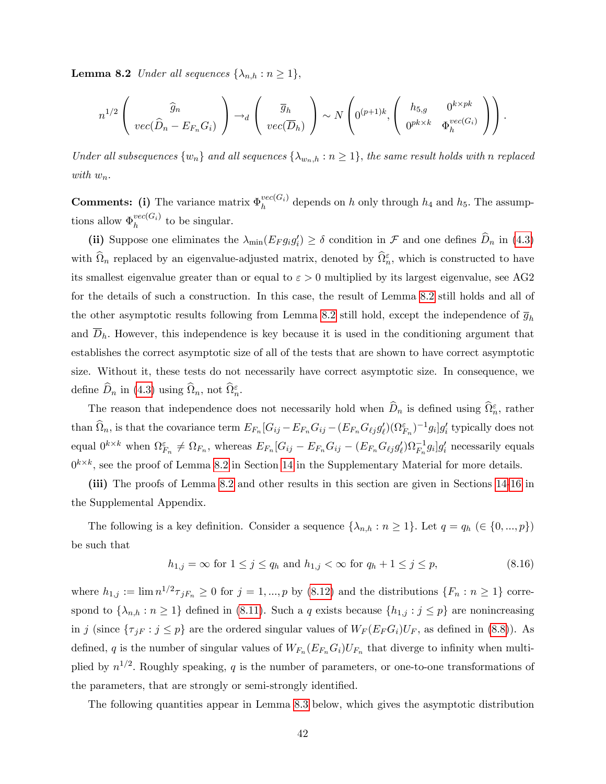**Lemma 8.2** Under all sequences  $\{\lambda_{n,h} : n \geq 1\},\$ 

$$
n^{1/2}\left(\begin{array}{c}\widehat{g}_n\\vec(\widehat{D}_n - E_{F_n}G_i)\end{array}\right) \rightarrow_d \left(\begin{array}{c}\overline{g}_h\\vec(\overline{D}_h)\end{array}\right) \sim N\left(0^{(p+1)k}, \left(\begin{array}{cc}h_{5,g} & 0^{k \times pk}\\0^{pk \times k} & \Phi_h^{vec(G_i)}\end{array}\right)\right).
$$

Under all subsequences  $\{w_n\}$  and all sequences  $\{\lambda_{w_n,h} : n \geq 1\}$ , the same result holds with n replaced with  $w_n$ .

**Comments:** (i) The variance matrix  $\Phi_h^{vec(G_i)}$  $h_h^{vec(G_i)}$  depends on h only through  $h_4$  and  $h_5$ . The assumptions allow  $\Phi_h^{vec(G_i)}$  $h^{vec(G_i)}$  to be singular.

(ii) Suppose one eliminates the  $\lambda_{\min}(E_F g_i g_i') \ge \delta$  condition in F and one defines  $D_n$  in [\(4.3\)](#page-21-2) with  $\widehat{\Omega}_n$  replaced by an eigenvalue-adjusted matrix, denoted by  $\widehat{\Omega}_n^{\varepsilon}$ , which is constructed to have its smallest eigenvalue greater than or equal to  $\varepsilon > 0$  multiplied by its largest eigenvalue, see AG2 for the details of such a construction. In this case, the result of Lemma [8.2](#page-41-0) still holds and all of the other asymptotic results following from Lemma [8.2](#page-41-0) still hold, except the independence of  $\overline{g}_h$ and  $\overline{D}_h$ . However, this independence is key because it is used in the conditioning argument that establishes the correct asymptotic size of all of the tests that are shown to have correct asymptotic size. Without it, these tests do not necessarily have correct asymptotic size. In consequence, we define  $\widehat{D}_n$  in [\(4.3\)](#page-21-2) using  $\widehat{\Omega}_n$ , not  $\widehat{\Omega}_n^{\varepsilon}$ .

The reason that independence does not necessarily hold when  $\widehat{D}_n$  is defined using  $\widehat{\Omega}_n^{\varepsilon}$ , rather than  $\widehat{\Omega}_n$ , is that the covariance term  $E_{F_n}[G_{ij} - E_{F_n}G_{ij} - (E_{F_n}G_{\ell j}g'_\ell)(\Omega_{F_n}^{\varepsilon})^{-1}g_i]g'_i$  typically does not equal  $0^{k\times k}$  when  $\Omega_{F_n}^{\varepsilon} \neq \Omega_{F_n}$ , whereas  $E_{F_n}[G_{ij} - E_{F_n}G_{ij} - (E_{F_n}G_{\ell j}g'_\ell)\Omega_{F_n}^{-1}g_i]g'_i$  necessarily equals  $0^{k \times k}$ , see the proof of Lemma [8.2](#page-41-0) in Section [14](#page--1-16) in the Supplementary Material for more details.

(iii) The proofs of Lemma [8.2](#page-41-0) and other results in this section are given in Sections [14](#page--1-16)[-16](#page--1-17) in the Supplemental Appendix.

The following is a key definition. Consider a sequence  $\{\lambda_{n,h} : n \geq 1\}$ . Let  $q = q_h \in \{0, ..., p\}$ be such that

<span id="page-42-0"></span>
$$
h_{1,j} = \infty \text{ for } 1 \le j \le q_h \text{ and } h_{1,j} < \infty \text{ for } q_h + 1 \le j \le p,\tag{8.16}
$$

where  $h_{1,j} := \lim_{n \to \infty} n^{1/2} \tau_{jF_n} \geq 0$  for  $j = 1, ..., p$  by [\(8.12\)](#page-40-2) and the distributions  $\{F_n : n \geq 1\}$  correspond to  $\{\lambda_{n,h} : n \geq 1\}$  defined in [\(8.11\)](#page-39-0). Such a q exists because  $\{h_{1,j} : j \leq p\}$  are nonincreasing in j (since  $\{\tau_{jF} : j \leq p\}$  are the ordered singular values of  $W_F(E_F G_i)U_F$ , as defined in [\(8.8\)](#page-37-1)). As defined, q is the number of singular values of  $W_{F_n}(E_{F_n}G_i)U_{F_n}$  that diverge to infinity when multiplied by  $n^{1/2}$ . Roughly speaking, q is the number of parameters, or one-to-one transformations of the parameters, that are strongly or semi-strongly identified.

The following quantities appear in Lemma [8.3](#page-44-0) below, which gives the asymptotic distribution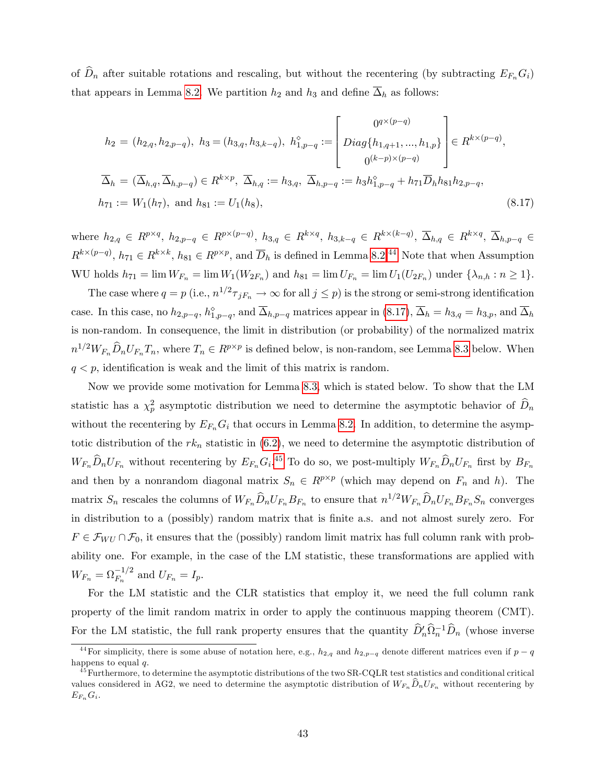of  $\widehat{D}_n$  after suitable rotations and rescaling, but without the recentering (by subtracting  $E_{F_n}G_i$ ) that appears in Lemma [8.2.](#page-41-0) We partition  $h_2$  and  $h_3$  and define  $\overline{\Delta}_h$  as follows:

<span id="page-43-1"></span>
$$
h_2 = (h_{2,q}, h_{2,p-q}), \ h_3 = (h_{3,q}, h_{3,k-q}), \ h_{1,p-q}^{\diamond} := \begin{bmatrix} 0^{q \times (p-q)} \\ Diag\{h_{1,q+1}, ..., h_{1,p}\} \\ 0^{(k-p) \times (p-q)} \end{bmatrix} \in R^{k \times (p-q)},
$$
  

$$
\overline{\Delta}_h = (\overline{\Delta}_{h,q}, \overline{\Delta}_{h,p-q}) \in R^{k \times p}, \ \overline{\Delta}_{h,q} := h_{3,q}, \ \overline{\Delta}_{h,p-q} := h_3 h_{1,p-q}^{\diamond} + h_{71} \overline{D}_h h_{81} h_{2,p-q},
$$
  

$$
h_{71} := W_1(h_7), \text{ and } h_{81} := U_1(h_8),
$$
\n
$$
(8.17)
$$

where  $h_{2,q} \in R^{p \times q}$ ,  $h_{2,p-q} \in R^{p \times (p-q)}$ ,  $h_{3,q} \in R^{k \times q}$ ,  $h_{3,k-q} \in R^{k \times (k-q)}$ ,  $\overline{\Delta}_{h,q} \in R^{k \times q}$ ,  $\overline{\Delta}_{h,p-q} \in R^{k}$  $R^{k\times (p-q)}$ ,  $h_{71} \in R^{k\times k}$ ,  $h_{81} \in R^{p\times p}$ , and  $\overline{D}_h$  is defined in Lemma [8.2.](#page-41-0)<sup>[44](#page-43-0)</sup> Note that when Assumption WU holds  $h_{71} = \lim W_{F_n} = \lim W_1(W_{2F_n})$  and  $h_{81} = \lim U_{F_n} = \lim U_1(U_{2F_n})$  under  $\{\lambda_{n,h} : n \ge 1\}$ .

The case where  $q = p$  (i.e.,  $n^{1/2} \tau_{jF_n} \to \infty$  for all  $j \leq p$ ) is the strong or semi-strong identification case. In this case, no  $h_{2,p-q}$ ,  $h_{1,p-q}^{\diamond}$ , and  $\Delta_{h,p-q}$  matrices appear in [\(8.17\)](#page-43-1),  $\Delta_h = h_{3,q} = h_{3,p}$ , and  $\Delta_h$ is non-random. In consequence, the limit in distribution (or probability) of the normalized matrix  $n^{1/2}W_{F_n}\widehat{D}_nU_{F_n}T_n$ , where  $T_n \in R^{p \times p}$  is defined below, is non-random, see Lemma [8.3](#page-44-0) below. When  $q < p$ , identification is weak and the limit of this matrix is random.

Now we provide some motivation for Lemma [8.3,](#page-44-0) which is stated below. To show that the LM statistic has a  $\chi_p^2$  asymptotic distribution we need to determine the asymptotic behavior of  $\widehat{D}_n$ without the recentering by  $E_{F_n}G_i$  that occurs in Lemma [8.2.](#page-41-0) In addition, to determine the asymptotic distribution of the  $rk_n$  statistic in  $(6.2)$ , we need to determine the asymptotic distribution of  $W_{F_n}\widehat{D}_nU_{F_n}$  without recentering by  $E_{F_n}G_i$ .<sup>[45](#page-43-2)</sup> To do so, we post-multiply  $W_{F_n}\widehat{D}_nU_{F_n}$  first by  $B_{F_n}$ and then by a nonrandom diagonal matrix  $S_n \in R^{p \times p}$  (which may depend on  $F_n$  and h). The matrix  $S_n$  rescales the columns of  $W_{F_n}\widehat{D}_nU_{F_n}B_{F_n}$  to ensure that  $n^{1/2}W_{F_n}\widehat{D}_nU_{F_n}B_{F_n}S_n$  converges in distribution to a (possibly) random matrix that is Önite a.s. and not almost surely zero. For  $F \in \mathcal{F}_{WU} \cap \mathcal{F}_0$ , it ensures that the (possibly) random limit matrix has full column rank with probability one. For example, in the case of the LM statistic, these transformations are applied with  $W_{F_n} = \Omega_{F_n}^{-1/2}$  and  $U_{F_n} = I_p$ .

For the LM statistic and the CLR statistics that employ it, we need the full column rank property of the limit random matrix in order to apply the continuous mapping theorem (CMT). For the LM statistic, the full rank property ensures that the quantity  $\hat{D}'_n\hat{D}_n^{-1}\hat{D}_n$  (whose inverse

<span id="page-43-0"></span><sup>&</sup>lt;sup>44</sup>For simplicity, there is some abuse of notation here, e.g.,  $h_{2,q}$  and  $h_{2,p-q}$  denote different matrices even if  $p-q$ happens to equal  $q$ .

<span id="page-43-2"></span> $^{45}$ Furthermore, to determine the asymptotic distributions of the two SR-CQLR test statistics and conditional critical values considered in AG2, we need to determine the asymptotic distribution of  $W_{F_n}\hat{D}_nU_{F_n}$  without recentering by  $E_{F_n} G_i$ .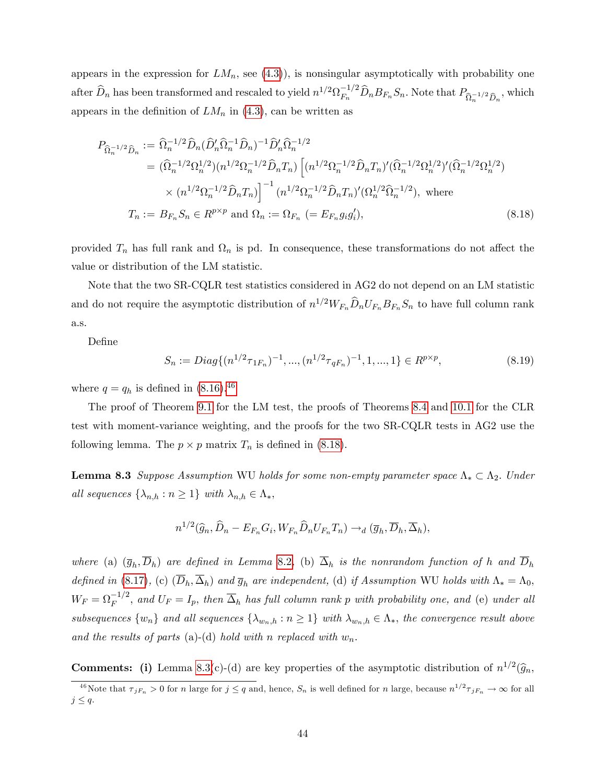appears in the expression for  $LM_n$ , see [\(4.3\)](#page-21-2)), is nonsingular asymptotically with probability one after  $\widehat{D}_n$  has been transformed and rescaled to yield  $n^{1/2} \Omega_{F_n}^{-1/2} \widehat{D}_n B_{F_n} S_n$ . Note that  $P_{\widehat{\Omega}_n^{-1/2} \widehat{D}_n}$ , which appears in the definition of  $LM_n$  in [\(4.3\)](#page-21-2), can be written as

<span id="page-44-2"></span>
$$
P_{\widehat{\Omega}_n^{-1/2}\widehat{D}_n} := \widehat{\Omega}_n^{-1/2}\widehat{D}_n(\widehat{D}_n'\widehat{\Omega}_n^{-1}\widehat{D}_n)^{-1}\widehat{D}_n'\widehat{\Omega}_n^{-1/2}
$$
  
\n
$$
= (\widehat{\Omega}_n^{-1/2}\Omega_n^{1/2})(n^{1/2}\Omega_n^{-1/2}\widehat{D}_nT_n)\left[(n^{1/2}\Omega_n^{-1/2}\widehat{D}_nT_n)'(\widehat{\Omega}_n^{-1/2}\Omega_n^{1/2})'(\widehat{\Omega}_n^{-1/2}\Omega_n^{1/2})\right]
$$
  
\n
$$
\times (n^{1/2}\Omega_n^{-1/2}\widehat{D}_nT_n)\right]^{-1}(n^{1/2}\Omega_n^{-1/2}\widehat{D}_nT_n)'(\Omega_n^{1/2}\widehat{\Omega}_n^{-1/2}), \text{ where }
$$
  
\n
$$
T_n := B_{F_n}S_n \in R^{p\times p} \text{ and } \Omega_n := \Omega_{F_n} (= E_{F_n}g_ig'_i),
$$
 (8.18)

provided  $T_n$  has full rank and  $\Omega_n$  is pd. In consequence, these transformations do not affect the value or distribution of the LM statistic.

Note that the two SR-CQLR test statistics considered in AG2 do not depend on an LM statistic and do not require the asymptotic distribution of  $n^{1/2}W_{F_n}\widehat{D}_nU_{F_n}B_{F_n}S_n$  to have full column rank a.s.

DeÖne

$$
S_n := Diag\{(n^{1/2}\tau_{1F_n})^{-1}, ..., (n^{1/2}\tau_{qF_n})^{-1}, 1, ..., 1\} \in R^{p \times p},
$$
\n(8.19)

where  $q = q_h$  is defined in [\(8.16\)](#page-42-0).<sup>[46](#page-44-1)</sup>

The proof of Theorem [9.1](#page-46-1) for the LM test, the proofs of Theorems [8.4](#page-45-0) and [10.1](#page-48-0) for the CLR test with moment-variance weighting, and the proofs for the two SR-CQLR tests in AG2 use the following lemma. The  $p \times p$  matrix  $T_n$  is defined in [\(8.18\)](#page-44-2).

<span id="page-44-0"></span>**Lemma 8.3** Suppose Assumption WU holds for some non-empty parameter space  $\Lambda_* \subset \Lambda_2$ . Under all sequences  $\{\lambda_{n,h} : n \geq 1\}$  with  $\lambda_{n,h} \in \Lambda_*$ ,

$$
n^{1/2}(\widehat{g}_n, \widehat{D}_n - E_{F_n} G_i, W_{F_n} \widehat{D}_n U_{F_n} T_n) \rightarrow_d (\overline{g}_h, \overline{D}_h, \overline{\Delta}_h),
$$

where (a)  $(\bar{g}_h, D_h)$  are defined in Lemma [8.2](#page-41-0), (b)  $\Delta_h$  is the nonrandom function of h and  $D_h$ defined in [\(8.17\)](#page-43-1), (c)  $(\overline{D}_h, \overline{\Delta}_h)$  and  $\overline{g}_h$  are independent, (d) if Assumption WU holds with  $\Lambda_* = \Lambda_0$ ,  $W_F = \Omega_F^{-1/2}$ , and  $U_F = I_p$ , then  $\overline{\Delta}_h$  has full column rank p with probability one, and (e) under all subsequences  $\{w_n\}$  and all sequences  $\{\lambda_{w_n,h} : n \geq 1\}$  with  $\lambda_{w_n,h} \in \Lambda_*$ , the convergence result above and the results of parts (a)-(d) hold with n replaced with  $w_n$ .

**Comments:** (i) Lemma [8.3\(](#page-44-0)c)-(d) are key properties of the asymptotic distribution of  $n^{1/2}(\hat{g}_n,$ 

<span id="page-44-1"></span><sup>&</sup>lt;sup>46</sup>Note that  $\tau_{jF_n} > 0$  for n large for  $j \le q$  and, hence,  $S_n$  is well defined for n large, because  $n^{1/2}\tau_{jF_n} \to \infty$  for all  $j \leq q$ .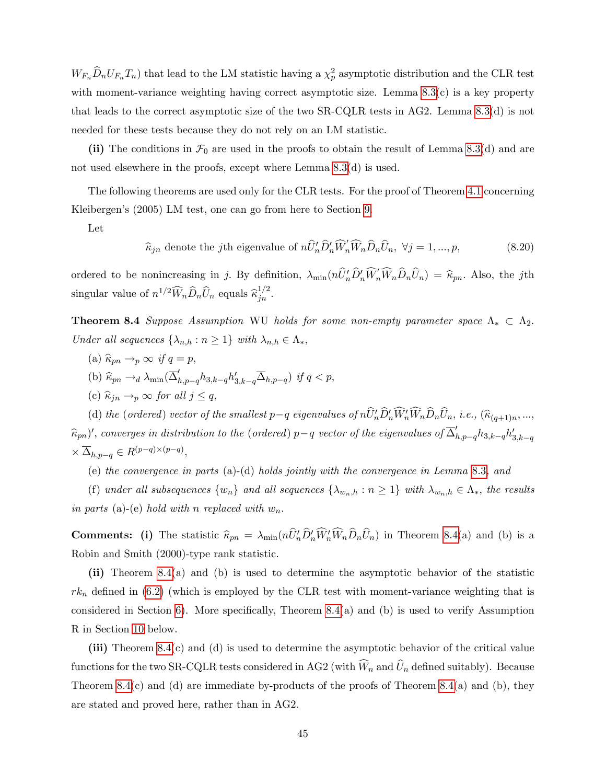$W_{F_n}\widehat{D}_nU_{F_n}T_n$ ) that lead to the LM statistic having a  $\chi_p^2$  asymptotic distribution and the CLR test with moment-variance weighting having correct asymptotic size. Lemma  $8.3(c)$  is a key property that leads to the correct asymptotic size of the two SR-CQLR tests in AG2. Lemma [8.3\(](#page-44-0)d) is not needed for these tests because they do not rely on an LM statistic.

(ii) The conditions in  $\mathcal{F}_0$  are used in the proofs to obtain the result of Lemma [8.3\(](#page-44-0)d) and are not used elsewhere in the proofs, except where Lemma [8.3\(](#page-44-0)d) is used.

The following theorems are used only for the CLR tests. For the proof of Theorem [4.1](#page-22-0) concerning Kleibergen's (2005) LM test, one can go from here to Section [9.](#page-46-0)

Let

 $\widehat{\kappa}_{jn}$  denote the jth eigenvalue of  $n\widehat{U}'_n\widehat{D}'_n\widehat{W}'_n\widehat{W}_n\widehat{D}_n\widehat{U}_n, \ \forall j = 1, ..., p,$  (8.20)

ordered to be nonincreasing in j. By definition,  $\lambda_{\min}(n\hat{U}'_n\hat{D}'_n\hat{W}'_n\hat{W}_n\hat{D}_n\hat{U}_n) = \hat{\kappa}_{pn}$ . Also, the jth singular value of  $n^{1/2} \widehat{W}_n \widehat{D}_n \widehat{U}_n$  equals  $\widehat{\kappa}_{jn}^{1/2}$ .

<span id="page-45-0"></span>**Theorem 8.4** Suppose Assumption WU holds for some non-empty parameter space  $\Lambda_* \subset \Lambda_2$ . Under all sequences  $\{\lambda_{n,h} : n \geq 1\}$  with  $\lambda_{n,h} \in \Lambda_*$ ,

- (a)  $\widehat{\kappa}_{pn} \rightarrow_p \infty$  if  $q = p$ ,
- (b)  $\widehat{\kappa}_{pn} \rightarrow_d \lambda_{\min}(\overline{\Delta}_{h,p-q}' h_{3,k-q} h_{3,k-q}' \overline{\Delta}_{h,p-q})$  if  $q < p$ ,
- (c)  $\widehat{\kappa}_{jn} \rightarrow_p \infty$  for all  $j \leq q$ ,

(d) the (ordered) vector of the smallest  $p-q$  eigenvalues of  $nU'_{n}D'_{n}W'_{n}W_{n}D_{n}U_{n}$ , i.e.,  $(\widehat{\kappa}_{(q+1)n},...,\widehat{\kappa}_{(q+1)n})$  $(\widehat{k}_{pn})'$ , converges in distribution to the (ordered)  $p-q$  vector of the eigenvalues of  $\overline{\Delta}'_{h,p-q} h_{3,k-q} h'_{3,k-q}$  $\times \overline{\Delta}_{h,p-q} \in R^{(p-q)\times (p-q)},$ 

(e) the convergence in parts (a)-(d) holds jointly with the convergence in Lemma [8.3](#page-44-0), and

(f) under all subsequences  $\{w_n\}$  and all sequences  $\{\lambda_{w_n,h} : n \geq 1\}$  with  $\lambda_{w_n,h} \in \Lambda_*$ , the results in parts (a)-(e) hold with n replaced with  $w_n$ .

**Comments:** (i) The statistic  $\hat{\kappa}_{pn} = \lambda_{\min}(nU'_{n}D'_{n}W'_{n}W_{n}D_{n}U_{n})$  in Theorem [8.4\(](#page-45-0)a) and (b) is a Robin and Smith (2000)-type rank statistic.

(ii) Theorem [8.4\(](#page-45-0)a) and (b) is used to determine the asymptotic behavior of the statistic  $rk_n$  defined in [\(6.2\)](#page-29-2) (which is employed by the CLR test with moment-variance weighting that is considered in Section [6\)](#page-29-0). More specifically, Theorem  $8.4(a)$  and (b) is used to verify Assumption R in Section [10](#page-47-0) below.

(iii) Theorem  $8.4(c)$  and (d) is used to determine the asymptotic behavior of the critical value functions for the two SR-CQLR tests considered in AG2 (with  $\widehat{W}_n$  and  $\widehat{U}_n$  defined suitably). Because Theorem [8.4\(](#page-45-0)c) and (d) are immediate by-products of the proofs of Theorem 8.4(a) and (b), they are stated and proved here, rather than in AG2.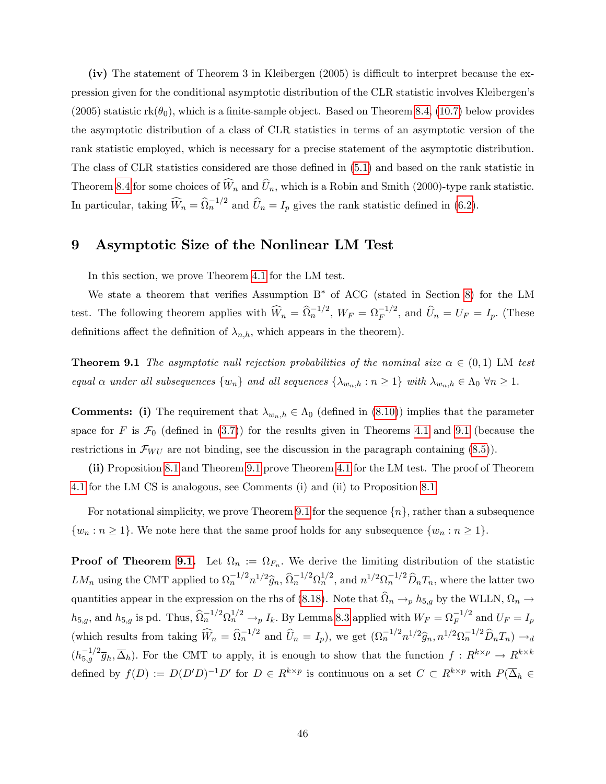(iv) The statement of Theorem 3 in Kleibergen  $(2005)$  is difficult to interpret because the expression given for the conditional asymptotic distribution of the CLR statistic involves Kleibergenís  $(2005)$  statistic rk $(\theta_0)$ , which is a finite-sample object. Based on Theorem [8.4,](#page-45-0) [\(10.7\)](#page-50-0) below provides the asymptotic distribution of a class of CLR statistics in terms of an asymptotic version of the rank statistic employed, which is necessary for a precise statement of the asymptotic distribution. The class of CLR statistics considered are those defined in  $(5.1)$  and based on the rank statistic in Theorem [8.4](#page-45-0) for some choices of  $\widehat{W}_n$  and  $\widehat{U}_n$ , which is a Robin and Smith (2000)-type rank statistic. In particular, taking  $\widehat{W}_n = \widehat{\Omega}_n^{-1/2}$  and  $\widehat{U}_n = I_p$  gives the rank statistic defined in [\(6.2\)](#page-29-2).

### <span id="page-46-0"></span>9 Asymptotic Size of the Nonlinear LM Test

In this section, we prove Theorem [4.1](#page-22-0) for the LM test.

We state a theorem that verifies Assumption  $B^*$  of ACG (stated in Section [8\)](#page-34-0) for the LM test. The following theorem applies with  $\widehat{W}_n = \widehat{\Omega}_n^{-1/2}$ ,  $W_F = \Omega_F^{-1/2}$ , and  $\widehat{U}_n = U_F = I_p$ . (These definitions affect the definition of  $\lambda_{n,h}$ , which appears in the theorem).

<span id="page-46-1"></span>**Theorem 9.1** The asymptotic null rejection probabilities of the nominal size  $\alpha \in (0,1)$  LM test equal  $\alpha$  under all subsequences  $\{w_n\}$  and all sequences  $\{\lambda_{w_n,h} : n \geq 1\}$  with  $\lambda_{w_n,h} \in \Lambda_0 \ \forall n \geq 1$ .

**Comments:** (i) The requirement that  $\lambda_{w_n,h} \in \Lambda_0$  (defined in [\(8.10\)](#page-38-4)) implies that the parameter space for F is  $\mathcal{F}_0$  (defined in [\(3.7\)](#page-16-3)) for the results given in Theorems [4.1](#page-22-0) and [9.1](#page-46-1) (because the restrictions in  $\mathcal{F}_{WU}$  are not binding, see the discussion in the paragraph containing [\(8.5\)](#page-36-0)).

(ii) Proposition [8.1](#page-34-1) and Theorem [9.1](#page-46-1) prove Theorem [4.1](#page-22-0) for the LM test. The proof of Theorem [4.1](#page-22-0) for the LM CS is analogous, see Comments (i) and (ii) to Proposition [8.1.](#page-34-1)

For notational simplicity, we prove Theorem [9.1](#page-46-1) for the sequence  $\{n\}$ , rather than a subsequence  $\{w_n : n \geq 1\}.$  We note here that the same proof holds for any subsequence  $\{w_n : n \geq 1\}.$ 

**Proof of Theorem [9.1.](#page-46-1)** Let  $\Omega_n := \Omega_{F_n}$ . We derive the limiting distribution of the statistic  $LM_n$  using the CMT applied to  $\Omega_n^{-1/2} n^{1/2} \hat{g}_n$ ,  $\hat{\Omega}_n^{-1/2} \Omega_n^{1/2}$ , and  $n^{1/2} \Omega_n^{-1/2} \hat{D}_n T_n$ , where the latter two quantities appear in the expression on the rhs of [\(8.18\)](#page-44-2). Note that  $\Omega_n \to p h_{5,g}$  by the WLLN,  $\Omega_n \to$  $h_{5,g}$ , and  $h_{5,g}$  is pd. Thus,  $\widehat{\Omega}_n^{-1/2} \Omega_n^{1/2} \to_p I_k$ . By Lemma [8.3](#page-44-0) applied with  $W_F = \Omega_F^{-1/2}$  and  $U_F = I_p$ (which results from taking  $\widehat{W}_n = \widehat{\Omega}_n^{-1/2}$  and  $\widehat{U}_n = I_p$ ), we get  $(\Omega_n^{-1/2} n^{1/2} \widehat{g}_n, n^{1/2} \Omega_n^{-1/2} \widehat{D}_n T_n) \to d$  $(h_{5,g}^{-1/2}\overline{g}_h,\overline{\Delta}_h)$ . For the CMT to apply, it is enough to show that the function  $f: R^{k\times p} \to R^{k\times k}$ defined by  $f(D) := D(D'D)^{-1}D'$  for  $D \in R^{k \times p}$  is continuous on a set  $C \subset R^{k \times p}$  with  $P(\overline{\Delta}_h \in$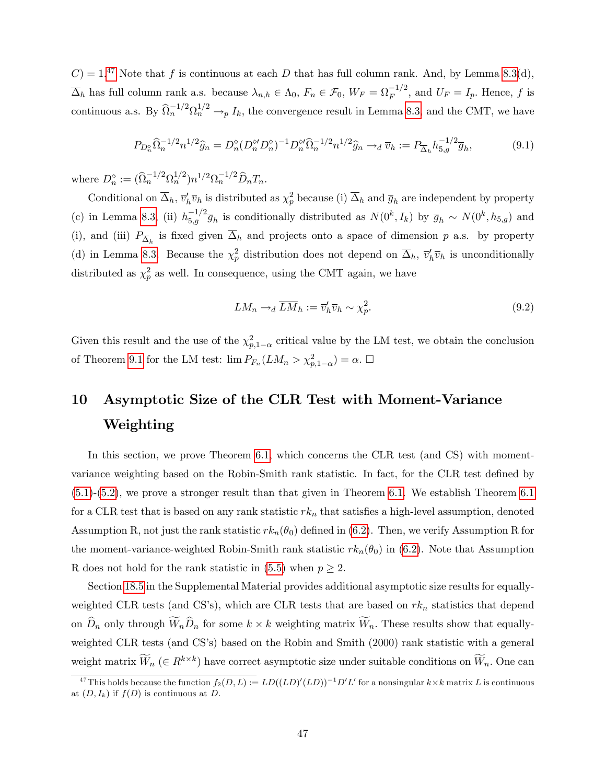$C = 1<sup>47</sup>$  $C = 1<sup>47</sup>$  $C = 1<sup>47</sup>$  Note that f is continuous at each D that has full column rank. And, by Lemma [8.3\(](#page-44-0)d),  $\overline{\Delta}_h$  has full column rank a.s. because  $\lambda_{n,h} \in \Lambda_0$ ,  $F_n \in \mathcal{F}_0$ ,  $W_F = \Omega_F^{-1/2}$ , and  $U_F = I_p$ . Hence, f is continuous a.s. By  $\widehat{\Omega}_n^{-1/2} \Omega_n^{1/2} \to p I_k$ , the convergence result in Lemma [8.3,](#page-44-0) and the CMT, we have

<span id="page-47-3"></span>
$$
P_{D_n^{\diamond}}\widehat{\Omega}_n^{-1/2}n^{1/2}\widehat{g}_n = D_n^{\diamond}(D_n^{\diamond\prime}D_n^{\diamond})^{-1}D_n^{\diamond\prime}\widehat{\Omega}_n^{-1/2}n^{1/2}\widehat{g}_n \to_d \overline{v}_h := P_{\overline{\Delta}_h}h_{5,g}^{-1/2}\overline{g}_h,\tag{9.1}
$$

where  $D_n^{\diamond} := (\hat{\Omega}_n^{-1/2} \Omega_n^{1/2}) n^{1/2} \Omega_n^{-1/2} \hat{D}_n T_n$ .

Conditional on  $\overline{\Delta}_h$ ,  $\overline{v}'_h \overline{v}_h$  is distributed as  $\chi_p^2$  because (i)  $\overline{\Delta}_h$  and  $\overline{g}_h$  are independent by property (c) in Lemma [8.3,](#page-44-0) (ii)  $h_{5,g}^{-1/2}\overline{g}_h$  is conditionally distributed as  $N(0^k, I_k)$  by  $\overline{g}_h \sim N(0^k, h_{5,g})$  and (i), and (iii)  $P_{\overline{\Delta}_h}$  is fixed given  $\Delta_h$  and projects onto a space of dimension p a.s. by property (d) in Lemma [8.3.](#page-44-0) Because the  $\chi_p^2$  distribution does not depend on  $\overline{\Delta}_h$ ,  $\overline{v}'_h\overline{v}_h$  is unconditionally distributed as  $\chi_p^2$  as well. In consequence, using the CMT again, we have

<span id="page-47-2"></span>
$$
LM_n \to_d \overline{LM}_h := \overline{v}'_h \overline{v}_h \sim \chi_p^2. \tag{9.2}
$$

Given this result and the use of the  $\chi^2_{p,1-\alpha}$  critical value by the LM test, we obtain the conclusion of Theorem [9.1](#page-46-1) for the LM test:  $\lim P_{F_n}(LM_n > \chi^2_{p,1-\alpha}) = \alpha. \square$ 

# <span id="page-47-0"></span>10 Asymptotic Size of the CLR Test with Moment-Variance Weighting

In this section, we prove Theorem [6.1,](#page-29-1) which concerns the CLR test (and CS) with momentvariance weighting based on the Robin-Smith rank statistic. In fact, for the CLR test defined by [\(5.1\)](#page-23-1)-[\(5.2\)](#page-23-2), we prove a stronger result than that given in Theorem [6.1.](#page-29-1) We establish Theorem [6.1](#page-29-1) for a CLR test that is based on any rank statistic  $rk_n$  that satisfies a high-level assumption, denoted Assumption R, not just the rank statistic  $rk_n(\theta_0)$  defined in [\(6.2\)](#page-29-2). Then, we verify Assumption R for the moment-variance-weighted Robin-Smith rank statistic  $rk_n(\theta_0)$  in [\(6.2\)](#page-29-2). Note that Assumption R does not hold for the rank statistic in [\(5.5\)](#page-24-3) when  $p \geq 2$ .

Section [18.5](#page--1-10) in the Supplemental Material provides additional asymptotic size results for equallyweighted CLR tests (and CS's), which are CLR tests that are based on  $rk_n$  statistics that depend on  $D_n$  only through  $W_nD_n$  for some  $k \times k$  weighting matrix  $W_n$ . These results show that equallyweighted CLR tests (and CS's) based on the Robin and Smith (2000) rank statistic with a general weight matrix  $\widetilde{W}_n$  ( $\in R^{k\times k}$ ) have correct asymptotic size under suitable conditions on  $\widetilde{W}_n$ . One can

<span id="page-47-1"></span><sup>&</sup>lt;sup>47</sup>This holds because the function  $f_2(D, L) := LD((LD)'(LD))^{-1}D'L'$  for a nonsingular  $k \times k$  matrix L is continuous at  $(D, I_k)$  if  $f(D)$  is continuous at D.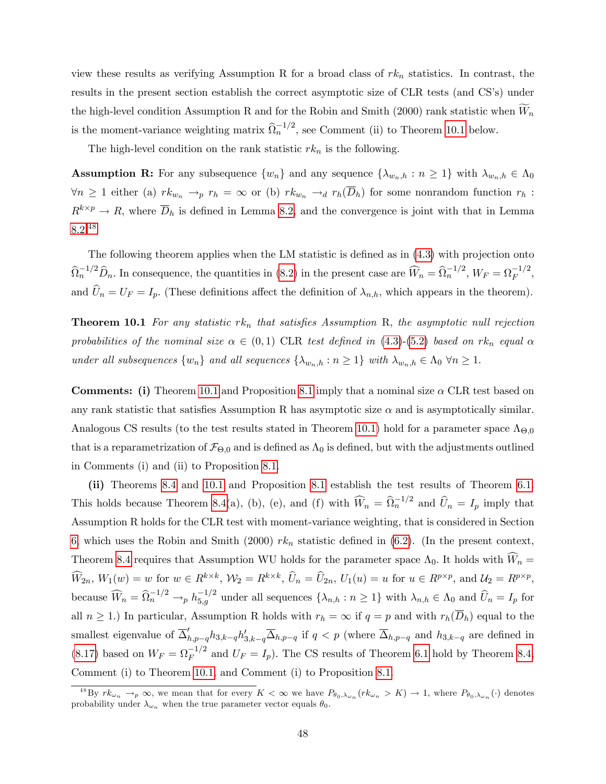view these results as verifying Assumption R for a broad class of  $rk_n$  statistics. In contrast, the results in the present section establish the correct asymptotic size of CLR tests (and CS's) under the high-level condition Assumption R and for the Robin and Smith (2000) rank statistic when  $\widetilde{W}_n$ is the moment-variance weighting matrix  $\widehat{\Omega}_n^{-1/2}$ , see Comment (ii) to Theorem [10.1](#page-48-0) below.

The high-level condition on the rank statistic  $rk_n$  is the following.

**Assumption R:** For any subsequence  $\{w_n\}$  and any sequence  $\{\lambda_{w_n,h} : n \geq 1\}$  with  $\lambda_{w_n,h} \in \Lambda_0$  $\forall n \geq 1$  either (a)  $rk_{w_n} \to_p r_h = \infty$  or (b)  $rk_{w_n} \to_d r_h(\overline{D}_h)$  for some nonrandom function  $r_h$ :  $R^{k \times p} \to R$ , where  $\overline{D}_h$  is defined in Lemma [8.2,](#page-41-0) and the convergence is joint with that in Lemma [8.2.](#page-41-0)[48](#page-48-1)

The following theorem applies when the LM statistic is defined as in  $(4.3)$  with projection onto  $\widehat{\Omega}_n^{-1/2} \widehat{D}_n$ . In consequence, the quantities in [\(8.2\)](#page-35-1) in the present case are  $\widehat{W}_n = \widehat{\Omega}_n^{-1/2}$ ,  $W_F = \Omega_F^{-1/2}$ , and  $\widehat{U}_n = U_F = I_p$ . (These definitions affect the definition of  $\lambda_{n,h}$ , which appears in the theorem).

<span id="page-48-0"></span>**Theorem 10.1** For any statistic rk<sub>n</sub> that satisfies Assumption R, the asymptotic null rejection probabilities of the nominal size  $\alpha \in (0,1)$  CLR test defined in [\(4.3\)](#page-21-2)-[\(5.2\)](#page-23-2) based on rk<sub>n</sub> equal  $\alpha$ under all subsequences  $\{w_n\}$  and all sequences  $\{\lambda_{w_n,h} : n \geq 1\}$  with  $\lambda_{w_n,h} \in \Lambda_0 \ \forall n \geq 1$ .

**Comments:** (i) Theorem [10.1](#page-48-0) and Proposition [8.1](#page-34-1) imply that a nominal size  $\alpha$  CLR test based on any rank statistic that satisfies Assumption R has asymptotic size  $\alpha$  and is asymptotically similar. Analogous CS results (to the test results stated in Theorem [10.1\)](#page-48-0) hold for a parameter space  $\Lambda_{\Theta,0}$ that is a reparametrization of  $\mathcal{F}_{\Theta,0}$  and is defined as  $\Lambda_0$  is defined, but with the adjustments outlined in Comments (i) and (ii) to Proposition [8.1.](#page-34-1)

(ii) Theorems [8.4](#page-45-0) and [10.1](#page-48-0) and Proposition [8.1](#page-34-1) establish the test results of Theorem [6.1.](#page-29-1) This holds because Theorem [8.4\(](#page-45-0)a), (b), (e), and (f) with  $\widehat{W}_n = \widehat{\Omega}_n^{-1/2}$  and  $\widehat{U}_n = I_p$  imply that Assumption R holds for the CLR test with moment-variance weighting, that is considered in Section [6,](#page-29-0) which uses the Robin and Smith (2000)  $rk_n$  statistic defined in [\(6.2\)](#page-29-2). (In the present context, Theorem [8.4](#page-45-0) requires that Assumption WU holds for the parameter space  $\Lambda_0$ . It holds with  $W_n =$  $\widehat{W}_{2n}$ ,  $W_1(w) = w$  for  $w \in R^{k \times k}$ ,  $W_2 = R^{k \times k}$ ,  $\widehat{U}_n = \widehat{U}_{2n}$ ,  $U_1(u) = u$  for  $u \in R^{p \times p}$ , and  $\mathcal{U}_2 = R^{p \times p}$ , because  $\widehat{W}_n = \widehat{\Omega}_n^{-1/2} \to_p h_{5,g}^{-1/2}$  under all sequences  $\{\lambda_{n,h} : n \ge 1\}$  with  $\lambda_{n,h} \in \Lambda_0$  and  $\widehat{U}_n = I_p$  for all  $n \ge 1$ .) In particular, Assumption R holds with  $r_h = \infty$  if  $q = p$  and with  $r_h(\overline{D}_h)$  equal to the smallest eigenvalue of  $\overline{\Delta}_{h,p-q}' h_{3,k-q} h'_{3,k-q} \overline{\Delta}_{h,p-q}$  if  $q < p$  (where  $\overline{\Delta}_{h,p-q}$  and  $h_{3,k-q}$  are defined in [\(8.17\)](#page-43-1) based on  $W_F = \Omega_F^{-1/2}$  and  $U_F = I_p$ ). The CS results of Theorem [6.1](#page-29-1) hold by Theorem [8.4,](#page-45-0) Comment (i) to Theorem [10.1,](#page-48-0) and Comment (i) to Proposition [8.1.](#page-34-1)

<span id="page-48-1"></span><sup>&</sup>lt;sup>48</sup>By  $rk_{\omega_n} \to_p \infty$ , we mean that for every  $K < \infty$  we have  $P_{\theta_0,\lambda_{\omega_n}}(rk_{\omega_n} > K) \to 1$ , where  $P_{\theta_0,\lambda_{\omega_n}}(\cdot)$  denotes probability under  $\lambda_{\omega_n}$  when the true parameter vector equals  $\theta_0$ .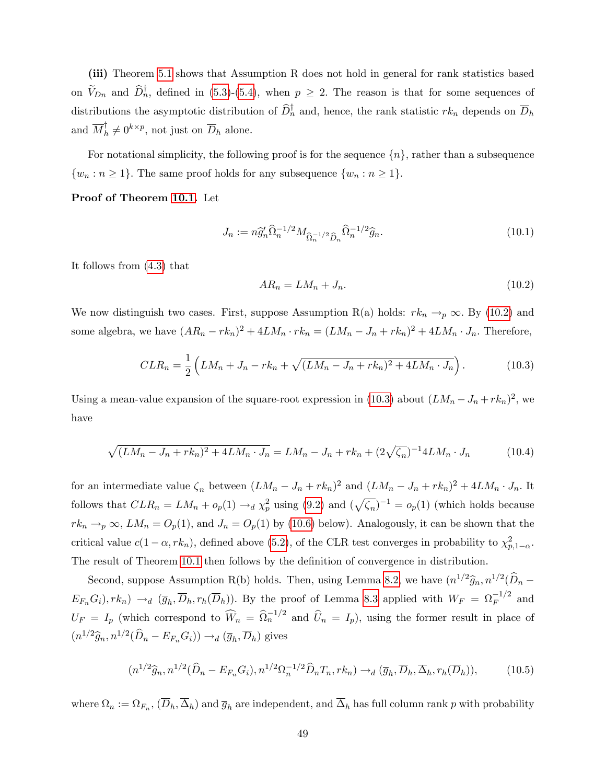(iii) Theorem [5.1](#page-25-0) shows that Assumption R does not hold in general for rank statistics based on  $V_{Dn}$  and  $D_n^{\dagger}$ , defined in [\(5.3\)](#page-24-4)-[\(5.4\)](#page-24-5), when  $p \geq 2$ . The reason is that for some sequences of distributions the asymptotic distribution of  $D_n^{\dagger}$  and, hence, the rank statistic  $rk_n$  depends on  $\overline{D}_h$ and  $\overline{M}_h^{\dagger} \neq 0^{k \times p}$ , not just on  $\overline{D}_h$  alone.

For notational simplicity, the following proof is for the sequence  $\{n\}$ , rather than a subsequence  $\{w_n : n \geq 1\}$ . The same proof holds for any subsequence  $\{w_n : n \geq 1\}$ .

Proof of Theorem [10.1.](#page-48-0) Let

<span id="page-49-4"></span>
$$
J_n := n\widehat{g}'_n \widehat{\Omega}_n^{-1/2} M_{\widehat{\Omega}_n^{-1/2} \widehat{D}_n} \widehat{\Omega}_n^{-1/2} \widehat{g}_n. \tag{10.1}
$$

It follows from [\(4.3\)](#page-21-2) that

<span id="page-49-2"></span>
$$
AR_n = LM_n + J_n. \tag{10.2}
$$

We now distinguish two cases. First, suppose Assumption R(a) holds:  $rk_n \to_p \infty$ . By [\(10.2\)](#page-49-2) and some algebra, we have  $(AR_n - rk_n)^2 + 4LM_n \cdot rk_n = (LM_n - J_n + rk_n)^2 + 4LM_n \cdot J_n$ . Therefore,

<span id="page-49-0"></span>
$$
CLR_n = \frac{1}{2} \left( LM_n + J_n - rk_n + \sqrt{(LM_n - J_n + rk_n)^2 + 4LM_n \cdot J_n} \right). \tag{10.3}
$$

Using a mean-value expansion of the square-root expression in [\(10.3\)](#page-49-0) about  $(LM_n - J_n + rk_n)^2$ , we have

<span id="page-49-1"></span>
$$
\sqrt{(LM_n - J_n + rk_n)^2 + 4LM_n \cdot J_n} = LM_n - J_n + rk_n + (2\sqrt{\zeta_n})^{-1}4LM_n \cdot J_n \tag{10.4}
$$

for an intermediate value  $\zeta_n$  between  $(LM_n - J_n + rk_n)^2$  and  $(LM_n - J_n + rk_n)^2 + 4LM_n \cdot J_n$ . It follows that  $CLR_n = LM_n + o_p(1) \rightarrow_d \chi_p^2$  using [\(9.2\)](#page-47-2) and  $(\sqrt{\zeta_n})^{-1} = o_p(1)$  (which holds because  $rk_n \to_p \infty$ ,  $LM_n = O_p(1)$ , and  $J_n = O_p(1)$  by [\(10.6\)](#page-50-1) below). Analogously, it can be shown that the critical value  $c(1-\alpha, rk_n)$ , defined above [\(5.2\)](#page-23-2), of the CLR test converges in probability to  $\chi^2_{p,1-\alpha}$ . The result of Theorem [10.1](#page-48-0) then follows by the definition of convergence in distribution.

Second, suppose Assumption R(b) holds. Then, using Lemma [8.2,](#page-41-0) we have  $(n^{1/2}\hat{g}_n, n^{1/2}(\hat{D}_n E_{F_n}G_i$ ,  $rk_n$ )  $\rightarrow_d$   $(\overline{g}_h, \overline{D}_h, r_h(\overline{D}_h))$ . By the proof of Lemma [8.3](#page-44-0) applied with  $W_F = \Omega_F^{-1/2}$  and  $U_F = I_p$  (which correspond to  $\widehat{W}_n = \widehat{\Omega}_n^{-1/2}$  and  $\widehat{U}_n = I_p$ ), using the former result in place of  $(n^{1/2}\widehat{g}_n, n^{1/2}(\widehat{D}_n - E_{F_n}G_i)) \rightarrow_d (\overline{g}_h, \overline{D}_h)$  gives

<span id="page-49-3"></span>
$$
(n^{1/2}\widehat{g}_n, n^{1/2}(\widehat{D}_n - E_{F_n}G_i), n^{1/2}\Omega_n^{-1/2}\widehat{D}_nT_n, rk_n) \to_d (\overline{g}_h, \overline{D}_h, \overline{\Delta}_h, r_h(\overline{D}_h)),\tag{10.5}
$$

where  $\Omega_n := \Omega_{F_n}$ ,  $(D_h, \Delta_h)$  and  $\overline{g}_h$  are independent, and  $\Delta_h$  has full column rank p with probability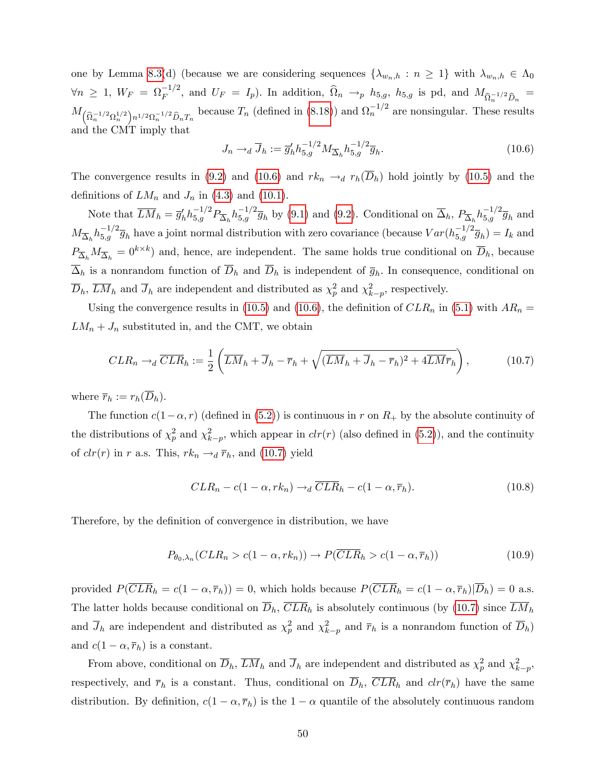one by Lemma [8.3\(](#page-44-0)d) (because we are considering sequences  $\{\lambda_{w_n,h} : n \geq 1\}$  with  $\lambda_{w_n,h} \in \Lambda_0$  $\forall n \geq 1, W_F = \Omega_F^{-1/2}$ , and  $U_F = I_p$ ). In addition,  $\widehat{\Omega}_n \to_p h_{5,g}$ ,  $h_{5,g}$  is pd, and  $M_{\widehat{\Omega}_n^{-1/2} \widehat{D}_n} =$  $M_{(\widehat{\Omega}_n^{-1/2}\Omega_n^{1/2})n^{1/2}\Omega_n^{-1/2}\widehat{D}_nT_n}$  because  $T_n$  (defined in [\(8.18\)](#page-44-2)) and  $\Omega_n^{-1/2}$  are nonsingular. These results and the CMT imply that

<span id="page-50-1"></span>
$$
J_n \to_d \overline{J}_h := \overline{g}'_h h_{5,g}^{-1/2} M_{\overline{\Delta}_h} h_{5,g}^{-1/2} \overline{g}_h.
$$
 (10.6)

The convergence results in [\(9.2\)](#page-47-2) and [\(10.6\)](#page-50-1) and  $rk_n \to_d r_h(\overline{D}_h)$  hold jointly by [\(10.5\)](#page-49-3) and the definitions of  $LM_n$  and  $J_n$  in [\(4.3\)](#page-21-2) and [\(10.1\)](#page-49-4).

Note that  $\overline{LM}_h = \overline{g}'_h h_{5,g}^{-1/2} P_{\overline{\Delta}_h} h_{5,g}^{-1/2} \overline{g}_h$  by [\(9.1\)](#page-47-3) and [\(9.2\)](#page-47-2). Conditional on  $\overline{\Delta}_h$ ,  $P_{\overline{\Delta}_h} h_{5,g}^{-1/2} \overline{g}_h$  and  $M_{\overline{\Delta}_h} h_{5,g}^{-1/2} \overline{g}_h$  have a joint normal distribution with zero covariance (because  $Var(h_{5,g}^{-1/2} \overline{g}_h) = I_k$  and  $P_{\overline{\Delta}_h}M_{\overline{\Delta}_h} = 0^{k \times k}$  and, hence, are independent. The same holds true conditional on  $\overline{D}_h$ , because  $\Delta_h$  is a nonrandom function of  $D_h$  and  $D_h$  is independent of  $\overline{g}_h$ . In consequence, conditional on  $\overline{D}_h$ ,  $\overline{LM}_h$  and  $\overline{J}_h$  are independent and distributed as  $\chi_p^2$  and  $\chi_{k-p}^2$ , respectively.

Using the convergence results in [\(10.5\)](#page-49-3) and [\(10.6\)](#page-50-1), the definition of  $CLR_n$  in [\(5.1\)](#page-23-1) with  $AR_n =$  $LM_n + J_n$  substituted in, and the CMT, we obtain

<span id="page-50-0"></span>
$$
CLR_n \to_d \overline{CLR}_h := \frac{1}{2} \left( \overline{LM}_h + \overline{J}_h - \overline{r}_h + \sqrt{(\overline{LM}_h + \overline{J}_h - \overline{r}_h)^2 + 4\overline{LM}\overline{r}_h} \right),
$$
(10.7)

where  $\overline{r}_h := r_h(\overline{D}_h)$ .

The function  $c(1-\alpha, r)$  (defined in [\(5.2\)](#page-23-2)) is continuous in r on  $R_+$  by the absolute continuity of the distributions of  $\chi_p^2$  and  $\chi_{k-p}^2$ , which appear in  $clr(r)$  (also defined in [\(5.2\)](#page-23-2)), and the continuity of  $clr(r)$  in r a.s. This,  $rk_n \rightarrow_d \bar{r}_h$ , and [\(10.7\)](#page-50-0) yield

$$
CLR_n - c(1 - \alpha, rk_n) \to_d \overline{CLR}_h - c(1 - \alpha, \overline{r}_h). \tag{10.8}
$$

Therefore, by the definition of convergence in distribution, we have

<span id="page-50-2"></span>
$$
P_{\theta_0,\lambda_n}(CLR_n > c(1-\alpha,rk_n)) \to P(\overline{CLR}_h > c(1-\alpha,\overline{r}_h))
$$
\n(10.9)

provided  $P(\overline{CLR}_h = c(1 - \alpha, \overline{r}_h)) = 0$ , which holds because  $P(\overline{CLR}_h = c(1 - \alpha, \overline{r}_h)|\overline{D}_h) = 0$  a.s. The latter holds because conditional on  $\overline{D}_h$ ,  $\overline{CLR}_h$  is absolutely continuous (by [\(10.7\)](#page-50-0) since  $\overline{LM}_h$ and  $\overline{J}_h$  are independent and distributed as  $\chi_p^2$  and  $\chi_{k-p}^2$  and  $\overline{r}_h$  is a nonrandom function of  $\overline{D}_h$ ) and  $c(1 - \alpha, \overline{r}_h)$  is a constant.

From above, conditional on  $\overline{D}_h$ ,  $\overline{LM}_h$  and  $\overline{J}_h$  are independent and distributed as  $\chi_p^2$  and  $\chi_{k-p}^2$ , respectively, and  $\bar{r}_h$  is a constant. Thus, conditional on  $\bar{D}_h$ ,  $\overline{CLR}_h$  and  $\overline{clr}(\bar{r}_h)$  have the same distribution. By definition,  $c(1 - \alpha, \overline{r}_h)$  is the  $1 - \alpha$  quantile of the absolutely continuous random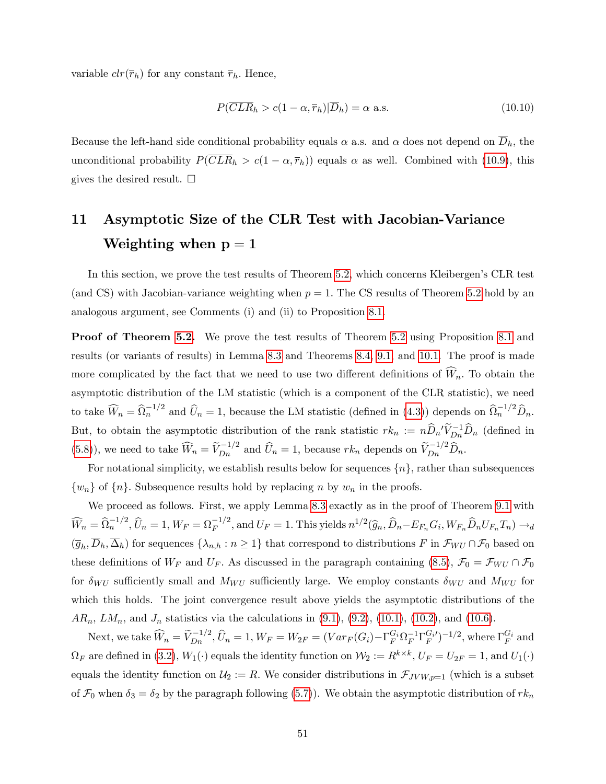variable  $clr(\overline{r}_h)$  for any constant  $\overline{r}_h$ . Hence,

$$
P(\overline{CLR}_h > c(1 - \alpha, \overline{r}_h)|\overline{D}_h) = \alpha \text{ a.s.}
$$
\n(10.10)

Because the left-hand side conditional probability equals  $\alpha$  a.s. and  $\alpha$  does not depend on  $\overline{D}_h$ , the unconditional probability  $P(\overline{CLR}_h > c(1-\alpha, \overline{r}_h))$  equals  $\alpha$  as well. Combined with [\(10.9\)](#page-50-2), this gives the desired result.  $\square$ 

# <span id="page-51-0"></span>11 Asymptotic Size of the CLR Test with Jacobian-Variance Weighting when  $p = 1$

In this section, we prove the test results of Theorem [5.2,](#page-28-3) which concerns Kleibergen's CLR test (and CS) with Jacobian-variance weighting when  $p = 1$ . The CS results of Theorem [5.2](#page-28-3) hold by an analogous argument, see Comments (i) and (ii) to Proposition [8.1.](#page-34-1)

Proof of Theorem [5.2.](#page-28-3) We prove the test results of Theorem [5.2](#page-28-3) using Proposition [8.1](#page-34-1) and results (or variants of results) in Lemma [8.3](#page-44-0) and Theorems [8.4,](#page-45-0) [9.1,](#page-46-1) and [10.1.](#page-48-0) The proof is made more complicated by the fact that we need to use two different definitions of  $\widehat{W}_n$ . To obtain the asymptotic distribution of the LM statistic (which is a component of the CLR statistic), we need to take  $\widehat{W}_n = \widehat{\Omega}_n^{-1/2}$  and  $\widehat{U}_n = 1$ , because the LM statistic (defined in [\(4.3\)](#page-21-2)) depends on  $\widehat{\Omega}_n^{-1/2} \widehat{D}_n$ . But, to obtain the asymptotic distribution of the rank statistic  $rk_n := n\widehat{D}_n'\widetilde{V}_{Dn}^{-1}\widehat{D}_n$  (defined in [\(5.8\)](#page-28-2)), we need to take  $\widehat{W}_n = \widetilde{V}_{Dn}^{-1/2}$  and  $\widehat{U}_n = 1$ , because  $rk_n$  depends on  $\widetilde{V}_{Dn}^{-1/2} \widehat{D}_n$ .

For notational simplicity, we establish results below for sequences  $\{n\}$ , rather than subsequences  $\{w_n\}$  of  $\{n\}$ . Subsequence results hold by replacing n by  $w_n$  in the proofs.

We proceed as follows. First, we apply Lemma [8.3](#page-44-0) exactly as in the proof of Theorem [9.1](#page-46-1) with  $\widehat{W}_n = \widehat{\Omega}_n^{-1/2}, \widehat{U}_n = 1, W_F = \Omega_F^{-1/2}, \text{ and } U_F = 1.$  This yields  $n^{1/2}(\widehat{g}_n, \widehat{D}_n - E_{F_n}G_i, W_{F_n}\widehat{D}_nU_{F_n}T_n) \rightarrow_d$  $(\overline{g}_h, D_h, \Delta_h)$  for sequences  $\{\lambda_{n,h} : n \geq 1\}$  that correspond to distributions F in  $\mathcal{F}_{WU} \cap \mathcal{F}_0$  based on these definitions of  $W_F$  and  $U_F$ . As discussed in the paragraph containing [\(8.5\)](#page-36-0),  $\mathcal{F}_0 = \mathcal{F}_{WU} \cap \mathcal{F}_0$ for  $\delta_{WU}$  sufficiently small and  $M_{WU}$  sufficiently large. We employ constants  $\delta_{WU}$  and  $M_{WU}$  for which this holds. The joint convergence result above yields the asymptotic distributions of the  $AR_n$ ,  $LM_n$ , and  $J_n$  statistics via the calculations in  $(9.1)$ ,  $(9.2)$ ,  $(10.1)$ ,  $(10.2)$ , and  $(10.6)$ .

Next, we take  $\widehat{W}_n = \widetilde{V}_{Dn}^{-1/2}$ ,  $\widehat{U}_n = 1$ ,  $W_F = W_{2F} = (Var_F(G_i) - \Gamma_F^{G_i} \Omega_F^{-1} \Gamma_F^{G_i})^{-1/2}$ , where  $\Gamma_F^{G_i}$  and  $\Omega_F$  are defined in [\(3.2\)](#page-15-4),  $W_1(\cdot)$  equals the identity function on  $\mathcal{W}_2 := R^{k \times k}$ ,  $U_F = U_{2F} = 1$ , and  $U_1(\cdot)$ equals the identity function on  $\mathcal{U}_2 := R$ . We consider distributions in  $\mathcal{F}_{JVW,p=1}$  (which is a subset of  $\mathcal{F}_0$  when  $\delta_3 = \delta_2$  by the paragraph following [\(5.7\)](#page-28-1)). We obtain the asymptotic distribution of  $rk_n$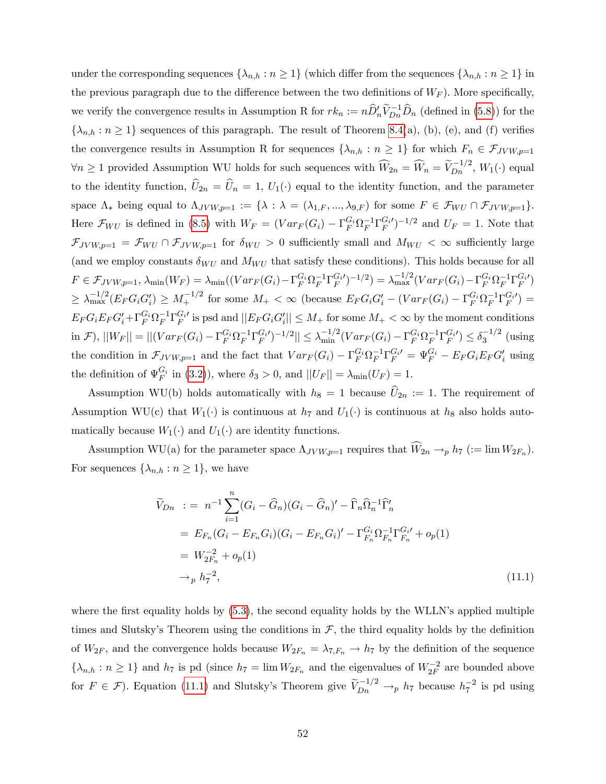under the corresponding sequences  $\{\lambda_{n,h} : n \geq 1\}$  (which differ from the sequences  $\{\lambda_{n,h} : n \geq 1\}$  in the previous paragraph due to the difference between the two definitions of  $W_F$ ). More specifically, we verify the convergence results in Assumption R for  $rk_n := n\hat{D}'_n\tilde{V}_{Dn}^{-1}\hat{D}_n$  (defined in [\(5.8\)](#page-28-2)) for the  $\{\lambda_{n,h} : n \geq 1\}$  sequences of this paragraph. The result of Theorem [8.4\(](#page-45-0)a), (b), (e), and (f) verifies the convergence results in Assumption R for sequences  $\{\lambda_{n,h} : n \geq 1\}$  for which  $F_n \in \mathcal{F}_{JVW,p=1}$  $\forall n \geq 1$  provided Assumption WU holds for such sequences with  $\widehat{W}_{2n} = \widehat{W}_{n} = \widehat{V}_{Dn}^{-1/2}$ ,  $W_1(\cdot)$  equal to the identity function,  $\hat{U}_{2n} = \hat{U}_n = 1$ ,  $U_1(\cdot)$  equal to the identity function, and the parameter space  $\Lambda_*$  being equal to  $\Lambda_{JVW,p=1} := {\lambda : \lambda = (\lambda_{1,F}, ..., \lambda_{9,F})}$  for some  $F \in \mathcal{F}_{WU} \cap \mathcal{F}_{JVW,p=1}}$ . Here  $\mathcal{F}_{WU}$  is defined in [\(8.5\)](#page-36-0) with  $W_F = (Var_F(G_i) - \Gamma_F^{G_i} \Omega_F^{-1} \Gamma_F^{G_i})^{-1/2}$  and  $U_F = 1$ . Note that  $\mathcal{F}_{JVW,p=1} = \mathcal{F}_{WU} \cap \mathcal{F}_{JVW,p=1}$  for  $\delta_{WU} > 0$  sufficiently small and  $M_{WU} < \infty$  sufficiently large (and we employ constants  $\delta_{WU}$  and  $M_{WU}$  that satisfy these conditions). This holds because for all  $F \in \mathcal{F}_{JVW,p=1}, \ \lambda_{\min}(W_F) = \lambda_{\min}((Var_F(G_i) - \Gamma_F^{G_i}\Omega_F^{-1}\Gamma_F^{G_i})^{-1/2}) = \lambda_{\max}^{-1/2}(Var_F(G_i) - \Gamma_F^{G_i}\Omega_F^{-1}\Gamma_F^{G_i})$  $\geq \lambda_{\max}^{-1/2} (E_F G_i G_i') \geq M_+^{-1/2}$  for some  $M_+ < \infty$  (because  $E_F G_i G_i' - (Var_F(G_i) - \Gamma_F^{G_i} \Omega_F^{-1} \Gamma_F^{G_i}) =$  $E_F G_i E_F G'_i + \Gamma_F^{G_i} \Omega_F^{-1} \Gamma_F^{G_i}$  is psd and  $||E_F G_i G'_i|| \leq M_+$  for some  $M_+ < \infty$  by the moment conditions  $\inf(\mathcal{F})$ ,  $||W_F|| = ||(Var_F(G_i) - \Gamma_F^{G_i} \Omega_F^{-1} \Gamma_F^{G_i})^{-1/2}|| \leq \lambda_{\min}^{-1/2} (Var_F(G_i) - \Gamma_F^{G_i} \Omega_F^{-1} \Gamma_F^{G_i}) \leq \delta_3^{-1/2}$  (using the condition in  $\mathcal{F}_{JVW,p=1}$  and the fact that  $Var_F(G_i) - \Gamma_F^{G_i} \Omega_F^{-1} \Gamma_F^{G_i} = \Psi_F^{G_i} - E_F G_i E_F G_i'$  using the definition of  $\Psi_F^{G_i}$  in [\(3.2\)](#page-15-4)), where  $\delta_3 > 0$ , and  $||U_F|| = \lambda_{\min}(U_F) = 1$ .

Assumption WU(b) holds automatically with  $h_8 = 1$  because  $\hat{U}_{2n} := 1$ . The requirement of Assumption WU(c) that  $W_1(\cdot)$  is continuous at  $h_7$  and  $U_1(\cdot)$  is continuous at  $h_8$  also holds automatically because  $W_1(\cdot)$  and  $U_1(\cdot)$  are identity functions.

Assumption WU(a) for the parameter space  $\Lambda_{JVM,p=1}$  requires that  $W_{2n} \to_p h_7$  (:= lim  $W_{2F_n}$ ). For sequences  $\{\lambda_{n,h} : n \geq 1\}$ , we have

<span id="page-52-0"></span>
$$
\widetilde{V}_{Dn} := n^{-1} \sum_{i=1}^{n} (G_i - \widehat{G}_n)(G_i - \widehat{G}_n)' - \widehat{\Gamma}_n \widehat{\Omega}_n^{-1} \widehat{\Gamma}'_n \n= E_{F_n} (G_i - E_{F_n} G_i)(G_i - E_{F_n} G_i)' - \Gamma_{F_n}^{G_i} \Omega_{F_n}^{-1} \Gamma_{F_n}^{G_i'} + o_p(1) \n= W_{2F_n}^{-2} + o_p(1) \n\rightarrow_p h_7^{-2},
$$
\n(11.1)

where the first equality holds by  $(5.3)$ , the second equality holds by the WLLN's applied multiple times and Slutsky's Theorem using the conditions in  $\mathcal{F}$ , the third equality holds by the definition of  $W_{2F}$ , and the convergence holds because  $W_{2F_n} = \lambda_{7,F_n} \to h_7$  by the definition of the sequence  $\{\lambda_{n,h} : n \geq 1\}$  and  $h_7$  is pd (since  $h_7 = \lim W_{2F_n}$  and the eigenvalues of  $W_{2F}^{-2}$  are bounded above for  $F \in \mathcal{F}$ ). Equation [\(11.1\)](#page-52-0) and Slutsky's Theorem give  $V_{Dn}^{-1/2} \to_p h_7$  because  $h_7^{-2}$  is pd using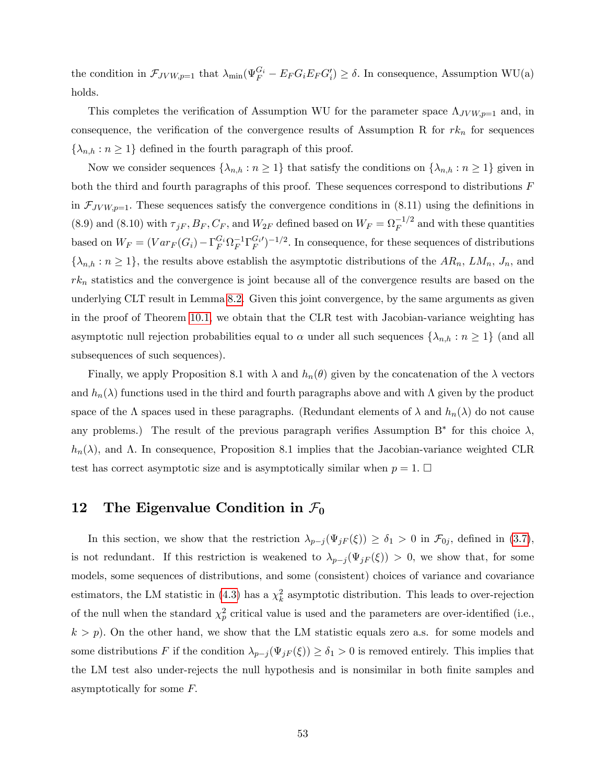the condition in  $\mathcal{F}_{JVW,p=1}$  that  $\lambda_{\min}(\Psi_F^{G_i} - E_F G_i E_F G_i') \ge \delta$ . In consequence, Assumption WU(a) holds.

This completes the verification of Assumption WU for the parameter space  $\Lambda_{JVV, p=1}$  and, in consequence, the verification of the convergence results of Assumption R for  $rk_n$  for sequences  $\{\lambda_{n,h} : n \geq 1\}$  defined in the fourth paragraph of this proof.

Now we consider sequences  $\{\lambda_{n,h} : n \geq 1\}$  that satisfy the conditions on  $\{\lambda_{n,h} : n \geq 1\}$  given in both the third and fourth paragraphs of this proof. These sequences correspond to distributions  $F$ in  $\mathcal{F}_{Jvw,p=1}$ . These sequences satisfy the convergence conditions in (8.11) using the definitions in (8.9) and (8.10) with  $\tau_{jF}$ ,  $B_F$ ,  $C_F$ , and  $W_{2F}$  defined based on  $W_F = \Omega_F^{-1/2}$  and with these quantities based on  $W_F = (Var_F(G_i) - \Gamma_F^{G_i} \Omega_F^{-1} \Gamma_F^{G_i})^{-1/2}$ . In consequence, for these sequences of distributions  $\{\lambda_{n,h} : n \geq 1\}$ , the results above establish the asymptotic distributions of the  $AR_n$ ,  $LM_n$ ,  $J_n$ , and  $rk_n$  statistics and the convergence is joint because all of the convergence results are based on the underlying CLT result in Lemma [8.2.](#page-41-0) Given this joint convergence, by the same arguments as given in the proof of Theorem [10.1,](#page-48-0) we obtain that the CLR test with Jacobian-variance weighting has asymptotic null rejection probabilities equal to  $\alpha$  under all such sequences  $\{\lambda_{n,h} : n \geq 1\}$  (and all subsequences of such sequences).

Finally, we apply Proposition 8.1 with  $\lambda$  and  $h_n(\theta)$  given by the concatenation of the  $\lambda$  vectors and  $h_n(\lambda)$  functions used in the third and fourth paragraphs above and with  $\Lambda$  given by the product space of the  $\Lambda$  spaces used in these paragraphs. (Redundant elements of  $\lambda$  and  $h_n(\lambda)$  do not cause any problems.) The result of the previous paragraph verifies Assumption  $B^*$  for this choice  $\lambda$ ,  $h_n(\lambda)$ , and  $\Lambda$ . In consequence, Proposition 8.1 implies that the Jacobian-variance weighted CLR test has correct asymptotic size and is asymptotically similar when  $p = 1$ .  $\Box$ 

## <span id="page-53-0"></span>12 The Eigenvalue Condition in  $\mathcal{F}_0$

In this section, we show that the restriction  $\lambda_{p-j} (\Psi_{jF} (\xi)) \geq \delta_1 > 0$  in  $\mathcal{F}_{0j}$ , defined in [\(3.7\)](#page-16-3), is not redundant. If this restriction is weakened to  $\lambda_{p-j} (\Psi_{jF}(\xi)) > 0$ , we show that, for some models, some sequences of distributions, and some (consistent) choices of variance and covariance estimators, the LM statistic in [\(4.3\)](#page-21-2) has a  $\chi^2_k$  asymptotic distribution. This leads to over-rejection of the null when the standard  $\chi_p^2$  critical value is used and the parameters are over-identified (i.e.,  $k > p$ ). On the other hand, we show that the LM statistic equals zero a.s. for some models and some distributions F if the condition  $\lambda_{p-j} (\Psi_j F(\xi)) \geq \delta_1 > 0$  is removed entirely. This implies that the LM test also under-rejects the null hypothesis and is nonsimilar in both finite samples and asymptotically for some  $F$ .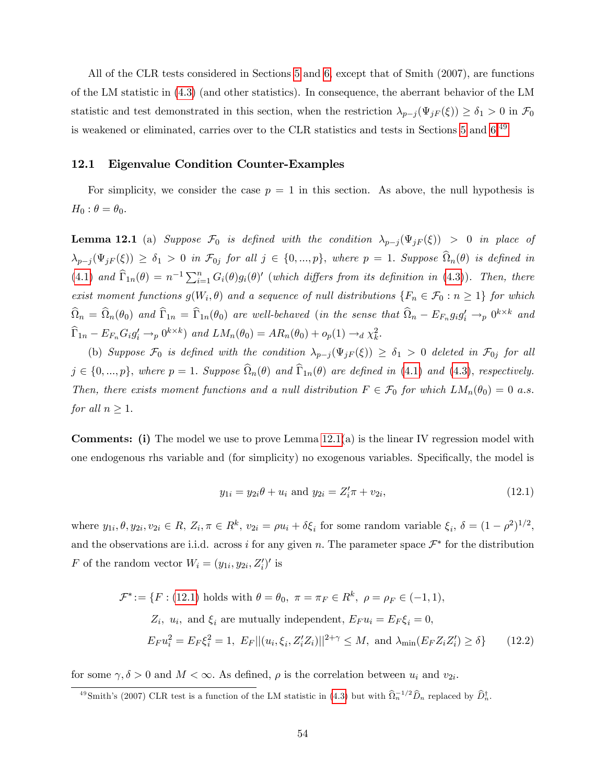All of the CLR tests considered in Sections [5](#page-23-0) and [6,](#page-29-0) except that of Smith (2007), are functions of the LM statistic in [\(4.3\)](#page-21-2) (and other statistics). In consequence, the aberrant behavior of the LM statistic and test demonstrated in this section, when the restriction  $\lambda_{p-j} (\Psi_{jF}(\xi)) \geq \delta_1 > 0$  in  $\mathcal{F}_0$ is weakened or eliminated, carries over to the CLR statistics and tests in Sections [5](#page-23-0) and [6.](#page-29-0)<sup>[49](#page-54-0)</sup>

#### 12.1 Eigenvalue Condition Counter-Examples

For simplicity, we consider the case  $p = 1$  in this section. As above, the null hypothesis is  $H_0$ :  $\theta = \theta_0$ .

<span id="page-54-1"></span>**Lemma 12.1** (a) Suppose  $\mathcal{F}_0$  is defined with the condition  $\lambda_{p-j} (\Psi_{jF} (\xi)) > 0$  in place of  $\lambda_{p-j}(\Psi_{jF}(\xi)) \geq \delta_1 > 0$  in  $\mathcal{F}_{0j}$  for all  $j \in \{0, ..., p\}$ , where  $p = 1$ . Suppose  $\Omega_n(\theta)$  is defined in [\(4.1\)](#page-21-1) and  $\widehat{\Gamma}_{1n}(\theta) = n^{-1} \sum_{i=1}^{n} G_i(\theta) g_i(\theta)'$  (which differs from its definition in [\(4.3\)](#page-21-2)). Then, there exist moment functions  $g(W_i, \theta)$  and a sequence of null distributions  $\{F_n \in \mathcal{F}_0 : n \geq 1\}$  for which  $\widehat{\Omega}_n = \widehat{\Omega}_n(\theta_0)$  and  $\widehat{\Gamma}_{1n} = \widehat{\Gamma}_{1n}(\theta_0)$  are well-behaved (in the sense that  $\widehat{\Omega}_n - E_{F_n} g_i g_i' \to_p 0^{k \times k}$  and  $\widehat{\Gamma}_{1n} - E_{F_n} G_i g'_i \rightarrow_p 0^{k \times k}$  and  $LM_n(\theta_0) = AR_n(\theta_0) + o_p(1) \rightarrow_d \chi_k^2$ .

(b) Suppose  $\mathcal{F}_0$  is defined with the condition  $\lambda_{p-j} (\Psi_{jF} (\xi)) \geq \delta_1 > 0$  deleted in  $\mathcal{F}_{0j}$  for all  $j \in \{0, ..., p\}$ , where  $p = 1$ . Suppose  $\Omega_n(\theta)$  and  $\Gamma_{1n}(\theta)$  are defined in [\(4.1\)](#page-21-1) and [\(4.3\)](#page-21-2), respectively. Then, there exists moment functions and a null distribution  $F \in \mathcal{F}_0$  for which  $LM_n(\theta_0) = 0$  a.s. for all  $n \geq 1$ .

**Comments:** (i) The model we use to prove Lemma  $12.1(a)$  is the linear IV regression model with one endogenous rhs variable and (for simplicity) no exogenous variables. Specifically, the model is

<span id="page-54-2"></span>
$$
y_{1i} = y_{2i}\theta + u_i \text{ and } y_{2i} = Z'_i \pi + v_{2i}, \qquad (12.1)
$$

where  $y_{1i}, \theta, y_{2i}, v_{2i} \in R$ ,  $Z_i, \pi \in R^k$ ,  $v_{2i} = \rho u_i + \delta \xi_i$  for some random variable  $\xi_i$ ,  $\delta = (1 - \rho^2)^{1/2}$ , and the observations are i.i.d. across i for any given n. The parameter space  $\mathcal{F}^*$  for the distribution F of the random vector  $W_i = (y_{1i}, y_{2i}, Z'_i)'$  is

$$
\mathcal{F}^* := \{ F : (12.1) \text{ holds with } \theta = \theta_0, \ \pi = \pi_F \in R^k, \ \rho = \rho_F \in (-1, 1),
$$
  
\n
$$
Z_i, \ u_i, \text{ and } \xi_i \text{ are mutually independent}, E_F u_i = E_F \xi_i = 0,
$$
  
\n
$$
E_F u_i^2 = E_F \xi_i^2 = 1, \ E_F ||(u_i, \xi_i, Z_i' Z_i)||^{2+\gamma} \le M, \text{ and } \lambda_{\min}(E_F Z_i Z_i') \ge \delta \}
$$
 (12.2)

for some  $\gamma, \delta > 0$  and  $M < \infty$ . As defined,  $\rho$  is the correlation between  $u_i$  and  $v_{2i}$ .

<span id="page-54-0"></span><sup>&</sup>lt;sup>49</sup> Smith's (2007) CLR test is a function of the LM statistic in [\(4.3\)](#page-21-2) but with  $\hat{\Omega}_n^{-1/2} \hat{D}_n$  replaced by  $\hat{D}_n^{\dagger}$ .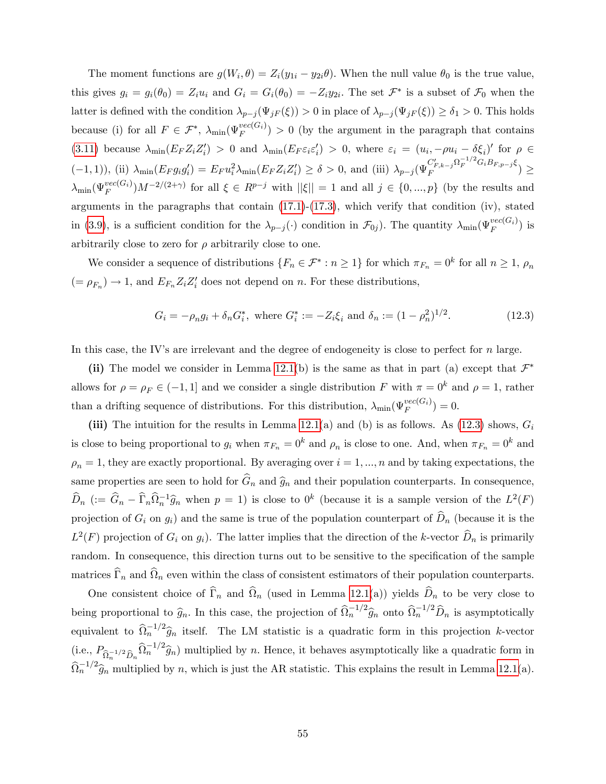The moment functions are  $g(W_i, \theta) = Z_i(y_{1i} - y_{2i}\theta)$ . When the null value  $\theta_0$  is the true value, this gives  $g_i = g_i(\theta_0) = Z_i u_i$  and  $G_i = G_i(\theta_0) = -Z_i y_{2i}$ . The set  $\mathcal{F}^*$  is a subset of  $\mathcal{F}_0$  when the latter is defined with the condition  $\lambda_{p-j} (\Psi_{jF} (\xi)) > 0$  in place of  $\lambda_{p-j} (\Psi_{jF} (\xi)) \geq \delta_1 > 0$ . This holds because (i) for all  $F \in \mathcal{F}^*$ ,  $\lambda_{\min}(\Psi_F^{vec(G_i)}) > 0$  (by the argument in the paragraph that contains [\(3.11\)](#page-19-3) because  $\lambda_{\min}(E_F Z_i Z_i') > 0$  and  $\lambda_{\min}(E_F \varepsilon_i \varepsilon_i') > 0$ , where  $\varepsilon_i = (u_i, -\rho u_i - \delta \xi_i)'$  for  $\rho \in$  $(-1, 1)$ , (ii)  $\lambda_{\min}(E_F g_i g'_i) = E_F u_i^2 \lambda_{\min}(E_F Z_i Z'_i) \ge \delta > 0$ , and (iii)  $\lambda_{p-j} (\Psi_F^{C'_{F,k-j}} \Omega_F^{-1/2} G_i B_{F,p-j} \xi)$  $\left( \begin{array}{cc} \sum_{F,k=j}^{S} & \sum_{F}^{S} & \sum_{F}^{S} & \sum_{F}^{S} \end{array} \right) \geq$  $\lambda_{\min}(\Psi_F^{vec(G_i)})M^{-2/(2+\gamma)}$  for all  $\xi \in R^{p-j}$  with  $||\xi|| = 1$  and all  $j \in \{0, ..., p\}$  (by the results and arguments in the paragraphs that contain [\(17.1\)](#page--1-18)-[\(17.3\)](#page--1-19), which verify that condition (iv), stated in [\(3.9\)](#page-19-1), is a sufficient condition for the  $\lambda_{p-j}(\cdot)$  condition in  $\mathcal{F}_{0j}$ ). The quantity  $\lambda_{\min}(\Psi_F^{vec(G_i)})$  is arbitrarily close to zero for  $\rho$  arbitrarily close to one.

We consider a sequence of distributions  $\{F_n \in \mathcal{F}^* : n \geq 1\}$  for which  $\pi_{F_n} = 0^k$  for all  $n \geq 1$ ,  $\rho_n$  $(= \rho_{F_n}) \to 1$ , and  $E_{F_n} Z_i Z_i'$  does not depend on n. For these distributions,

<span id="page-55-0"></span>
$$
G_i = -\rho_n g_i + \delta_n G_i^*, \text{ where } G_i^* := -Z_i \xi_i \text{ and } \delta_n := (1 - \rho_n^2)^{1/2}.
$$
 (12.3)

In this case, the IV's are irrelevant and the degree of endogeneity is close to perfect for  $n$  large.

(ii) The model we consider in Lemma [12.1\(](#page-54-1)b) is the same as that in part (a) except that  $\mathcal{F}^*$ allows for  $\rho = \rho_F \in (-1, 1]$  and we consider a single distribution F with  $\pi = 0^k$  and  $\rho = 1$ , rather than a drifting sequence of distributions. For this distribution,  $\lambda_{\min}(\Psi_F^{vec(G_i)}) = 0$ .

(iii) The intuition for the results in Lemma [12.1\(](#page-54-1)a) and (b) is as follows. As [\(12.3\)](#page-55-0) shows,  $G_i$ is close to being proportional to  $g_i$  when  $\pi_{F_n} = 0^k$  and  $\rho_n$  is close to one. And, when  $\pi_{F_n} = 0^k$  and  $\rho_n = 1$ , they are exactly proportional. By averaging over  $i = 1, ..., n$  and by taking expectations, the same properties are seen to hold for  $\widehat{G}_n$  and  $\widehat{g}_n$  and their population counterparts. In consequence,  $\widehat{D}_n$  (:=  $\widehat{G}_n - \widehat{\Gamma}_n \widehat{\Omega}_n^{-1} \widehat{g}_n$  when  $p = 1$ ) is close to  $0^k$  (because it is a sample version of the  $L^2(F)$ projection of  $G_i$  on  $g_i$ ) and the same is true of the population counterpart of  $\widehat{D}_n$  (because it is the  $L^2(F)$  projection of  $G_i$  on  $g_i$ ). The latter implies that the direction of the k-vector  $\widehat{D}_n$  is primarily random. In consequence, this direction turns out to be sensitive to the specification of the sample matrices  $\Gamma_n$  and  $\Omega_n$  even within the class of consistent estimators of their population counterparts.

One consistent choice of  $\Gamma_n$  and  $\Omega_n$  (used in Lemma [12.1\(](#page-54-1)a)) yields  $D_n$  to be very close to being proportional to  $\hat{g}_n$ . In this case, the projection of  $\hat{\Omega}_n^{-1/2} \hat{g}_n$  onto  $\hat{\Omega}_n^{-1/2} \hat{D}_n$  is asymptotically equivalent to  $\hat{\Omega}_n^{-1/2}\hat{g}_n$  itself. The LM statistic is a quadratic form in this projection k-vector (i.e.,  $P_{\hat{\Omega}_n^{-1/2} \hat{D}_n} \hat{\Omega}_n^{-1/2} \hat{g}_n$ ) multiplied by n. Hence, it behaves asymptotically like a quadratic form in  $\widehat{\Omega}_n^{-1/2} \widehat{g}_n$  multiplied by n, which is just the AR statistic. This explains the result in Lemma [12.1\(](#page-54-1)a).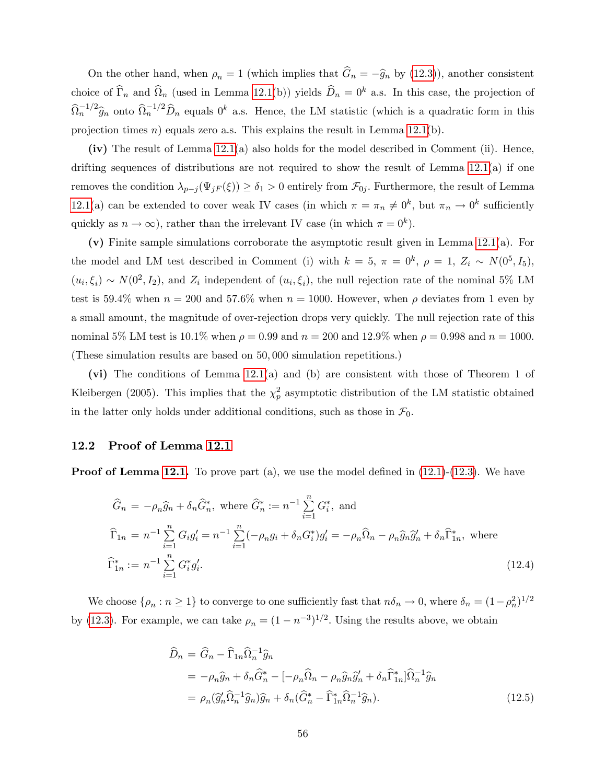On the other hand, when  $\rho_n = 1$  (which implies that  $\hat{G}_n = -\hat{g}_n$  by [\(12.3\)](#page-55-0)), another consistent choice of  $\hat{\Gamma}_n$  and  $\hat{\Omega}_n$  (used in Lemma [12.1\(](#page-54-1)b)) yields  $\hat{D}_n = 0^k$  a.s. In this case, the projection of  $\widehat{\Omega}_n^{-1/2}\widehat{g}_n$  onto  $\widehat{\Omega}_n^{-1/2}\widehat{D}_n$  equals  $0^k$  a.s. Hence, the LM statistic (which is a quadratic form in this projection times n) equals zero a.s. This explains the result in Lemma  $12.1(b)$ .

 $(iv)$  The result of Lemma [12.1\(](#page-54-1)a) also holds for the model described in Comment (ii). Hence, drifting sequences of distributions are not required to show the result of Lemma  $12.1(a)$  if one removes the condition  $\lambda_{p-j} (\Psi_{jF} (\xi)) \geq \delta_1 > 0$  entirely from  $\mathcal{F}_{0j}$ . Furthermore, the result of Lemma [12.1\(](#page-54-1)a) can be extended to cover weak IV cases (in which  $\pi = \pi_n \neq 0^k$ , but  $\pi_n \to 0^k$  sufficiently quickly as  $n \to \infty$ ), rather than the irrelevant IV case (in which  $\pi = 0^k$ ).

(v) Finite sample simulations corroborate the asymptotic result given in Lemma [12.1\(](#page-54-1)a). For the model and LM test described in Comment (i) with  $k = 5$ ,  $\pi = 0^k$ ,  $\rho = 1$ ,  $Z_i \sim N(0^5, I_5)$ ,  $(u_i, \xi_i) \sim N(0^2, I_2)$ , and  $Z_i$  independent of  $(u_i, \xi_i)$ , the null rejection rate of the nominal 5% LM test is 59.4% when  $n = 200$  and 57.6% when  $n = 1000$ . However, when  $\rho$  deviates from 1 even by a small amount, the magnitude of over-rejection drops very quickly. The null rejection rate of this nominal 5% LM test is 10.1% when  $\rho = 0.99$  and  $n = 200$  and 12.9% when  $\rho = 0.998$  and  $n = 1000$ . (These simulation results are based on 50; 000 simulation repetitions.)

(vi) The conditions of Lemma [12.1\(](#page-54-1)a) and (b) are consistent with those of Theorem 1 of Kleibergen (2005). This implies that the  $\chi_p^2$  asymptotic distribution of the LM statistic obtained in the latter only holds under additional conditions, such as those in  $\mathcal{F}_0$ .

#### 12.2 Proof of Lemma [12.1](#page-54-1)

**Proof of Lemma [12.1.](#page-54-1)** To prove part (a), we use the model defined in  $(12.1)-(12.3)$  $(12.1)-(12.3)$  $(12.1)-(12.3)$ . We have

$$
\widehat{G}_n = -\rho_n \widehat{g}_n + \delta_n \widehat{G}_n^*, \text{ where } \widehat{G}_n^* := n^{-1} \sum_{i=1}^n G_i^*, \text{ and}
$$
\n
$$
\widehat{\Gamma}_{1n} = n^{-1} \sum_{i=1}^n G_i g_i' = n^{-1} \sum_{i=1}^n (-\rho_n g_i + \delta_n G_i^*) g_i' = -\rho_n \widehat{\Omega}_n - \rho_n \widehat{g}_n \widehat{g}_n' + \delta_n \widehat{\Gamma}_{1n}^*, \text{ where}
$$
\n
$$
\widehat{\Gamma}_{1n}^* := n^{-1} \sum_{i=1}^n G_i^* g_i'.
$$
\n(12.4)

We choose  $\{\rho_n : n \ge 1\}$  to converge to one sufficiently fast that  $n\delta_n \to 0$ , where  $\delta_n = (1 - \rho_n^2)^{1/2}$ by [\(12.3\)](#page-55-0). For example, we can take  $\rho_n = (1 - n^{-3})^{1/2}$ . Using the results above, we obtain

$$
\widehat{D}_n = \widehat{G}_n - \widehat{\Gamma}_{1n} \widehat{\Omega}_n^{-1} \widehat{g}_n
$$
\n
$$
= -\rho_n \widehat{g}_n + \delta_n \widehat{G}_n^* - [-\rho_n \widehat{\Omega}_n - \rho_n \widehat{g}_n \widehat{g}_n' + \delta_n \widehat{\Gamma}_{1n}^*] \widehat{\Omega}_n^{-1} \widehat{g}_n
$$
\n
$$
= \rho_n (\widehat{g}_n' \widehat{\Omega}_n^{-1} \widehat{g}_n) \widehat{g}_n + \delta_n (\widehat{G}_n^* - \widehat{\Gamma}_{1n}^* \widehat{\Omega}_n^{-1} \widehat{g}_n).
$$
\n(12.5)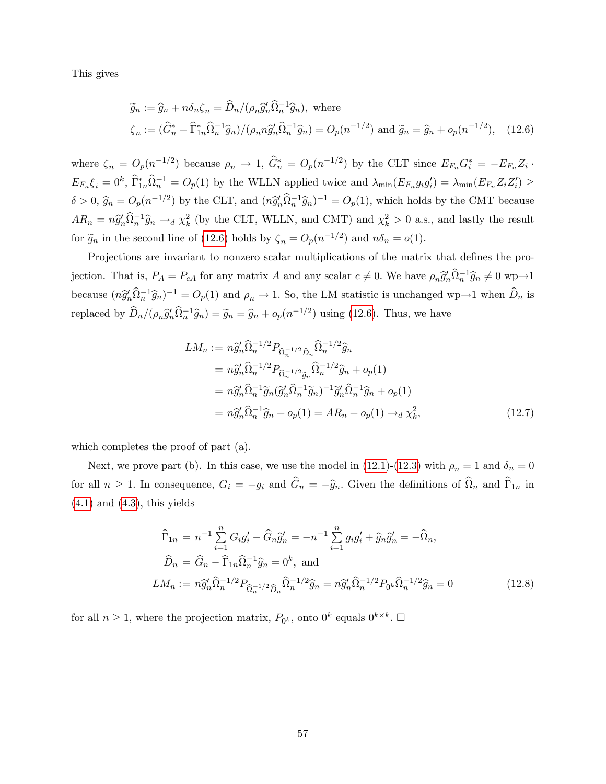This gives

<span id="page-57-0"></span>
$$
\widetilde{g}_n := \widehat{g}_n + n\delta_n \zeta_n = \widehat{D}_n/(\rho_n \widehat{g}'_n \widehat{\Omega}_n^{-1} \widehat{g}_n), \text{ where}
$$
  

$$
\zeta_n := (\widehat{G}_n^* - \widehat{\Gamma}_{1n}^* \widehat{\Omega}_n^{-1} \widehat{g}_n)/(\rho_n n \widehat{g}'_n \widehat{\Omega}_n^{-1} \widehat{g}_n) = O_p(n^{-1/2}) \text{ and } \widetilde{g}_n = \widehat{g}_n + o_p(n^{-1/2}), \quad (12.6)
$$

where  $\zeta_n = O_p(n^{-1/2})$  because  $\rho_n \to 1$ ,  $\hat{G}_n^* = O_p(n^{-1/2})$  by the CLT since  $E_{F_n} G_i^* = -E_{F_n} Z_i$ .  $E_{F_n}\xi_i=0^k$ ,  $\widehat{\Gamma}_{1n}^*\widehat{\Omega}_n^{-1}=O_p(1)$  by the WLLN applied twice and  $\lambda_{\min}(E_{F_n}g_ig'_i)=\lambda_{\min}(E_{F_n}Z_iZ'_i)\geq$  $\delta > 0$ ,  $\hat{g}_n = O_p(n^{-1/2})$  by the CLT, and  $(n\hat{g}'_n\hat{\Omega}_n^{-1}\hat{g}_n)^{-1} = O_p(1)$ , which holds by the CMT because  $AR_n = n\hat{g}_n'\hat{\Omega}_n^{-1}\hat{g}_n \to_d \chi^2_k$  (by the CLT, WLLN, and CMT) and  $\chi^2_k > 0$  a.s., and lastly the result for  $\tilde{g}_n$  in the second line of [\(12.6\)](#page-57-0) holds by  $\zeta_n = O_p(n^{-1/2})$  and  $n\delta_n = o(1)$ .

Projections are invariant to nonzero scalar multiplications of the matrix that defines the projection. That is,  $P_A = P_{cA}$  for any matrix A and any scalar  $c \neq 0$ . We have  $\rho_n \hat{g}'_n \hat{\Omega}_n^{-1} \hat{g}_n \neq 0$  wp $\rightarrow 1$ because  $(n\hat{g}_n' \hat{\Omega}_n^{-1} \hat{g}_n)^{-1} = O_p(1)$  and  $\rho_n \to 1$ . So, the LM statistic is unchanged wp $\to 1$  when  $\hat{D}_n$  is replaced by  $\hat{D}_n/(\rho_n \hat{g}'_n \hat{\Omega}_n^{-1} \hat{g}_n) = \tilde{g}_n = \hat{g}_n + o_p(n^{-1/2})$  using [\(12.6\)](#page-57-0). Thus, we have

$$
LM_n := n\hat{g}'_n \hat{\Omega}_n^{-1/2} P_{\hat{\Omega}_n^{-1/2} \hat{D}_n} \hat{\Omega}_n^{-1/2} \hat{g}_n
$$
  
\n
$$
= n\hat{g}'_n \hat{\Omega}_n^{-1/2} P_{\hat{\Omega}_n^{-1/2} \hat{g}_n} \hat{\Omega}_n^{-1/2} \hat{g}_n + o_p(1)
$$
  
\n
$$
= n\hat{g}'_n \hat{\Omega}_n^{-1} \tilde{g}_n (\tilde{g}'_n \hat{\Omega}_n^{-1} \tilde{g}_n)^{-1} \tilde{g}'_n \hat{\Omega}_n^{-1} \hat{g}_n + o_p(1)
$$
  
\n
$$
= n\hat{g}'_n \hat{\Omega}_n^{-1} \hat{g}_n + o_p(1) = AR_n + o_p(1) \rightarrow_d \chi_k^2,
$$
\n(12.7)

which completes the proof of part (a).

Next, we prove part (b). In this case, we use the model in [\(12.1\)](#page-54-2)-[\(12.3\)](#page-55-0) with  $\rho_n = 1$  and  $\delta_n = 0$ for all  $n \ge 1$ . In consequence,  $G_i = -g_i$  and  $G_n = -\hat{g}_n$ . Given the definitions of  $\Omega_n$  and  $\Gamma_{1n}$  in  $(4.1)$  and  $(4.3)$ , this yields

$$
\widehat{\Gamma}_{1n} = n^{-1} \sum_{i=1}^{n} G_i g'_i - \widehat{G}_n \widehat{g}'_n = -n^{-1} \sum_{i=1}^{n} g_i g'_i + \widehat{g}_n \widehat{g}'_n = -\widehat{\Omega}_n,
$$
  
\n
$$
\widehat{D}_n = \widehat{G}_n - \widehat{\Gamma}_{1n} \widehat{\Omega}_n^{-1} \widehat{g}_n = 0^k, \text{ and}
$$
  
\n
$$
LM_n := n \widehat{g}'_n \widehat{\Omega}_n^{-1/2} P_{\widehat{\Omega}_n^{-1/2} \widehat{D}_n} \widehat{\Omega}_n^{-1/2} \widehat{g}_n = n \widehat{g}'_n \widehat{\Omega}_n^{-1/2} P_{0^k} \widehat{\Omega}_n^{-1/2} \widehat{g}_n = 0
$$
\n(12.8)

for all  $n \geq 1$ , where the projection matrix,  $P_{0^k}$ , onto  $0^k$  equals  $0^{k \times k}$ .  $\Box$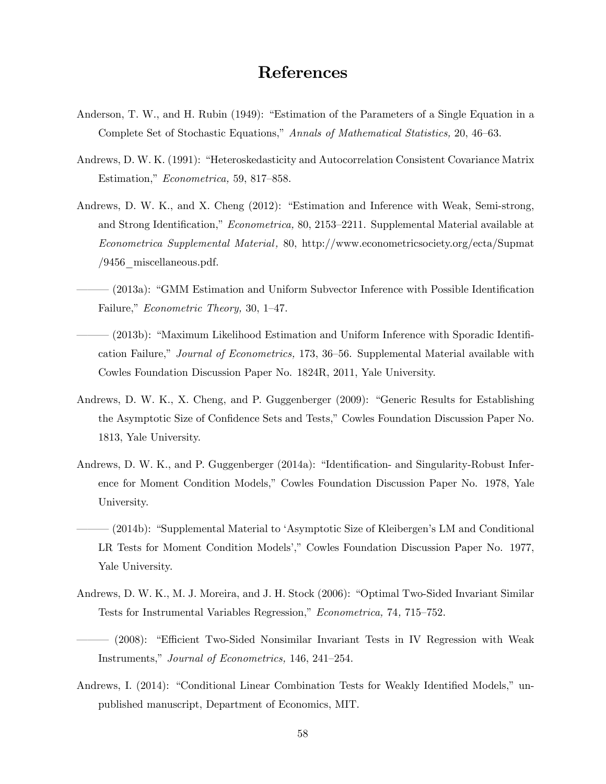# References

- Anderson, T. W., and H. Rubin (1949): "Estimation of the Parameters of a Single Equation in a Complete Set of Stochastic Equations," Annals of Mathematical Statistics, 20, 46–63.
- Andrews, D. W. K. (1991): "Heteroskedasticity and Autocorrelation Consistent Covariance Matrix Estimation," Econometrica, 59, 817-858.
- Andrews, D. W. K., and X. Cheng (2012): "Estimation and Inference with Weak, Semi-strong, and Strong Identification," Econometrica, 80, 2153–2211. Supplemental Material available at Econometrica Supplemental Material , 80, http://www.econometricsociety.org/ecta/Supmat  $/9456$  miscellaneous.pdf.
	- $(2013a)$ : "GMM Estimation and Uniform Subvector Inference with Possible Identification Failure," *Econometric Theory*, 30, 1–47.
- <sup>-</sup> (2013b): "Maximum Likelihood Estimation and Uniform Inference with Sporadic Identification Failure," Journal of Econometrics, 173, 36-56. Supplemental Material available with Cowles Foundation Discussion Paper No. 1824R, 2011, Yale University.
- Andrews, D. W. K., X. Cheng, and P. Guggenberger (2009): "Generic Results for Establishing the Asymptotic Size of Confidence Sets and Tests," Cowles Foundation Discussion Paper No. 1813, Yale University.
- Andrews, D. W. K., and P. Guggenberger (2014a): "Identification- and Singularity-Robust Inference for Moment Condition Models," Cowles Foundation Discussion Paper No. 1978, Yale University.
- (2014b): "Supplemental Material to 'Asymptotic Size of Kleibergen's LM and Conditional LR Tests for Moment Condition Models'," Cowles Foundation Discussion Paper No. 1977, Yale University.
- Andrews, D. W. K., M. J. Moreira, and J. H. Stock (2006): "Optimal Two-Sided Invariant Similar Tests for Instrumental Variables Regression," Econometrica, 74, 715–752.
- ó ó ó (2008): ìE¢ cient Two-Sided Nonsimilar Invariant Tests in IV Regression with Weak Instruments," Journal of Econometrics, 146, 241–254.
- Andrews, I. (2014): "Conditional Linear Combination Tests for Weakly Identified Models," unpublished manuscript, Department of Economics, MIT.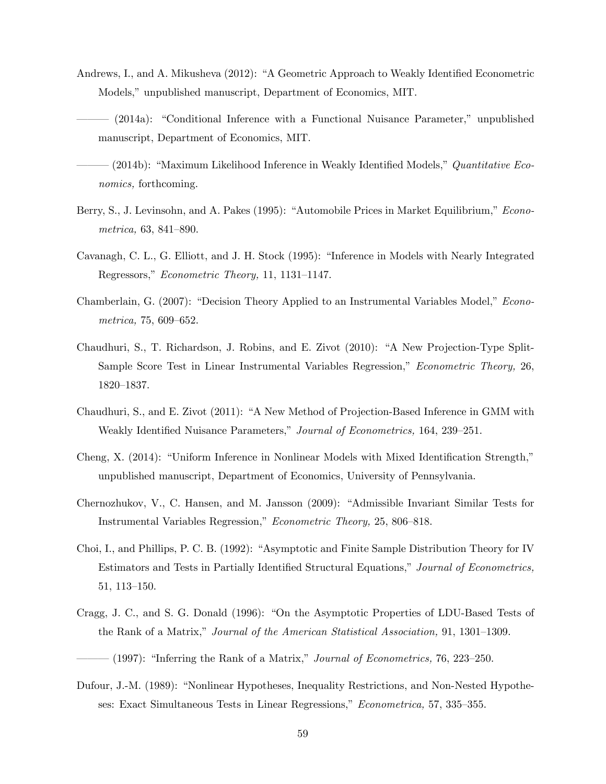- Andrews, I., and A. Mikusheva (2012): "A Geometric Approach to Weakly Identified Econometric Models," unpublished manuscript, Department of Economics, MIT.
- $(2014a)$ : "Conditional Inference with a Functional Nuisance Parameter," unpublished manuscript, Department of Economics, MIT.
- (2014b): "Maximum Likelihood Inference in Weakly Identified Models,"  $Quantitative~Eco$ nomics, forthcoming.
- Berry, S., J. Levinsohn, and A. Pakes (1995): "Automobile Prices in Market Equilibrium," Econometrica,  $63, 841-890$ .
- Cavanagh, C. L., G. Elliott, and J. H. Stock (1995): "Inference in Models with Nearly Integrated Regressors," Econometric Theory, 11, 1131–1147.
- Chamberlain, G. (2007): "Decision Theory Applied to an Instrumental Variables Model," Econo $metrica, 75, 609–652.$
- Chaudhuri, S., T. Richardson, J. Robins, and E. Zivot (2010): "A New Projection-Type Split-Sample Score Test in Linear Instrumental Variables Regression," Econometric Theory, 26, 1820-1837.
- Chaudhuri, S., and E. Zivot (2011): "A New Method of Projection-Based Inference in GMM with Weakly Identified Nuisance Parameters," Journal of Econometrics, 164, 239–251.
- Cheng, X. (2014): "Uniform Inference in Nonlinear Models with Mixed Identification Strength," unpublished manuscript, Department of Economics, University of Pennsylvania.
- Chernozhukov, V., C. Hansen, and M. Jansson (2009): "Admissible Invariant Similar Tests for Instrumental Variables Regression," Econometric Theory, 25, 806–818.
- Choi, I., and Phillips, P. C. B. (1992): "Asymptotic and Finite Sample Distribution Theory for IV Estimators and Tests in Partially Identified Structural Equations," Journal of Econometrics, 51, 113–150.
- Cragg, J. C., and S. G. Donald (1996): "On the Asymptotic Properties of LDU-Based Tests of the Rank of a Matrix," Journal of the American Statistical Association, 91, 1301–1309.
- $(1997)$ : "Inferring the Rank of a Matrix," Journal of Econometrics, 76, 223–250.
- Dufour, J.-M. (1989): "Nonlinear Hypotheses, Inequality Restrictions, and Non-Nested Hypotheses: Exact Simultaneous Tests in Linear Regressions," Econometrica, 57, 335–355.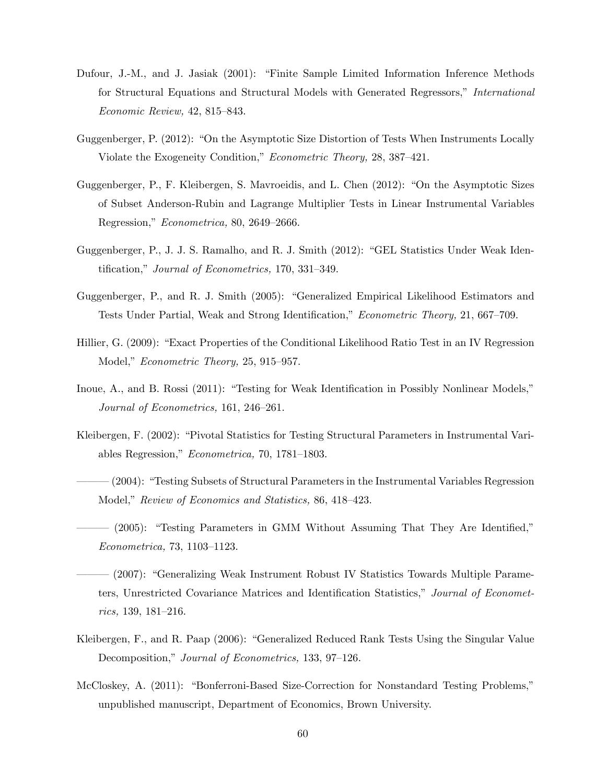- Dufour, J.-M., and J. Jasiak (2001): "Finite Sample Limited Information Inference Methods for Structural Equations and Structural Models with Generated Regressors," International  $Economic Review, 42, 815–843.$
- Guggenberger, P. (2012): "On the Asymptotic Size Distortion of Tests When Instruments Locally Violate the Exogeneity Condition," Econometric Theory, 28, 387-421.
- Guggenberger, P., F. Kleibergen, S. Mavroeidis, and L. Chen (2012): "On the Asymptotic Sizes of Subset Anderson-Rubin and Lagrange Multiplier Tests in Linear Instrumental Variables Regression," Econometrica, 80, 2649-2666.
- Guggenberger, P., J. J. S. Ramalho, and R. J. Smith (2012): "GEL Statistics Under Weak Identification," Journal of Econometrics, 170, 331–349.
- Guggenberger, P., and R. J. Smith (2005): "Generalized Empirical Likelihood Estimators and Tests Under Partial, Weak and Strong Identification," Econometric Theory, 21, 667–709.
- Hillier, G. (2009): "Exact Properties of the Conditional Likelihood Ratio Test in an IV Regression Model," *Econometric Theory*, 25, 915–957.
- Inoue, A., and B. Rossi (2011): "Testing for Weak Identification in Possibly Nonlinear Models," Journal of Econometrics, 161, 246–261.
- Kleibergen, F. (2002): "Pivotal Statistics for Testing Structural Parameters in Instrumental Variables Regression,"  $Econometrica$ , 70, 1781–1803.
- <sup> $-$ </sup> (2004): "Testing Subsets of Structural Parameters in the Instrumental Variables Regression Model," Review of Economics and Statistics, 86, 418–423.
- $(2005)$ : "Testing Parameters in GMM Without Assuming That They Are Identified,"  $Econometrica, 73, 1103–1123.$
- (2007): "Generalizing Weak Instrument Robust IV Statistics Towards Multiple Parameters, Unrestricted Covariance Matrices and Identification Statistics," Journal of Econometrics, 139, 181–216.
- Kleibergen, F., and R. Paap (2006): "Generalized Reduced Rank Tests Using the Singular Value Decomposition," Journal of Econometrics, 133, 97-126.
- McCloskey, A. (2011): "Bonferroni-Based Size-Correction for Nonstandard Testing Problems," unpublished manuscript, Department of Economics, Brown University.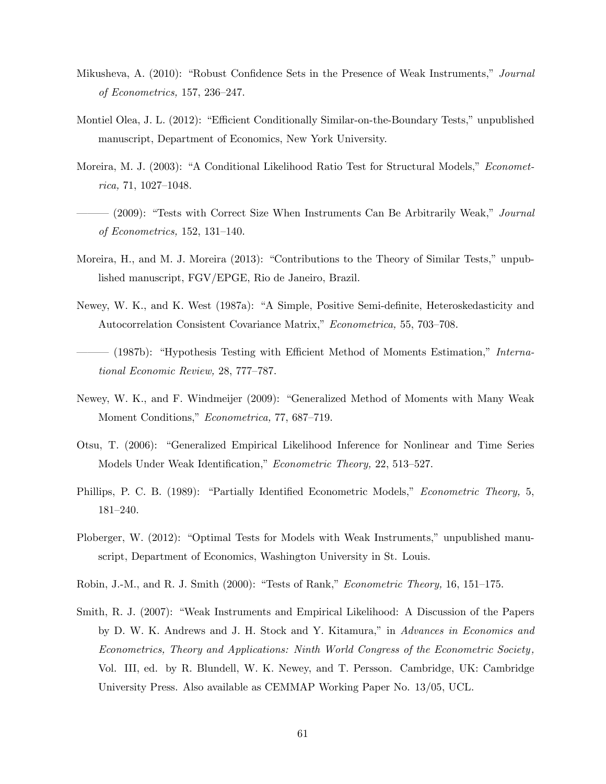- Mikusheva, A. (2010): "Robust Confidence Sets in the Presence of Weak Instruments," Journal of Econometrics, 157, 236-247.
- Montiel Olea, J. L. (2012): "Efficient Conditionally Similar-on-the-Boundary Tests," unpublished manuscript, Department of Economics, New York University.
- Moreira, M. J. (2003): "A Conditional Likelihood Ratio Test for Structural Models," *Economet* $rica, 71, 1027–1048.$
- $(2009)$ : "Tests with Correct Size When Instruments Can Be Arbitrarily Weak," *Journal* of Econometrics, 152, 131–140.
- Moreira, H., and M. J. Moreira (2013): "Contributions to the Theory of Similar Tests," unpublished manuscript, FGV/EPGE, Rio de Janeiro, Brazil.
- Newey, W. K., and K. West (1987a): "A Simple, Positive Semi-definite, Heteroskedasticity and Autocorrelation Consistent Covariance Matrix," Econometrica, 55, 703–708.
- $(1987b)$ : "Hypothesis Testing with Efficient Method of Moments Estimation," International Economic Review, 28, 777-787.
- Newey, W. K., and F. Windmeijer (2009): "Generalized Method of Moments with Many Weak Moment Conditions," Econometrica, 77, 687–719.
- Otsu, T. (2006): "Generalized Empirical Likelihood Inference for Nonlinear and Time Series Models Under Weak Identification," Econometric Theory, 22, 513–527.
- Phillips, P. C. B. (1989): "Partially Identified Econometric Models," *Econometric Theory*, 5, 181-240.
- Ploberger, W. (2012): "Optimal Tests for Models with Weak Instruments," unpublished manuscript, Department of Economics, Washington University in St. Louis.
- Robin, J.-M., and R. J. Smith (2000): "Tests of Rank," Econometric Theory, 16, 151-175.
- Smith, R. J. (2007): "Weak Instruments and Empirical Likelihood: A Discussion of the Papers by D. W. K. Andrews and J. H. Stock and Y. Kitamura," in Advances in Economics and Econometrics, Theory and Applications: Ninth World Congress of the Econometric Society , Vol. III, ed. by R. Blundell, W. K. Newey, and T. Persson. Cambridge, UK: Cambridge University Press. Also available as CEMMAP Working Paper No. 13/05, UCL.